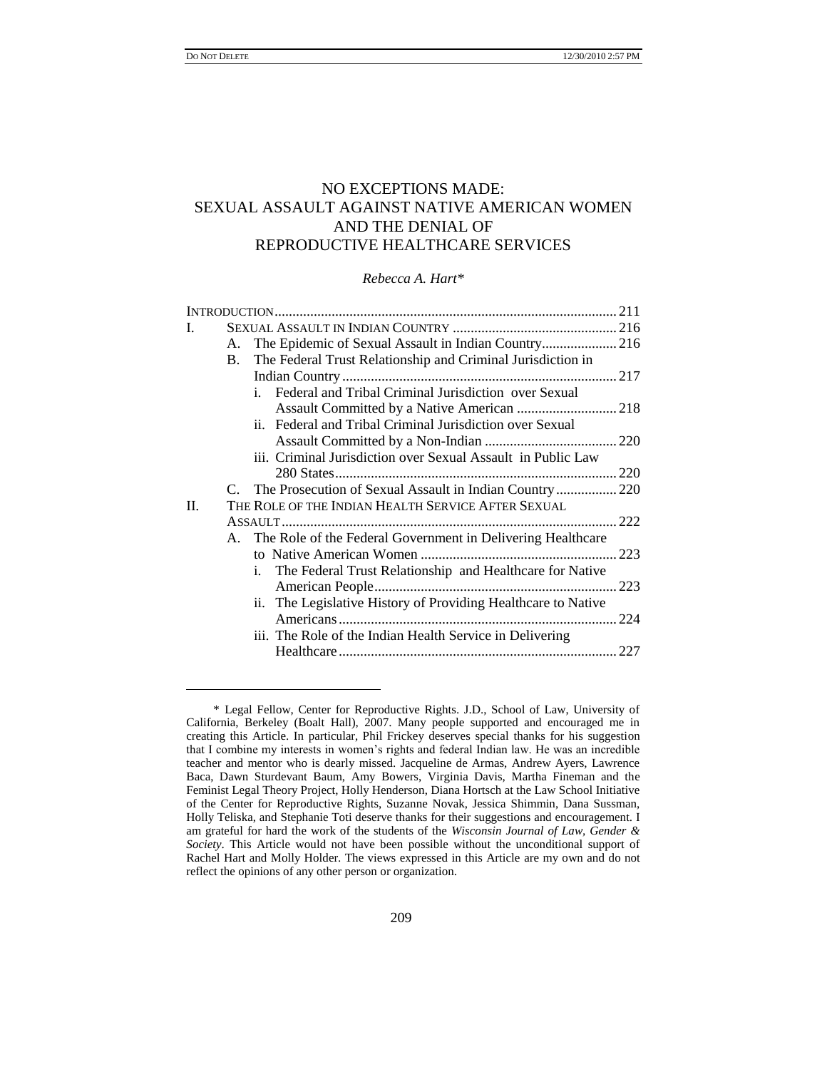$\overline{a}$ 

# NO EXCEPTIONS MADE: SEXUAL ASSAULT AGAINST NATIVE AMERICAN WOMEN AND THE DENIAL OF REPRODUCTIVE HEALTHCARE SERVICES

*Rebecca A. Hart\**

| I. |           |                                                                 |       |
|----|-----------|-----------------------------------------------------------------|-------|
|    |           |                                                                 |       |
|    | <b>B.</b> | The Federal Trust Relationship and Criminal Jurisdiction in     |       |
|    |           |                                                                 |       |
|    |           | Federal and Tribal Criminal Jurisdiction over Sexual<br>$i_{-}$ |       |
|    |           |                                                                 |       |
|    |           | ii. Federal and Tribal Criminal Jurisdiction over Sexual        |       |
|    |           |                                                                 |       |
|    |           | iii. Criminal Jurisdiction over Sexual Assault in Public Law    |       |
|    |           |                                                                 |       |
|    |           | C. The Prosecution of Sexual Assault in Indian Country 220      |       |
| H. |           | THE ROLE OF THE INDIAN HEALTH SERVICE AFTER SEXUAL              |       |
|    |           |                                                                 | . 222 |
|    |           | A. The Role of the Federal Government in Delivering Healthcare  |       |
|    |           |                                                                 | 223   |
|    |           | i. The Federal Trust Relationship and Healthcare for Native     |       |
|    |           |                                                                 | 223   |
|    |           | ii. The Legislative History of Providing Healthcare to Native   |       |
|    |           |                                                                 | . 224 |
|    |           | iii. The Role of the Indian Health Service in Delivering        |       |
|    |           |                                                                 |       |
|    |           |                                                                 |       |

<sup>\*</sup> Legal Fellow, Center for Reproductive Rights. J.D., School of Law, University of California, Berkeley (Boalt Hall), 2007. Many people supported and encouraged me in creating this Article. In particular, Phil Frickey deserves special thanks for his suggestion that I combine my interests in women"s rights and federal Indian law. He was an incredible teacher and mentor who is dearly missed. Jacqueline de Armas, Andrew Ayers, Lawrence Baca, Dawn Sturdevant Baum, Amy Bowers, Virginia Davis, Martha Fineman and the Feminist Legal Theory Project, Holly Henderson, Diana Hortsch at the Law School Initiative of the Center for Reproductive Rights, Suzanne Novak, Jessica Shimmin, Dana Sussman, Holly Teliska, and Stephanie Toti deserve thanks for their suggestions and encouragement. I am grateful for hard the work of the students of the *Wisconsin Journal of Law, Gender & Society*. This Article would not have been possible without the unconditional support of Rachel Hart and Molly Holder. The views expressed in this Article are my own and do not reflect the opinions of any other person or organization.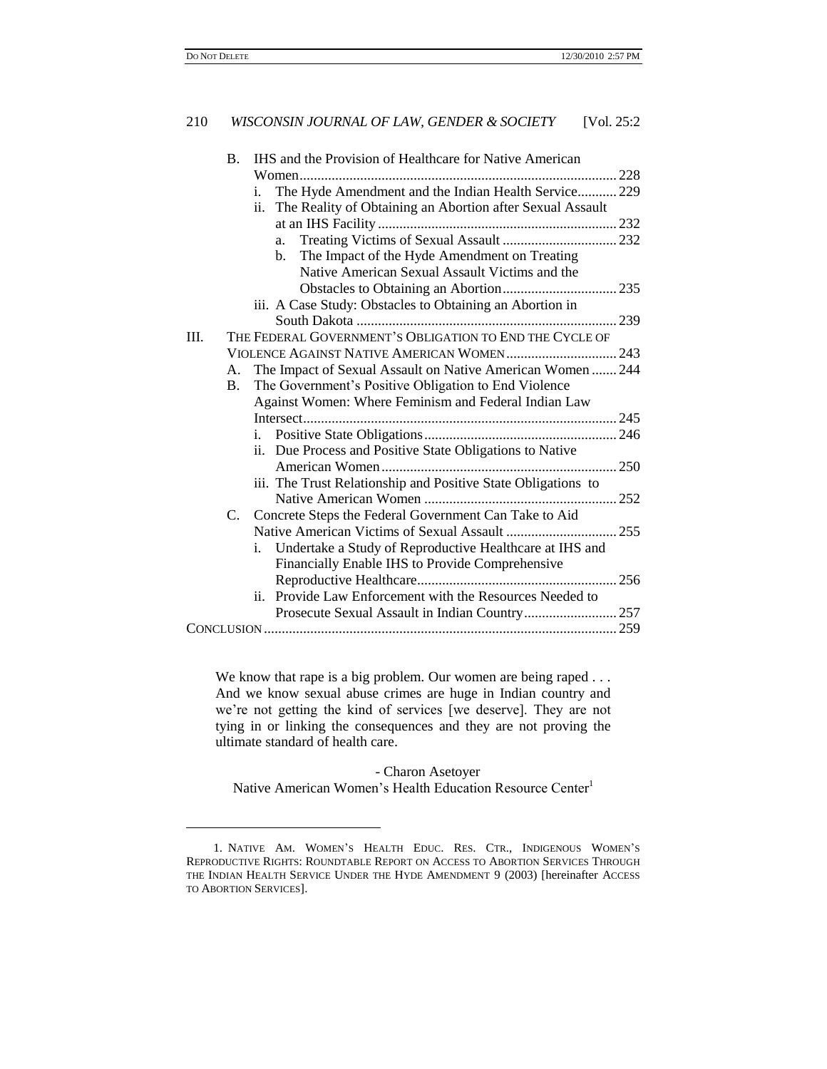$\overline{a}$ 

# 210 *WISCONSIN JOURNAL OF LAW, GENDER & SOCIETY* [Vol. 25:2

|      | <b>B.</b> | IHS and the Provision of Healthcare for Native American       |  |
|------|-----------|---------------------------------------------------------------|--|
|      |           |                                                               |  |
|      |           | The Hyde Amendment and the Indian Health Service 229<br>i.    |  |
|      |           | ii. The Reality of Obtaining an Abortion after Sexual Assault |  |
|      |           |                                                               |  |
|      |           | a.                                                            |  |
|      |           | The Impact of the Hyde Amendment on Treating<br>b.            |  |
|      |           | Native American Sexual Assault Victims and the                |  |
|      |           |                                                               |  |
|      |           | iii. A Case Study: Obstacles to Obtaining an Abortion in      |  |
|      |           |                                                               |  |
| III. |           | THE FEDERAL GOVERNMENT'S OBLIGATION TO END THE CYCLE OF       |  |
|      |           |                                                               |  |
|      | А.        | The Impact of Sexual Assault on Native American Women  244    |  |
|      | B.        | The Government's Positive Obligation to End Violence          |  |
|      |           | Against Women: Where Feminism and Federal Indian Law          |  |
|      |           |                                                               |  |
|      |           |                                                               |  |
|      |           | ii. Due Process and Positive State Obligations to Native      |  |
|      |           |                                                               |  |
|      |           | iii. The Trust Relationship and Positive State Obligations to |  |
|      |           |                                                               |  |
|      |           | C. Concrete Steps the Federal Government Can Take to Aid      |  |
|      |           |                                                               |  |
|      |           | Undertake a Study of Reproductive Healthcare at IHS and<br>i. |  |
|      |           | Financially Enable IHS to Provide Comprehensive               |  |
|      |           |                                                               |  |
|      |           | Provide Law Enforcement with the Resources Needed to<br>ii.   |  |
|      |           |                                                               |  |
|      |           |                                                               |  |

We know that rape is a big problem. Our women are being raped . . . And we know sexual abuse crimes are huge in Indian country and we"re not getting the kind of services [we deserve]. They are not tying in or linking the consequences and they are not proving the ultimate standard of health care.

### <span id="page-1-0"></span>- Charon Asetoyer

Native American Women's Health Education Resource Center<sup>1</sup>

<sup>1.</sup> NATIVE AM. WOMEN"S HEALTH EDUC. RES. CTR., INDIGENOUS WOMEN"S REPRODUCTIVE RIGHTS: ROUNDTABLE REPORT ON ACCESS TO ABORTION SERVICES THROUGH THE INDIAN HEALTH SERVICE UNDER THE HYDE AMENDMENT 9 (2003) [hereinafter ACCESS TO ABORTION SERVICES].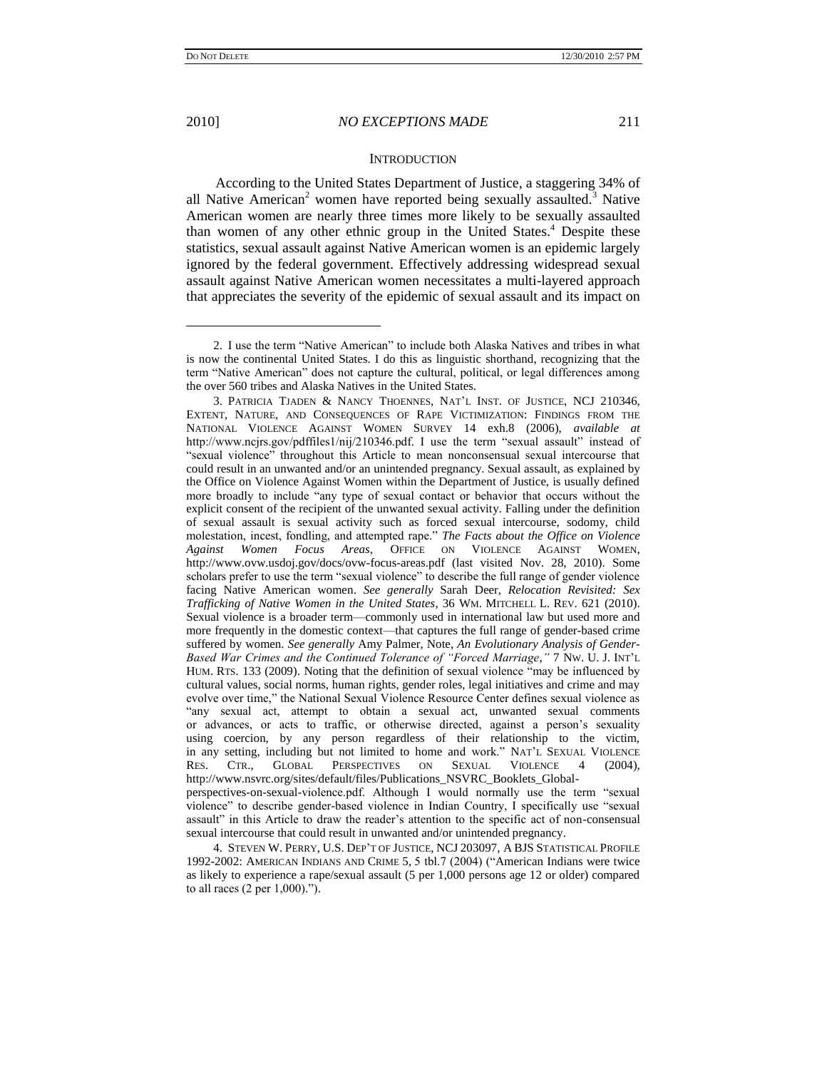2010] *NO EXCEPTIONS MADE* 211

#### <span id="page-2-1"></span><span id="page-2-0"></span>**INTRODUCTION**

According to the United States Department of Justice, a staggering 34% of all Native American<sup>2</sup> women have reported being sexually assaulted.<sup>3</sup> Native American women are nearly three times more likely to be sexually assaulted than women of any other ethnic group in the United States.<sup>4</sup> Despite these statistics, sexual assault against Native American women is an epidemic largely ignored by the federal government. Effectively addressing widespread sexual assault against Native American women necessitates a multi-layered approach that appreciates the severity of the epidemic of sexual assault and its impact on

sexual intercourse that could result in unwanted and/or unintended pregnancy. 4. STEVEN W. PERRY, U.S. DEP"T OF JUSTICE, NCJ 203097, A BJS STATISTICAL PROFILE

1992-2002: AMERICAN INDIANS AND CRIME 5, 5 tbl.7 (2004) ("American Indians were twice as likely to experience a rape/sexual assault (5 per 1,000 persons age 12 or older) compared to all races (2 per 1,000).").

<sup>2.</sup> I use the term "Native American" to include both Alaska Natives and tribes in what is now the continental United States. I do this as linguistic shorthand, recognizing that the term "Native American" does not capture the cultural, political, or legal differences among the over 560 tribes and Alaska Natives in the United States.

<sup>3.</sup> PATRICIA TJADEN & NANCY THOENNES, NAT"L INST. OF JUSTICE, NCJ 210346, EXTENT, NATURE, AND CONSEQUENCES OF RAPE VICTIMIZATION: FINDINGS FROM THE NATIONAL VIOLENCE AGAINST WOMEN SURVEY 14 exh.8 (2006), *available at*  http://www.ncjrs.gov/pdffiles1/nij/210346.pdf. I use the term "sexual assault" instead of "sexual violence" throughout this Article to mean nonconsensual sexual intercourse that could result in an unwanted and/or an unintended pregnancy. Sexual assault, as explained by the Office on Violence Against Women within the Department of Justice, is usually defined more broadly to include "any type of sexual contact or behavior that occurs without the explicit consent of the recipient of the unwanted sexual activity. Falling under the definition of sexual assault is sexual activity such as forced sexual intercourse, sodomy, child molestation, incest, fondling, and attempted rape." *The Facts about the Office on Violence Against Women Focus Areas*, OFFICE ON VIOLENCE AGAINST WOMEN, http://www.ovw.usdoj.gov/docs/ovw-focus-areas.pdf (last visited Nov. 28, 2010). Some scholars prefer to use the term "sexual violence" to describe the full range of gender violence facing Native American women. *See generally* Sarah Deer, *Relocation Revisited: Sex Trafficking of Native Women in the United States*, 36 WM. MITCHELL L. REV. 621 (2010). Sexual violence is a broader term—commonly used in international law but used more and more frequently in the domestic context—that captures the full range of gender-based crime suffered by women. *See generally* Amy Palmer, Note, *An Evolutionary Analysis of Gender-Based War Crimes and the Continued Tolerance of "Forced Marriage*,*"* 7 NW. U. J. INT"L HUM. RTS. 133 (2009). Noting that the definition of sexual violence "may be influenced by cultural values, social norms, human rights, gender roles, legal initiatives and crime and may evolve over time," the National Sexual Violence Resource Center defines sexual violence as "any sexual act, attempt to obtain a sexual act, unwanted sexual comments or advances, or acts to traffic, or otherwise directed, against a person"s sexuality using coercion, by any person regardless of their relationship to the victim, in any setting, including but not limited to home and work." NAT"L SEXUAL VIOLENCE RES. CTR., GLOBAL PERSPECTIVES ON SEXUAL VIOLENCE 4 (2004), http://www.nsvrc.org/sites/default/files/Publications\_NSVRC\_Booklets\_Globalperspectives-on-sexual-violence.pdf. Although I would normally use the term "sexual violence" to describe gender-based violence in Indian Country, I specifically use "sexual assault" in this Article to draw the reader"s attention to the specific act of non-consensual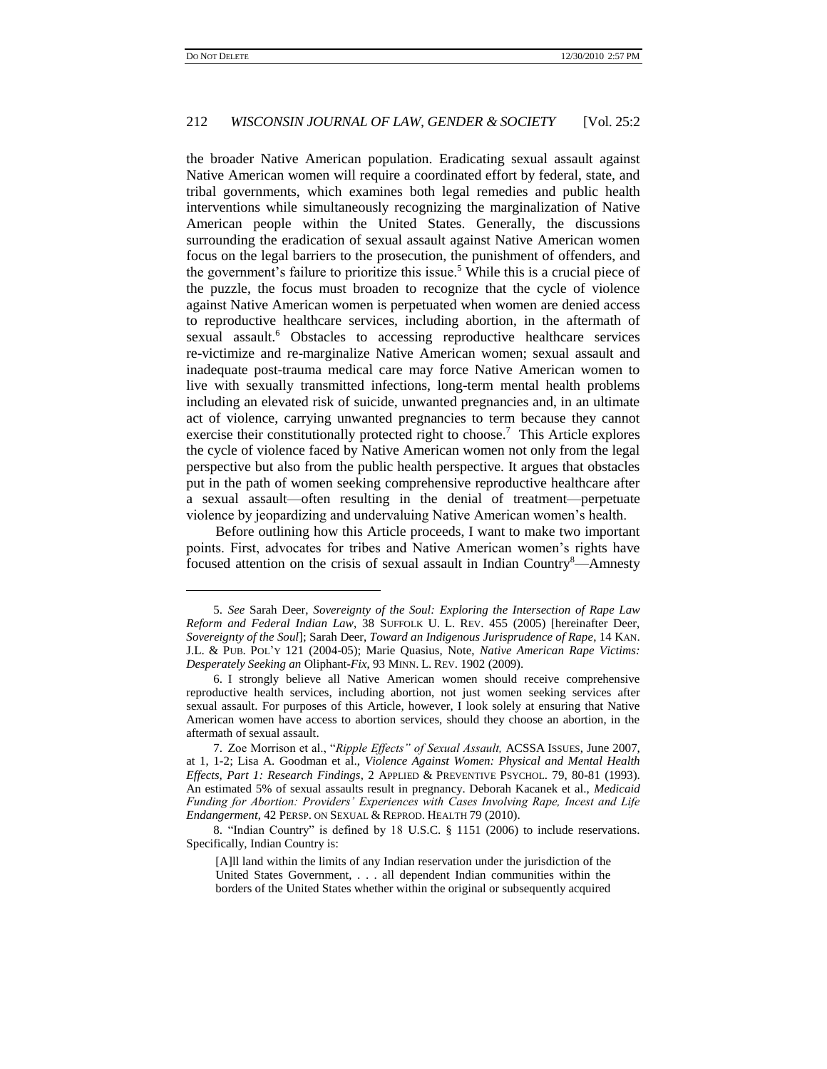### 212 *WISCONSIN JOURNAL OF LAW, GENDER & SOCIETY* [Vol. 25:2

<span id="page-3-0"></span>the broader Native American population. Eradicating sexual assault against Native American women will require a coordinated effort by federal, state, and tribal governments, which examines both legal remedies and public health interventions while simultaneously recognizing the marginalization of Native American people within the United States. Generally, the discussions surrounding the eradication of sexual assault against Native American women focus on the legal barriers to the prosecution, the punishment of offenders, and the government's failure to prioritize this issue.<sup>5</sup> While this is a crucial piece of the puzzle, the focus must broaden to recognize that the cycle of violence against Native American women is perpetuated when women are denied access to reproductive healthcare services, including abortion, in the aftermath of sexual assault.<sup>6</sup> Obstacles to accessing reproductive healthcare services re-victimize and re-marginalize Native American women; sexual assault and inadequate post-trauma medical care may force Native American women to live with sexually transmitted infections, long-term mental health problems including an elevated risk of suicide, unwanted pregnancies and, in an ultimate act of violence, carrying unwanted pregnancies to term because they cannot exercise their constitutionally protected right to choose.<sup>7</sup> This Article explores the cycle of violence faced by Native American women not only from the legal perspective but also from the public health perspective. It argues that obstacles put in the path of women seeking comprehensive reproductive healthcare after a sexual assault—often resulting in the denial of treatment—perpetuate violence by jeopardizing and undervaluing Native American women"s health.

<span id="page-3-2"></span><span id="page-3-1"></span>Before outlining how this Article proceeds, I want to make two important points. First, advocates for tribes and Native American women"s rights have focused attention on the crisis of sexual assault in Indian Country<sup>8</sup>—Amnesty

<sup>5.</sup> *See* Sarah Deer, *Sovereignty of the Soul: Exploring the Intersection of Rape Law Reform and Federal Indian Law*, 38 SUFFOLK U. L. REV. 455 (2005) [hereinafter Deer, *Sovereignty of the Soul*]; Sarah Deer, *Toward an Indigenous Jurisprudence of Rape*, 14 KAN. J.L. & PUB. POL"Y 121 (2004-05); Marie Quasius, Note, *Native American Rape Victims: Desperately Seeking an* Oliphant-*Fix*, 93 MINN. L. REV. 1902 (2009).

<sup>6.</sup> I strongly believe all Native American women should receive comprehensive reproductive health services, including abortion, not just women seeking services after sexual assault. For purposes of this Article, however, I look solely at ensuring that Native American women have access to abortion services, should they choose an abortion, in the aftermath of sexual assault.

<sup>7.</sup> Zoe Morrison et al., "*Ripple Effects" of Sexual Assault,* ACSSA ISSUES, June 2007, at 1, 1-2; Lisa A. Goodman et al., *Violence Against Women: Physical and Mental Health Effects, Part 1: Research Findings*, 2 APPLIED & PREVENTIVE PSYCHOL. 79, 80-81 (1993). An estimated 5% of sexual assaults result in pregnancy. Deborah Kacanek et al., *Medicaid Funding for Abortion: Providers' Experiences with Cases Involving Rape, Incest and Life Endangerment*, 42 PERSP. ON SEXUAL & REPROD. HEALTH 79 (2010).

<sup>8.</sup> "Indian Country" is defined by 18 U.S.C. § 1151 (2006) to include reservations. Specifically, Indian Country is:

<sup>[</sup>A]ll land within the limits of any Indian reservation under the jurisdiction of the United States Government, . . . all dependent Indian communities within the borders of the United States whether within the original or subsequently acquired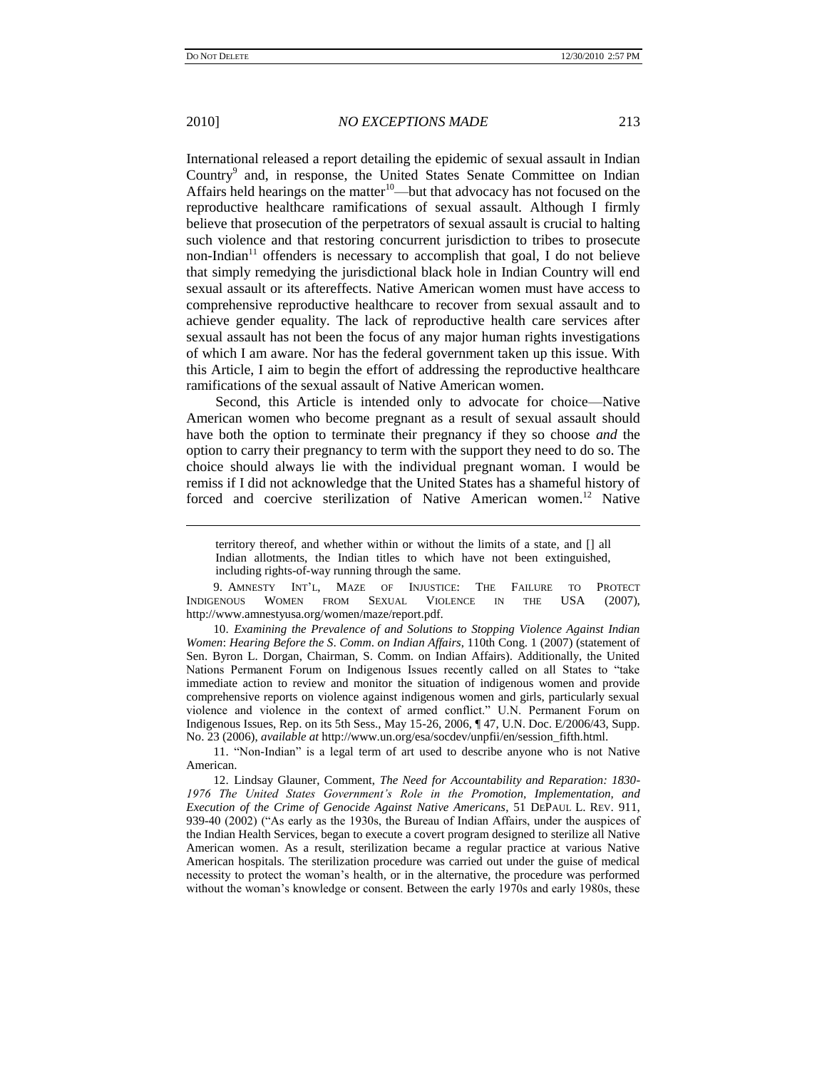2010] *NO EXCEPTIONS MADE* 213

International released a report detailing the epidemic of sexual assault in Indian Country<sup>9</sup> and, in response, the United States Senate Committee on Indian Affairs held hearings on the matter $10$ —but that advocacy has not focused on the reproductive healthcare ramifications of sexual assault. Although I firmly believe that prosecution of the perpetrators of sexual assault is crucial to halting such violence and that restoring concurrent jurisdiction to tribes to prosecute non-Indian<sup>11</sup> offenders is necessary to accomplish that goal, I do not believe that simply remedying the jurisdictional black hole in Indian Country will end sexual assault or its aftereffects. Native American women must have access to comprehensive reproductive healthcare to recover from sexual assault and to achieve gender equality. The lack of reproductive health care services after sexual assault has not been the focus of any major human rights investigations of which I am aware. Nor has the federal government taken up this issue. With

this Article, I aim to begin the effort of addressing the reproductive healthcare ramifications of the sexual assault of Native American women. Second, this Article is intended only to advocate for choice—Native

American women who become pregnant as a result of sexual assault should have both the option to terminate their pregnancy if they so choose *and* the option to carry their pregnancy to term with the support they need to do so. The choice should always lie with the individual pregnant woman. I would be remiss if I did not acknowledge that the United States has a shameful history of forced and coercive sterilization of Native American women.<sup>12</sup> Native

9. AMNESTY INT"L, MAZE OF INJUSTICE: THE FAILURE TO PROTECT INDIGENOUS WOMEN FROM SEXUAL VIOLENCE IN THE USA (2007), http://www.amnestyusa.org/women/maze/report.pdf.

10. *Examining the Prevalence of and Solutions to Stopping Violence Against Indian Women*: *Hearing Before the S*. *Comm*. *on Indian Affairs*, 110th Cong. 1 (2007) (statement of Sen. Byron L. Dorgan, Chairman, S. Comm. on Indian Affairs). Additionally, the United Nations Permanent Forum on Indigenous Issues recently called on all States to "take immediate action to review and monitor the situation of indigenous women and provide comprehensive reports on violence against indigenous women and girls, particularly sexual violence and violence in the context of armed conflict." U.N. Permanent Forum on Indigenous Issues, Rep. on its 5th Sess., May 15-26, 2006, ¶ 47, U.N. Doc. E/2006/43, Supp. No. 23 (2006), *available at* http://www.un.org/esa/socdev/unpfii/en/session\_fifth.html.

11. "Non-Indian" is a legal term of art used to describe anyone who is not Native American.

12. Lindsay Glauner, Comment, *The Need for Accountability and Reparation: 1830- 1976 The United States Government's Role in the Promotion, Implementation, and Execution of the Crime of Genocide Against Native Americans*, 51 DEPAUL L. REV. 911, 939-40 (2002) ("As early as the 1930s, the Bureau of Indian Affairs, under the auspices of the Indian Health Services, began to execute a covert program designed to sterilize all Native American women. As a result, sterilization became a regular practice at various Native American hospitals. The sterilization procedure was carried out under the guise of medical necessity to protect the woman"s health, or in the alternative, the procedure was performed without the woman"s knowledge or consent. Between the early 1970s and early 1980s, these

territory thereof, and whether within or without the limits of a state, and [] all Indian allotments, the Indian titles to which have not been extinguished, including rights-of-way running through the same.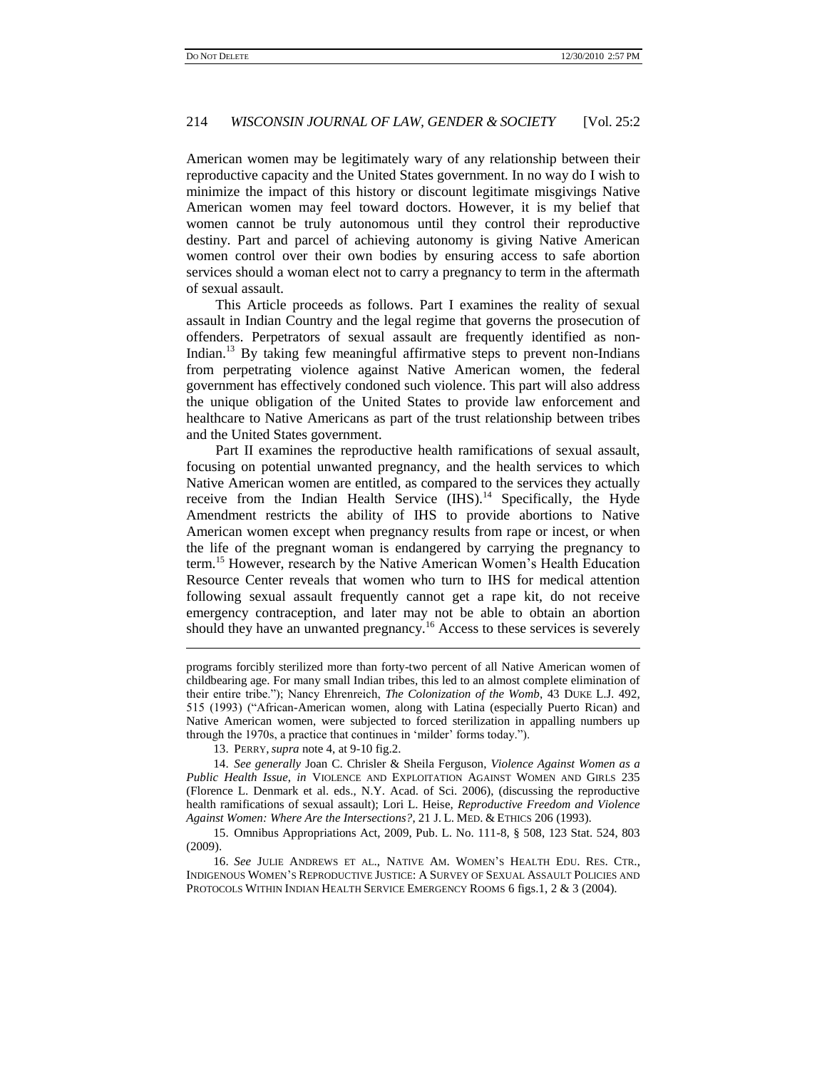American women may be legitimately wary of any relationship between their reproductive capacity and the United States government. In no way do I wish to minimize the impact of this history or discount legitimate misgivings Native American women may feel toward doctors. However, it is my belief that women cannot be truly autonomous until they control their reproductive destiny. Part and parcel of achieving autonomy is giving Native American women control over their own bodies by ensuring access to safe abortion services should a woman elect not to carry a pregnancy to term in the aftermath of sexual assault.

This Article proceeds as follows. Part I examines the reality of sexual assault in Indian Country and the legal regime that governs the prosecution of offenders. Perpetrators of sexual assault are frequently identified as non-Indian.<sup>13</sup> By taking few meaningful affirmative steps to prevent non-Indians from perpetrating violence against Native American women, the federal government has effectively condoned such violence. This part will also address the unique obligation of the United States to provide law enforcement and healthcare to Native Americans as part of the trust relationship between tribes and the United States government.

<span id="page-5-0"></span>Part II examines the reproductive health ramifications of sexual assault, focusing on potential unwanted pregnancy, and the health services to which Native American women are entitled, as compared to the services they actually receive from the Indian Health Service (IHS).<sup>14</sup> Specifically, the Hyde Amendment restricts the ability of IHS to provide abortions to Native American women except when pregnancy results from rape or incest, or when the life of the pregnant woman is endangered by carrying the pregnancy to term.<sup>15</sup> However, research by the Native American Women's Health Education Resource Center reveals that women who turn to IHS for medical attention following sexual assault frequently cannot get a rape kit, do not receive emergency contraception, and later may not be able to obtain an abortion should they have an unwanted pregnancy.<sup>16</sup> Access to these services is severely

13. PERRY,*supra* not[e 4,](#page-2-0) at 9-10 fig.2.

<span id="page-5-1"></span>programs forcibly sterilized more than forty-two percent of all Native American women of childbearing age. For many small Indian tribes, this led to an almost complete elimination of their entire tribe."); Nancy Ehrenreich, *The Colonization of the Womb*, 43 DUKE L.J. 492, 515 (1993) ("African-American women, along with Latina (especially Puerto Rican) and Native American women, were subjected to forced sterilization in appalling numbers up through the 1970s, a practice that continues in 'milder' forms today.").

<sup>14.</sup> *See generally* Joan C. Chrisler & Sheila Ferguson, *Violence Against Women as a Public Health Issue*, *in* VIOLENCE AND EXPLOITATION AGAINST WOMEN AND GIRLS 235 (Florence L. Denmark et al. eds., N.Y. Acad. of Sci. 2006), (discussing the reproductive health ramifications of sexual assault); Lori L. Heise, *Reproductive Freedom and Violence Against Women: Where Are the Intersections?*, 21 J. L. MED. & ETHICS 206 (1993).

<sup>15.</sup> Omnibus Appropriations Act, 2009, Pub. L. No. 111-8, § 508, 123 Stat. 524, 803 (2009).

<sup>16.</sup> *See* JULIE ANDREWS ET AL., NATIVE AM. WOMEN"S HEALTH EDU. RES. CTR., INDIGENOUS WOMEN"S REPRODUCTIVE JUSTICE: A SURVEY OF SEXUAL ASSAULT POLICIES AND PROTOCOLS WITHIN INDIAN HEALTH SERVICE EMERGENCY ROOMS 6 figs.1, 2 & 3 (2004).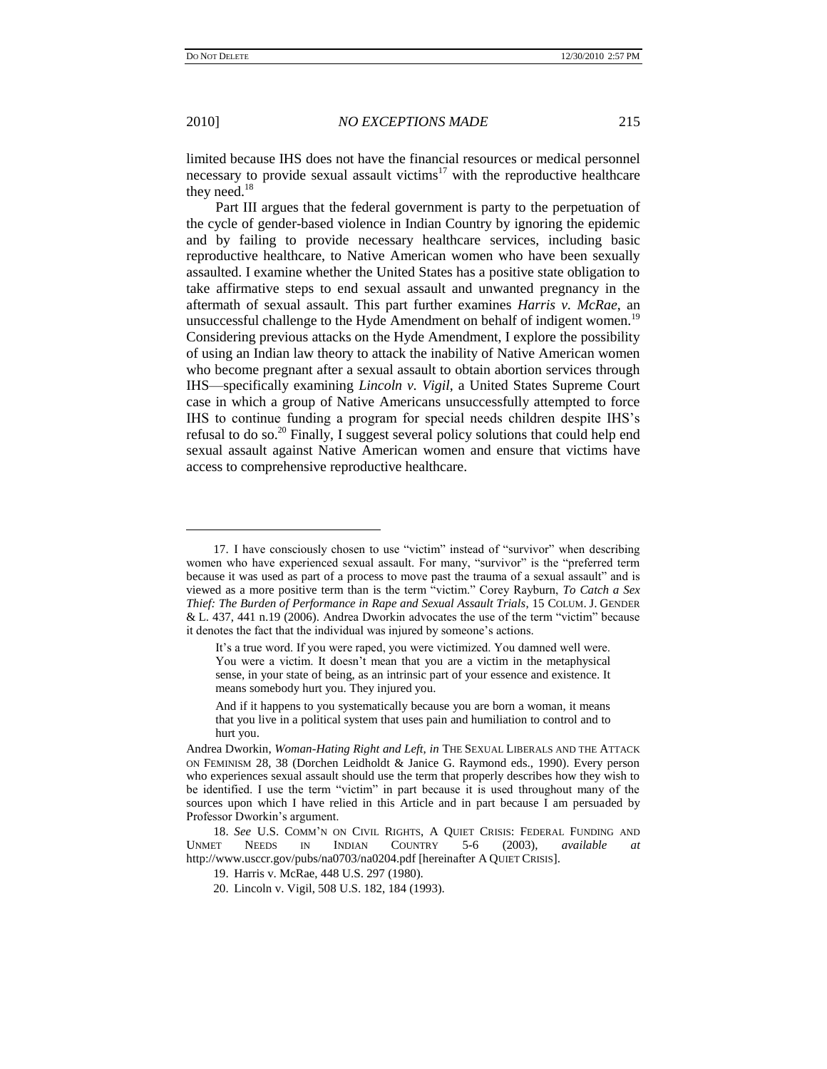2010] *NO EXCEPTIONS MADE* 215

limited because IHS does not have the financial resources or medical personnel necessary to provide sexual assault victims<sup>17</sup> with the reproductive healthcare they need.<sup>18</sup>

<span id="page-6-0"></span>Part III argues that the federal government is party to the perpetuation of the cycle of gender-based violence in Indian Country by ignoring the epidemic and by failing to provide necessary healthcare services, including basic reproductive healthcare, to Native American women who have been sexually assaulted. I examine whether the United States has a positive state obligation to take affirmative steps to end sexual assault and unwanted pregnancy in the aftermath of sexual assault. This part further examines *Harris v. McRae*, an unsuccessful challenge to the Hyde Amendment on behalf of indigent women.<sup>19</sup> Considering previous attacks on the Hyde Amendment, I explore the possibility of using an Indian law theory to attack the inability of Native American women who become pregnant after a sexual assault to obtain abortion services through IHS—specifically examining *Lincoln v. Vigil*, a United States Supreme Court case in which a group of Native Americans unsuccessfully attempted to force IHS to continue funding a program for special needs children despite IHS"s refusal to do so.<sup>20</sup> Finally, I suggest several policy solutions that could help end sexual assault against Native American women and ensure that victims have access to comprehensive reproductive healthcare.

<sup>17.</sup> I have consciously chosen to use "victim" instead of "survivor" when describing women who have experienced sexual assault. For many, "survivor" is the "preferred term because it was used as part of a process to move past the trauma of a sexual assault" and is viewed as a more positive term than is the term "victim." Corey Rayburn, *To Catch a Sex Thief: The Burden of Performance in Rape and Sexual Assault Trials*, 15 COLUM. J. GENDER & L. 437, 441 n.19 (2006). Andrea Dworkin advocates the use of the term "victim" because it denotes the fact that the individual was injured by someone"s actions.

It's a true word. If you were raped, you were victimized. You damned well were. You were a victim. It doesn't mean that you are a victim in the metaphysical sense, in your state of being, as an intrinsic part of your essence and existence. It means somebody hurt you. They injured you.

And if it happens to you systematically because you are born a woman, it means that you live in a political system that uses pain and humiliation to control and to hurt you.

Andrea Dworkin, *Woman-Hating Right and Left*, *in* THE SEXUAL LIBERALS AND THE ATTACK ON FEMINISM 28, 38 (Dorchen Leidholdt & Janice G. Raymond eds., 1990). Every person who experiences sexual assault should use the term that properly describes how they wish to be identified. I use the term "victim" in part because it is used throughout many of the sources upon which I have relied in this Article and in part because I am persuaded by Professor Dworkin"s argument.

<sup>18.</sup> *See* U.S. COMM"N ON CIVIL RIGHTS, A QUIET CRISIS: FEDERAL FUNDING AND UNMET NEEDS IN INDIAN COUNTRY 5-6 (2003), *available at* http://www.usccr.gov/pubs/na0703/na0204.pdf [hereinafter A QUIET CRISIS].

<sup>19.</sup> Harris v. McRae, 448 U.S. 297 (1980).

<sup>20.</sup> Lincoln v. Vigil, 508 U.S. 182, 184 (1993).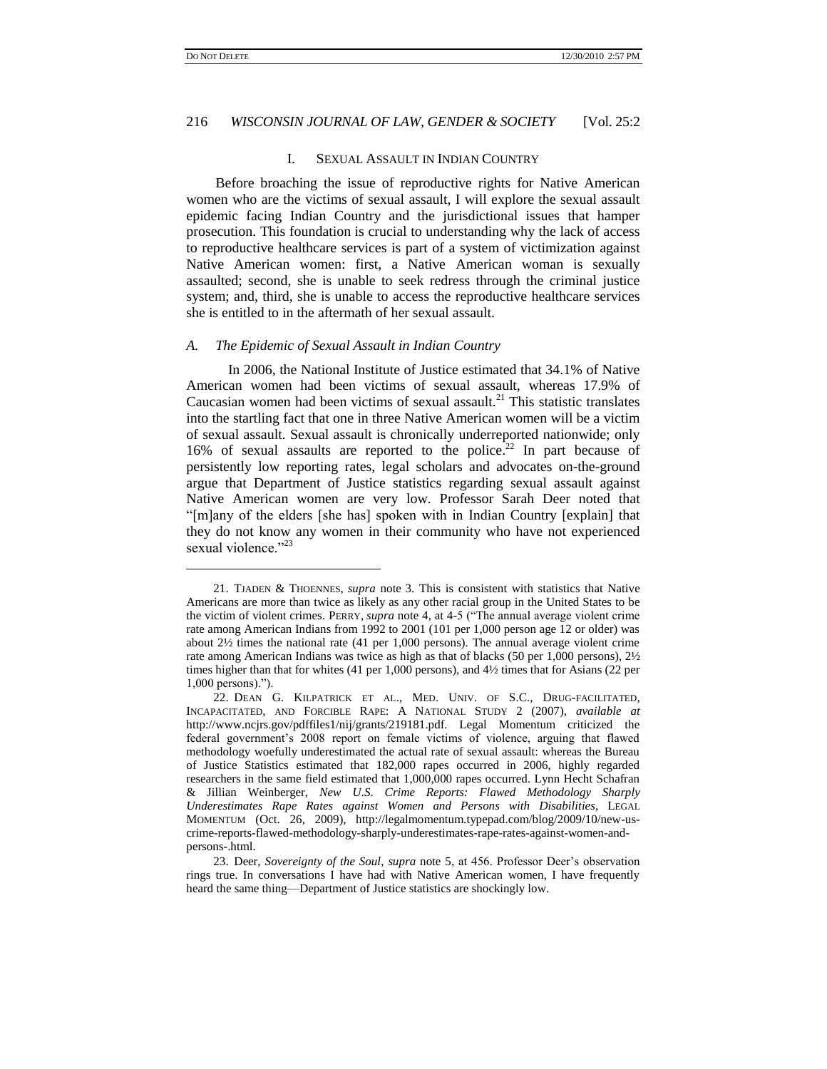### 216 *WISCONSIN JOURNAL OF LAW, GENDER & SOCIETY* [Vol. 25:2

### I. SEXUAL ASSAULT IN INDIAN COUNTRY

Before broaching the issue of reproductive rights for Native American women who are the victims of sexual assault, I will explore the sexual assault epidemic facing Indian Country and the jurisdictional issues that hamper prosecution. This foundation is crucial to understanding why the lack of access to reproductive healthcare services is part of a system of victimization against Native American women: first, a Native American woman is sexually assaulted; second, she is unable to seek redress through the criminal justice system; and, third, she is unable to access the reproductive healthcare services she is entitled to in the aftermath of her sexual assault.

#### *A. The Epidemic of Sexual Assault in Indian Country*

In 2006, the National Institute of Justice estimated that 34.1% of Native American women had been victims of sexual assault, whereas 17.9% of Caucasian women had been victims of sexual assault.<sup>21</sup> This statistic translates into the startling fact that one in three Native American women will be a victim of sexual assault. Sexual assault is chronically underreported nationwide; only 16% of sexual assaults are reported to the police.<sup>22</sup> In part because of persistently low reporting rates, legal scholars and advocates on-the-ground argue that Department of Justice statistics regarding sexual assault against Native American women are very low. Professor Sarah Deer noted that "[m]any of the elders [she has] spoken with in Indian Country [explain] that they do not know any women in their community who have not experienced sexual violence."23

<sup>21.</sup> TJADEN & THOENNES, *supra* note [3.](#page-2-1) This is consistent with statistics that Native Americans are more than twice as likely as any other racial group in the United States to be the victim of violent crimes. PERRY, *supra* note [4,](#page-2-0) at 4-5 ("The annual average violent crime rate among American Indians from 1992 to 2001 (101 per 1,000 person age 12 or older) was about 2½ times the national rate (41 per 1,000 persons). The annual average violent crime rate among American Indians was twice as high as that of blacks (50 per 1,000 persons), 2½ times higher than that for whites (41 per 1,000 persons), and 4½ times that for Asians (22 per 1,000 persons).").

<sup>22.</sup> DEAN G. KILPATRICK ET AL., MED. UNIV. OF S.C., DRUG-FACILITATED, INCAPACITATED, AND FORCIBLE RAPE: A NATIONAL STUDY 2 (2007), *available at* http://www.ncjrs.gov/pdffiles1/nij/grants/219181.pdf. Legal Momentum criticized the federal government"s 2008 report on female victims of violence, arguing that flawed methodology woefully underestimated the actual rate of sexual assault: whereas the Bureau of Justice Statistics estimated that 182,000 rapes occurred in 2006, highly regarded researchers in the same field estimated that 1,000,000 rapes occurred. Lynn Hecht Schafran & Jillian Weinberger, *New U*.*S*. *Crime Reports: Flawed Methodology Sharply Underestimates Rape Rates against Women and Persons with Disabilities*, LEGAL MOMENTUM (Oct. 26, 2009), http://legalmomentum.typepad.com/blog/2009/10/new-uscrime-reports-flawed-methodology-sharply-underestimates-rape-rates-against-women-andpersons-.html.

<sup>23.</sup> Deer, *Sovereignty of the Soul*, *supra* note [5,](#page-3-0) at 456. Professor Deer"s observation rings true. In conversations I have had with Native American women, I have frequently heard the same thing—Department of Justice statistics are shockingly low.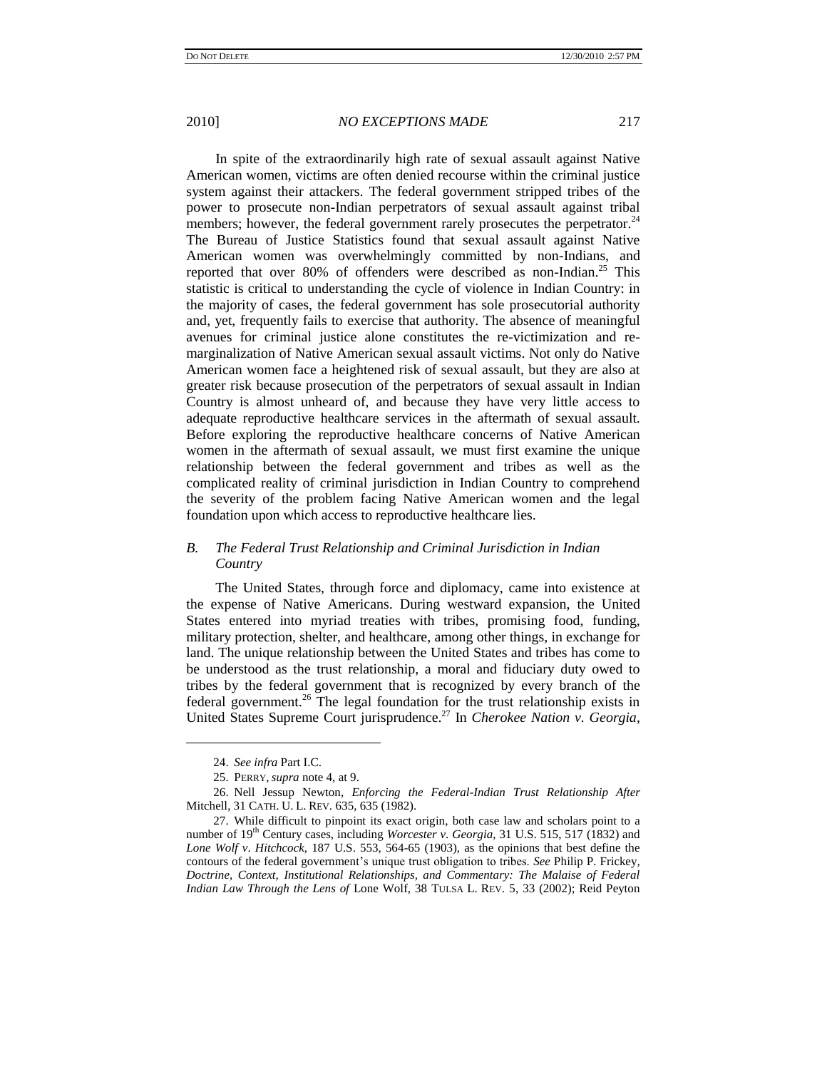In spite of the extraordinarily high rate of sexual assault against Native American women, victims are often denied recourse within the criminal justice system against their attackers. The federal government stripped tribes of the power to prosecute non-Indian perpetrators of sexual assault against tribal members; however, the federal government rarely prosecutes the perpetrator.<sup>24</sup> The Bureau of Justice Statistics found that sexual assault against Native American women was overwhelmingly committed by non-Indians, and reported that over 80% of offenders were described as non-Indian.<sup>25</sup> This statistic is critical to understanding the cycle of violence in Indian Country: in the majority of cases, the federal government has sole prosecutorial authority and, yet, frequently fails to exercise that authority. The absence of meaningful avenues for criminal justice alone constitutes the re-victimization and remarginalization of Native American sexual assault victims. Not only do Native American women face a heightened risk of sexual assault, but they are also at greater risk because prosecution of the perpetrators of sexual assault in Indian Country is almost unheard of, and because they have very little access to adequate reproductive healthcare services in the aftermath of sexual assault. Before exploring the reproductive healthcare concerns of Native American women in the aftermath of sexual assault, we must first examine the unique relationship between the federal government and tribes as well as the complicated reality of criminal jurisdiction in Indian Country to comprehend the severity of the problem facing Native American women and the legal foundation upon which access to reproductive healthcare lies.

# *B. The Federal Trust Relationship and Criminal Jurisdiction in Indian Country*

The United States, through force and diplomacy, came into existence at the expense of Native Americans. During westward expansion, the United States entered into myriad treaties with tribes, promising food, funding, military protection, shelter, and healthcare, among other things, in exchange for land. The unique relationship between the United States and tribes has come to be understood as the trust relationship, a moral and fiduciary duty owed to tribes by the federal government that is recognized by every branch of the federal government.<sup>26</sup> The legal foundation for the trust relationship exists in United States Supreme Court jurisprudence.<sup>27</sup> In *Cherokee Nation v. Georgia*,

<span id="page-8-0"></span><sup>24.</sup> *See infra* Part I.C.

<sup>25.</sup> PERRY,*supra* not[e 4,](#page-2-0) at 9.

<sup>26.</sup> Nell Jessup Newton, *Enforcing the Federal-Indian Trust Relationship After* Mitchell, 31 CATH. U. L. REV. 635, 635 (1982).

<sup>27.</sup> While difficult to pinpoint its exact origin, both case law and scholars point to a number of 19th Century cases, including *Worcester v*. *Georgia*, 31 U.S. 515, 517 (1832) and *Lone Wolf v*. *Hitchcock*, 187 U.S. 553, 564-65 (1903), as the opinions that best define the contours of the federal government"s unique trust obligation to tribes. *See* Philip P. Frickey*, Doctrine, Context, Institutional Relationships, and Commentary: The Malaise of Federal Indian Law Through the Lens of* Lone Wolf, 38 TULSA L. REV. 5, 33 (2002); Reid Peyton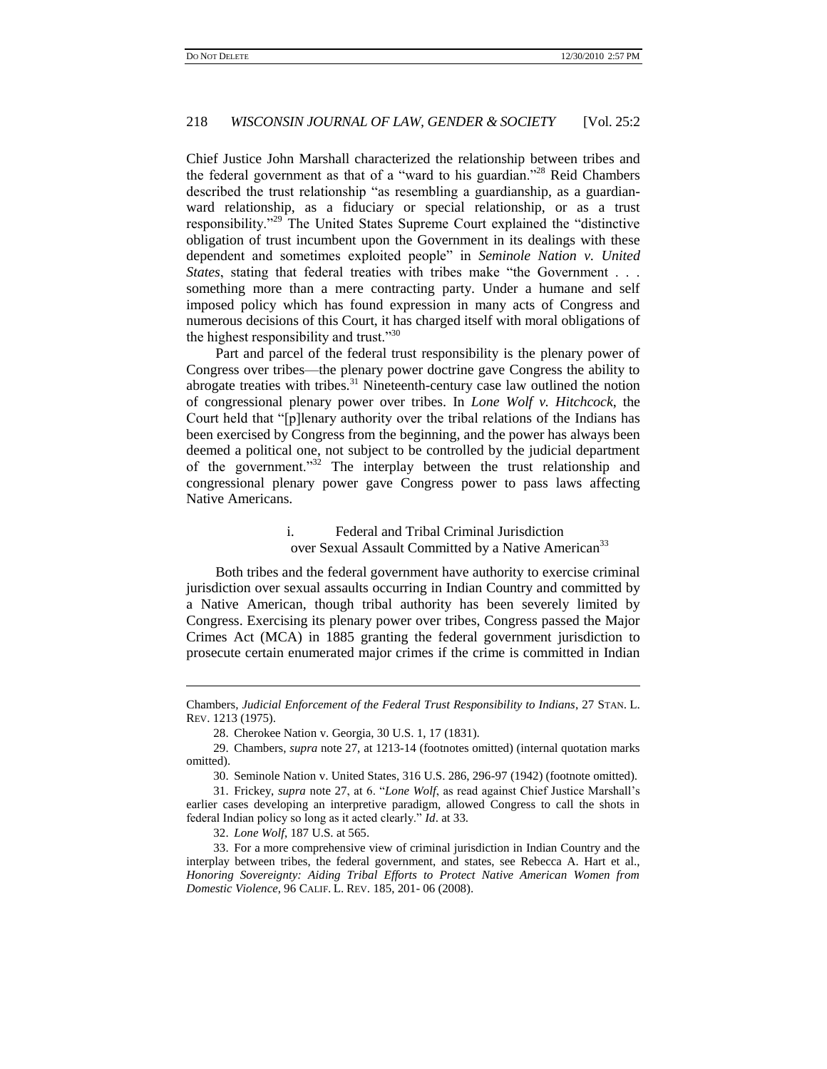Chief Justice John Marshall characterized the relationship between tribes and the federal government as that of a "ward to his guardian."<sup>28</sup> Reid Chambers described the trust relationship "as resembling a guardianship, as a guardianward relationship, as a fiduciary or special relationship, or as a trust responsibility."<sup>29</sup> The United States Supreme Court explained the "distinctive obligation of trust incumbent upon the Government in its dealings with these dependent and sometimes exploited people" in *Seminole Nation v. United States*, stating that federal treaties with tribes make "the Government . . . something more than a mere contracting party. Under a humane and self imposed policy which has found expression in many acts of Congress and numerous decisions of this Court, it has charged itself with moral obligations of the highest responsibility and trust."<sup>30</sup>

Part and parcel of the federal trust responsibility is the plenary power of Congress over tribes—the plenary power doctrine gave Congress the ability to abrogate treaties with tribes.<sup>31</sup> Nineteenth-century case law outlined the notion of congressional plenary power over tribes. In *Lone Wolf v. Hitchcock*, the Court held that "[p]lenary authority over the tribal relations of the Indians has been exercised by Congress from the beginning, and the power has always been deemed a political one, not subject to be controlled by the judicial department of the government."<sup>32</sup> The interplay between the trust relationship and congressional plenary power gave Congress power to pass laws affecting Native Americans.

# i. Federal and Tribal Criminal Jurisdiction over Sexual Assault Committed by a Native American<sup>33</sup>

Both tribes and the federal government have authority to exercise criminal jurisdiction over sexual assaults occurring in Indian Country and committed by a Native American, though tribal authority has been severely limited by Congress. Exercising its plenary power over tribes, Congress passed the Major Crimes Act (MCA) in 1885 granting the federal government jurisdiction to prosecute certain enumerated major crimes if the crime is committed in Indian

Chambers*, Judicial Enforcement of the Federal Trust Responsibility to Indians*, 27 STAN. L. REV. 1213 (1975).

<sup>28.</sup> Cherokee Nation v. Georgia, 30 U.S. 1, 17 (1831).

<sup>29.</sup> Chambers, *supra* not[e 27,](#page-8-0) at 1213-14 (footnotes omitted) (internal quotation marks omitted).

<sup>30.</sup> Seminole Nation v. United States, 316 U.S. 286, 296-97 (1942) (footnote omitted).

<sup>31.</sup> Frickey, *supra* not[e 27,](#page-8-0) at 6. "*Lone Wolf*, as read against Chief Justice Marshall"s earlier cases developing an interpretive paradigm, allowed Congress to call the shots in federal Indian policy so long as it acted clearly." *Id*. at 33.

<sup>32.</sup> *Lone Wolf*, 187 U.S. at 565.

<sup>33.</sup> For a more comprehensive view of criminal jurisdiction in Indian Country and the interplay between tribes, the federal government, and states, see Rebecca A. Hart et al., *Honoring Sovereignty: Aiding Tribal Efforts to Protect Native American Women from Domestic Violence*, 96 CALIF. L. REV. 185, 201- 06 (2008).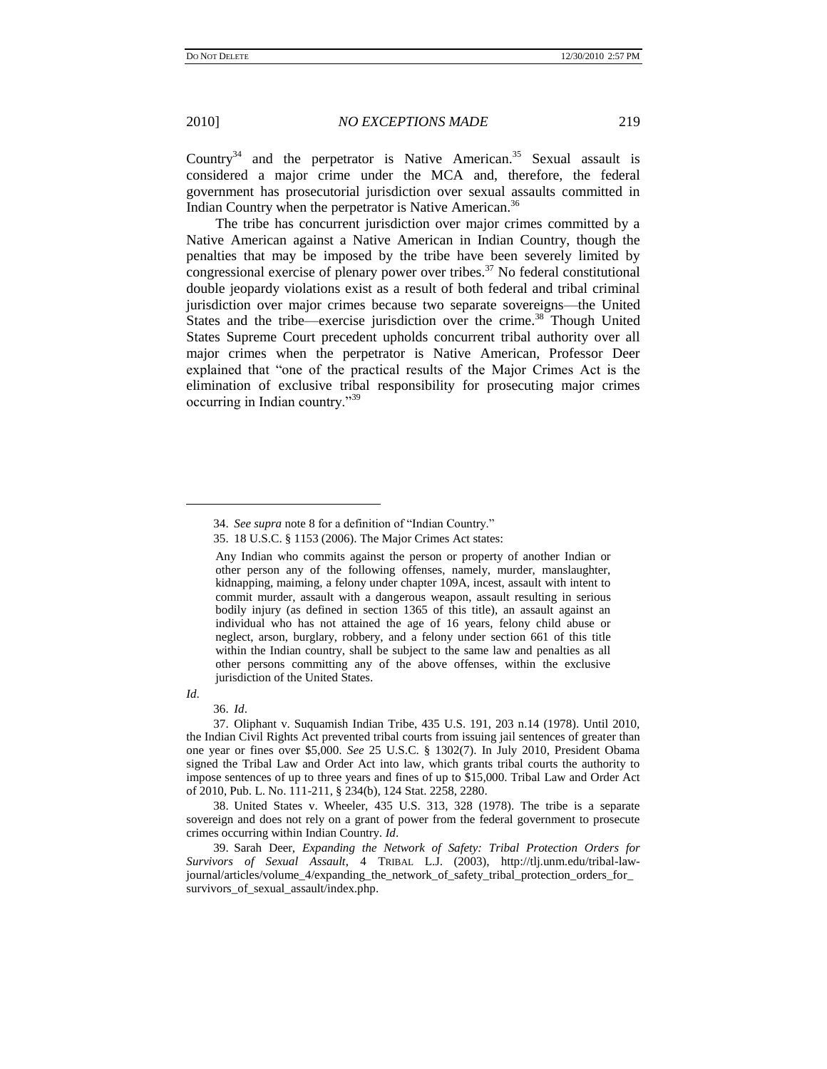Country<sup>34</sup> and the perpetrator is Native American.<sup>35</sup> Sexual assault is considered a major crime under the MCA and, therefore, the federal government has prosecutorial jurisdiction over sexual assaults committed in Indian Country when the perpetrator is Native American.<sup>36</sup>

The tribe has concurrent jurisdiction over major crimes committed by a Native American against a Native American in Indian Country, though the penalties that may be imposed by the tribe have been severely limited by congressional exercise of plenary power over tribes.<sup>37</sup> No federal constitutional double jeopardy violations exist as a result of both federal and tribal criminal jurisdiction over major crimes because two separate sovereigns—the United States and the tribe—exercise jurisdiction over the crime.<sup>38</sup> Though United States Supreme Court precedent upholds concurrent tribal authority over all major crimes when the perpetrator is Native American, Professor Deer explained that "one of the practical results of the Major Crimes Act is the elimination of exclusive tribal responsibility for prosecuting major crimes occurring in Indian country."<sup>39</sup>

*Id*.

l

36. *Id*.

37. Oliphant v. Suquamish Indian Tribe, 435 U.S. 191, 203 n.14 (1978). Until 2010, the Indian Civil Rights Act prevented tribal courts from issuing jail sentences of greater than one year or fines over \$5,000. *See* 25 U.S.C. § 1302(7). In July 2010, President Obama signed the Tribal Law and Order Act into law, which grants tribal courts the authority to impose sentences of up to three years and fines of up to \$15,000. Tribal Law and Order Act of 2010, Pub. L. No. 111-211, § 234(b), 124 Stat. 2258, 2280.

38. United States v. Wheeler, 435 U.S. 313, 328 (1978). The tribe is a separate sovereign and does not rely on a grant of power from the federal government to prosecute crimes occurring within Indian Country. *Id*.

39. Sarah Deer, *Expanding the Network of Safety: Tribal Protection Orders for Survivors of Sexual Assault*, 4 TRIBAL L.J. (2003), http://tlj.unm.edu/tribal-lawjournal/articles/volume\_4/expanding\_the\_network\_of\_safety\_tribal\_protection\_orders\_for\_ survivors\_of\_sexual\_assault/index.php.

<sup>34.</sup> *See supra* not[e 8](#page-3-1) for a definition of "Indian Country."

<sup>35.</sup> 18 U.S.C. § 1153 (2006). The Major Crimes Act states:

Any Indian who commits against the person or property of another Indian or other person any of the following offenses, namely, murder, manslaughter, kidnapping, maiming, a felony under chapter 109A, incest, assault with intent to commit murder, assault with a dangerous weapon, assault resulting in serious bodily injury (as defined in section 1365 of this title), an assault against an individual who has not attained the age of 16 years, felony child abuse or neglect, arson, burglary, robbery, and a felony under section 661 of this title within the Indian country, shall be subject to the same law and penalties as all other persons committing any of the above offenses, within the exclusive jurisdiction of the United States.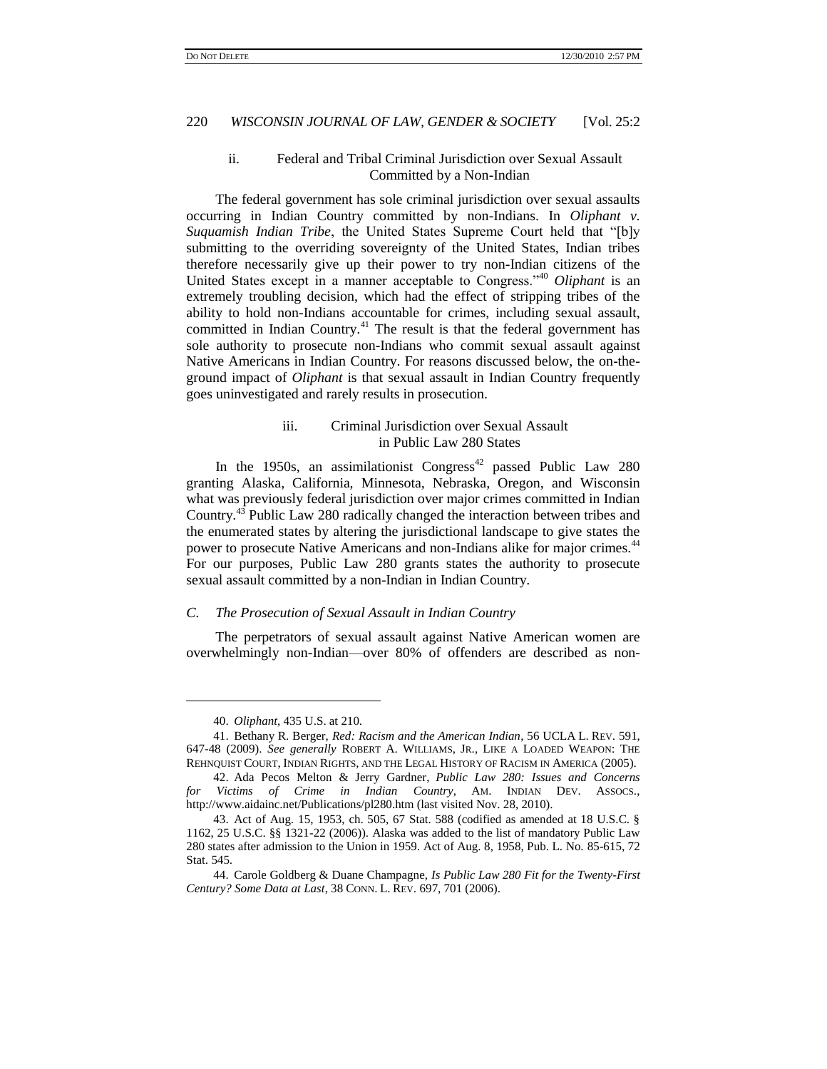### ii. Federal and Tribal Criminal Jurisdiction over Sexual Assault Committed by a Non-Indian

The federal government has sole criminal jurisdiction over sexual assaults occurring in Indian Country committed by non-Indians. In *Oliphant v. Suquamish Indian Tribe*, the United States Supreme Court held that "[b]y submitting to the overriding sovereignty of the United States, Indian tribes therefore necessarily give up their power to try non-Indian citizens of the United States except in a manner acceptable to Congress."<sup>40</sup> *Oliphant* is an extremely troubling decision, which had the effect of stripping tribes of the ability to hold non-Indians accountable for crimes, including sexual assault, committed in Indian Country.<sup>41</sup> The result is that the federal government has sole authority to prosecute non-Indians who commit sexual assault against Native Americans in Indian Country. For reasons discussed below, the on-theground impact of *Oliphant* is that sexual assault in Indian Country frequently goes uninvestigated and rarely results in prosecution.

### iii. Criminal Jurisdiction over Sexual Assault in Public Law 280 States

In the 1950s, an assimilationist Congress<sup>42</sup> passed Public Law 280 granting Alaska, California, Minnesota, Nebraska, Oregon, and Wisconsin what was previously federal jurisdiction over major crimes committed in Indian Country.<sup>43</sup> Public Law 280 radically changed the interaction between tribes and the enumerated states by altering the jurisdictional landscape to give states the power to prosecute Native Americans and non-Indians alike for major crimes.<sup>44</sup> For our purposes, Public Law 280 grants states the authority to prosecute sexual assault committed by a non-Indian in Indian Country.

#### *C. The Prosecution of Sexual Assault in Indian Country*

The perpetrators of sexual assault against Native American women are overwhelmingly non-Indian—over 80% of offenders are described as non-

<sup>40.</sup> *Oliphant*, 435 U.S. at 210.

<sup>41.</sup> Bethany R. Berger, *Red: Racism and the American Indian*, 56 UCLA L. REV. 591, 647-48 (2009). *See generally* ROBERT A. WILLIAMS, JR., LIKE A LOADED WEAPON: THE REHNQUIST COURT, INDIAN RIGHTS, AND THE LEGAL HISTORY OF RACISM IN AMERICA (2005).

<sup>42.</sup> Ada Pecos Melton & Jerry Gardner, *Public Law 280: Issues and Concerns for Victims of Crime in Indian Country*, AM. INDIAN DEV. ASSOCS., http://www.aidainc.net/Publications/pl280.htm (last visited Nov. 28, 2010).

<sup>43.</sup> Act of Aug. 15, 1953, ch. 505, 67 Stat. 588 (codified as amended at 18 U.S.C. § 1162, 25 U.S.C. §§ 1321-22 (2006)). Alaska was added to the list of mandatory Public Law 280 states after admission to the Union in 1959. Act of Aug. 8, 1958, Pub. L. No. 85-615, 72 Stat. 545.

<sup>44.</sup> Carole Goldberg & Duane Champagne, *Is Public Law 280 Fit for the Twenty-First Century? Some Data at Last*, 38 CONN. L. REV. 697, 701 (2006).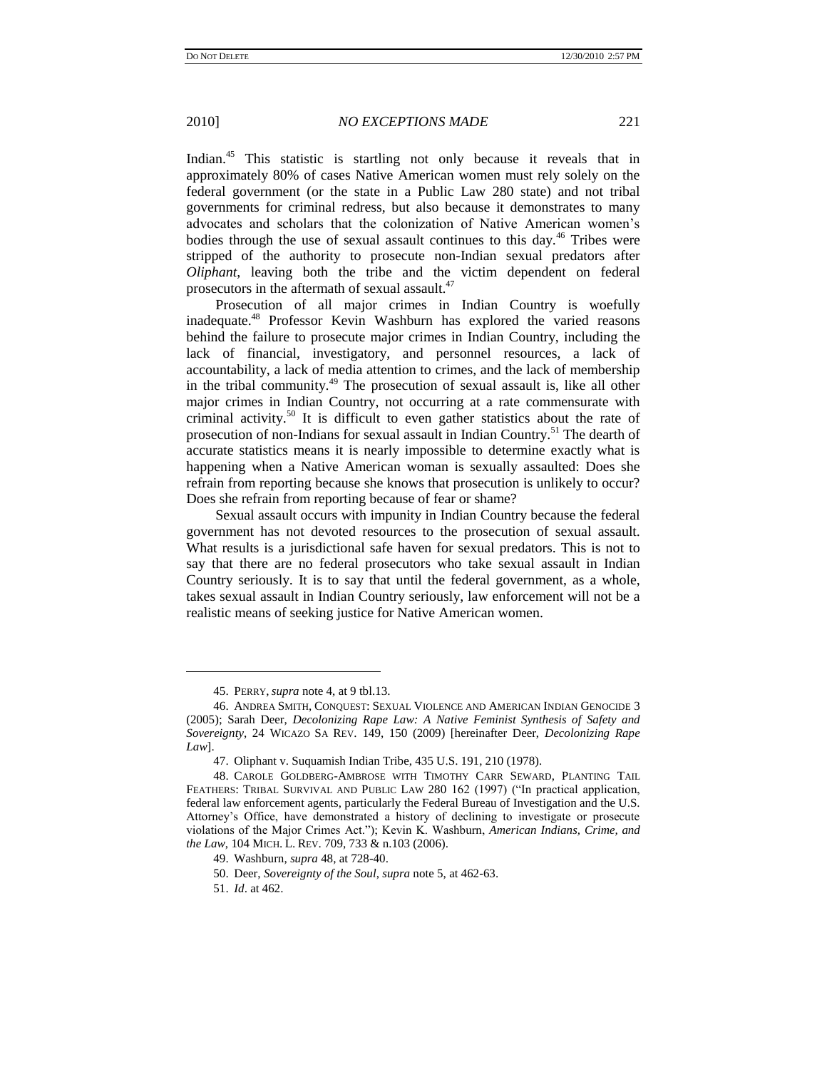Indian.<sup>45</sup> This statistic is startling not only because it reveals that in approximately 80% of cases Native American women must rely solely on the federal government (or the state in a Public Law 280 state) and not tribal governments for criminal redress, but also because it demonstrates to many advocates and scholars that the colonization of Native American women"s bodies through the use of sexual assault continues to this day.<sup>46</sup> Tribes were stripped of the authority to prosecute non-Indian sexual predators after *Oliphant*, leaving both the tribe and the victim dependent on federal prosecutors in the aftermath of sexual assault.<sup>47</sup>

<span id="page-12-1"></span><span id="page-12-0"></span>Prosecution of all major crimes in Indian Country is woefully inadequate.<sup>48</sup> Professor Kevin Washburn has explored the varied reasons behind the failure to prosecute major crimes in Indian Country, including the lack of financial, investigatory, and personnel resources, a lack of accountability, a lack of media attention to crimes, and the lack of membership in the tribal community.<sup>49</sup> The prosecution of sexual assault is, like all other major crimes in Indian Country, not occurring at a rate commensurate with criminal activity.<sup>50</sup> It is difficult to even gather statistics about the rate of prosecution of non-Indians for sexual assault in Indian Country.<sup>51</sup> The dearth of accurate statistics means it is nearly impossible to determine exactly what is happening when a Native American woman is sexually assaulted: Does she refrain from reporting because she knows that prosecution is unlikely to occur? Does she refrain from reporting because of fear or shame?

Sexual assault occurs with impunity in Indian Country because the federal government has not devoted resources to the prosecution of sexual assault. What results is a jurisdictional safe haven for sexual predators. This is not to say that there are no federal prosecutors who take sexual assault in Indian Country seriously. It is to say that until the federal government, as a whole, takes sexual assault in Indian Country seriously, law enforcement will not be a realistic means of seeking justice for Native American women.

<sup>45.</sup> PERRY,*supra* not[e 4,](#page-2-0) at 9 tbl.13.

<sup>46.</sup> ANDREA SMITH, CONQUEST: SEXUAL VIOLENCE AND AMERICAN INDIAN GENOCIDE 3 (2005); Sarah Deer, *Decolonizing Rape Law: A Native Feminist Synthesis of Safety and Sovereignty*, 24 WICAZO SA REV. 149, 150 (2009) [hereinafter Deer, *Decolonizing Rape Law*].

<sup>47.</sup> Oliphant v. Suquamish Indian Tribe, 435 U.S. 191, 210 (1978).

<sup>48.</sup> CAROLE GOLDBERG-AMBROSE WITH TIMOTHY CARR SEWARD, PLANTING TAIL FEATHERS: TRIBAL SURVIVAL AND PUBLIC LAW 280 162 (1997) ("In practical application, federal law enforcement agents, particularly the Federal Bureau of Investigation and the U.S. Attorney"s Office, have demonstrated a history of declining to investigate or prosecute violations of the Major Crimes Act."); Kevin K. Washburn, *American Indians, Crime, and the Law*, 104 MICH. L. REV. 709, 733 & n.103 (2006).

<sup>49.</sup> Washburn, *supra* [48,](#page-12-0) at 728-40.

<sup>50.</sup> Deer, *Sovereignty of the Soul*, *supra* not[e 5,](#page-3-0) at 462-63.

<sup>51.</sup> *Id*. at 462.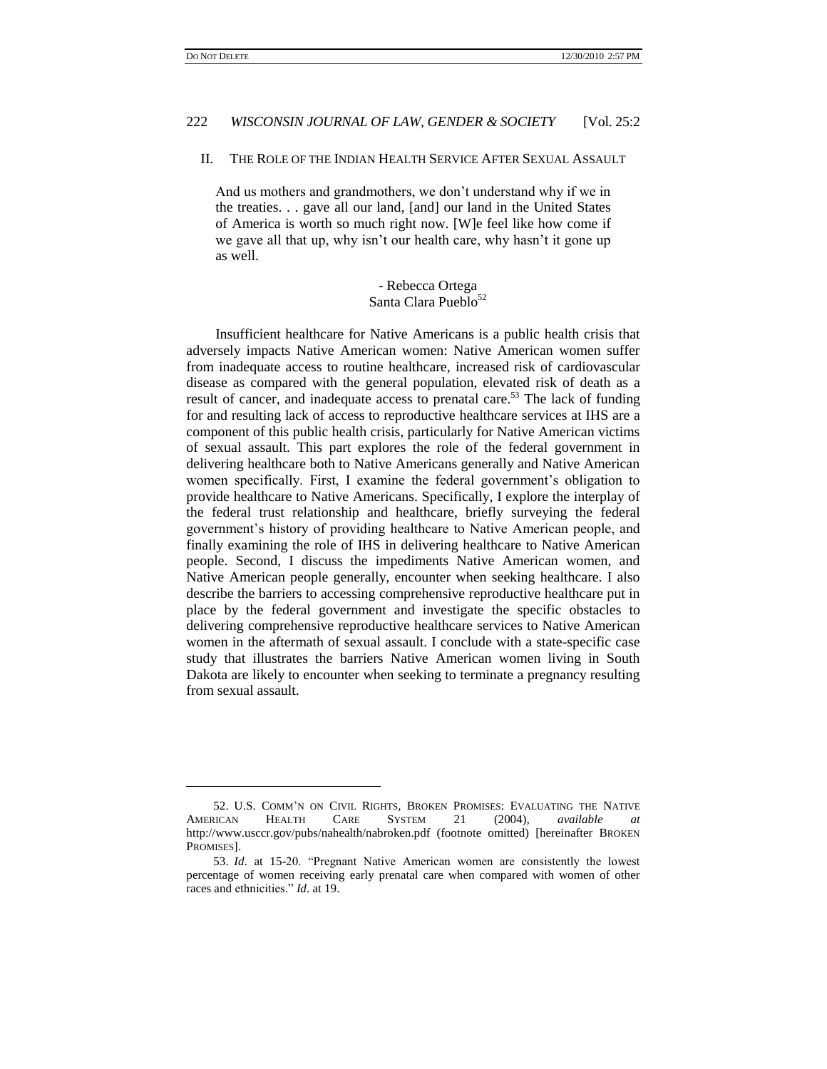$\overline{a}$ 

# 222 *WISCONSIN JOURNAL OF LAW, GENDER & SOCIETY* [Vol. 25:2

### II. THE ROLE OF THE INDIAN HEALTH SERVICE AFTER SEXUAL ASSAULT

And us mothers and grandmothers, we don"t understand why if we in the treaties. . . gave all our land, [and] our land in the United States of America is worth so much right now. [W]e feel like how come if we gave all that up, why isn't our health care, why hasn't it gone up as well.

> <span id="page-13-0"></span>- Rebecca Ortega Santa Clara Pueblo<sup>52</sup>

Insufficient healthcare for Native Americans is a public health crisis that adversely impacts Native American women: Native American women suffer from inadequate access to routine healthcare, increased risk of cardiovascular disease as compared with the general population, elevated risk of death as a result of cancer, and inadequate access to prenatal care.<sup>53</sup> The lack of funding for and resulting lack of access to reproductive healthcare services at IHS are a component of this public health crisis, particularly for Native American victims of sexual assault. This part explores the role of the federal government in delivering healthcare both to Native Americans generally and Native American women specifically. First, I examine the federal government's obligation to provide healthcare to Native Americans. Specifically, I explore the interplay of the federal trust relationship and healthcare, briefly surveying the federal government"s history of providing healthcare to Native American people, and finally examining the role of IHS in delivering healthcare to Native American people. Second, I discuss the impediments Native American women, and Native American people generally, encounter when seeking healthcare. I also describe the barriers to accessing comprehensive reproductive healthcare put in place by the federal government and investigate the specific obstacles to delivering comprehensive reproductive healthcare services to Native American women in the aftermath of sexual assault. I conclude with a state-specific case study that illustrates the barriers Native American women living in South Dakota are likely to encounter when seeking to terminate a pregnancy resulting from sexual assault.

<sup>52.</sup> U.S. COMM"N ON CIVIL RIGHTS, BROKEN PROMISES: EVALUATING THE NATIVE AMERICAN HEALTH CARE SYSTEM 21 (2004), *available at*  http://www.usccr.gov/pubs/nahealth/nabroken.pdf (footnote omitted) [hereinafter BROKEN PROMISES].

<sup>53.</sup> *Id*. at 15-20. "Pregnant Native American women are consistently the lowest percentage of women receiving early prenatal care when compared with women of other races and ethnicities." *Id*. at 19.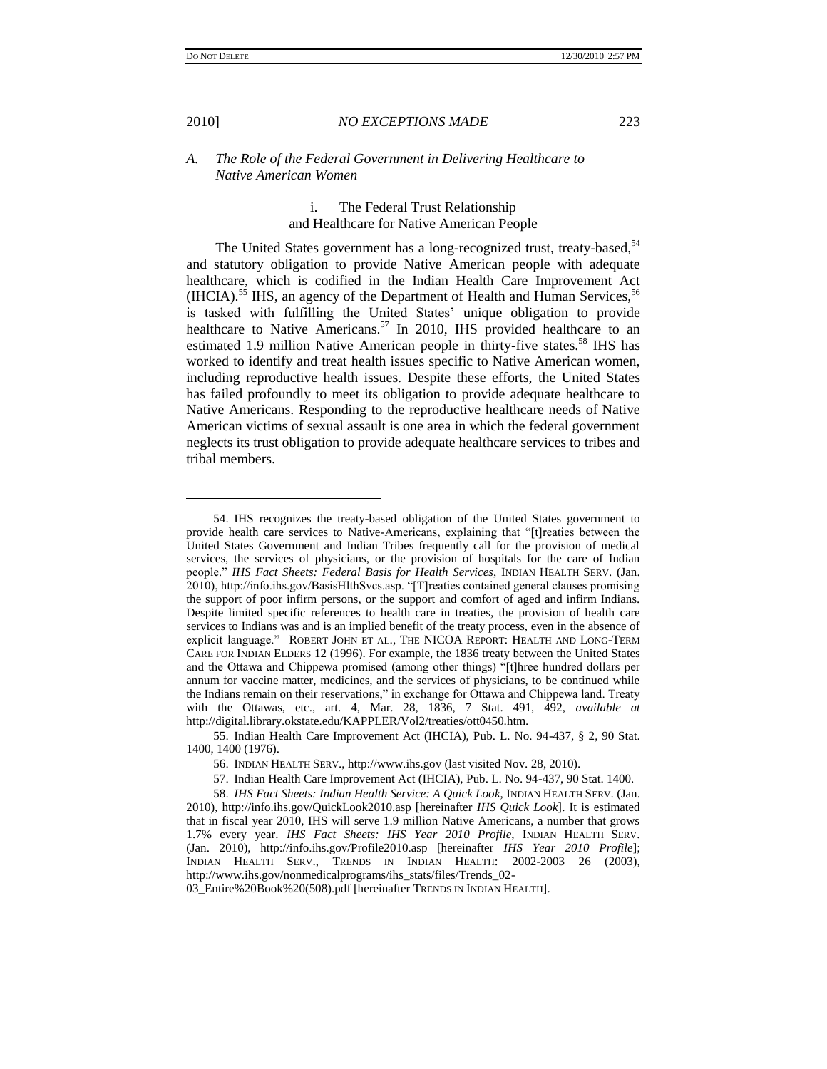$\overline{a}$ 

### 2010] *NO EXCEPTIONS MADE* 223

### *A. The Role of the Federal Government in Delivering Healthcare to Native American Women*

# i. The Federal Trust Relationship and Healthcare for Native American People

The United States government has a long-recognized trust, treaty-based,<sup>54</sup> and statutory obligation to provide Native American people with adequate healthcare, which is codified in the Indian Health Care Improvement Act (IHCIA).<sup>55</sup> IHS, an agency of the Department of Health and Human Services,<sup>56</sup> is tasked with fulfilling the United States' unique obligation to provide healthcare to Native Americans.<sup>57</sup> In 2010, IHS provided healthcare to an estimated 1.9 million Native American people in thirty-five states.<sup>58</sup> IHS has worked to identify and treat health issues specific to Native American women, including reproductive health issues. Despite these efforts, the United States has failed profoundly to meet its obligation to provide adequate healthcare to Native Americans. Responding to the reproductive healthcare needs of Native American victims of sexual assault is one area in which the federal government neglects its trust obligation to provide adequate healthcare services to tribes and tribal members.

<span id="page-14-0"></span>

<sup>54.</sup> IHS recognizes the treaty-based obligation of the United States government to provide health care services to Native-Americans, explaining that "[t]reaties between the United States Government and Indian Tribes frequently call for the provision of medical services, the services of physicians, or the provision of hospitals for the care of Indian people." *IHS Fact Sheets: Federal Basis for Health Services*, INDIAN HEALTH SERV. (Jan. 2010), http://info.ihs.gov/BasisHlthSvcs.asp. "[T]reaties contained general clauses promising the support of poor infirm persons, or the support and comfort of aged and infirm Indians. Despite limited specific references to health care in treaties, the provision of health care services to Indians was and is an implied benefit of the treaty process, even in the absence of explicit language." ROBERT JOHN ET AL., THE NICOA REPORT: HEALTH AND LONG-TERM CARE FOR INDIAN ELDERS 12 (1996). For example, the 1836 treaty between the United States and the Ottawa and Chippewa promised (among other things) "[t]hree hundred dollars per annum for vaccine matter, medicines, and the services of physicians, to be continued while the Indians remain on their reservations," in exchange for Ottawa and Chippewa land. Treaty with the Ottawas, etc., art. 4, Mar. 28, 1836, 7 Stat. 491, 492, *available at* http://digital.library.okstate.edu/KAPPLER/Vol2/treaties/ott0450.htm.

<sup>55.</sup> Indian Health Care Improvement Act (IHCIA), Pub. L. No. 94-437, § 2, 90 Stat. 1400, 1400 (1976).

<sup>56.</sup> INDIAN HEALTH SERV., http://www.ihs.gov (last visited Nov. 28, 2010).

<sup>57.</sup> Indian Health Care Improvement Act (IHCIA), Pub. L. No. 94-437, 90 Stat. 1400.

<sup>58.</sup> *IHS Fact Sheets: Indian Health Service: A Quick Look*, INDIAN HEALTH SERV. (Jan. 2010), http://info.ihs.gov/QuickLook2010.asp [hereinafter *IHS Quick Look*]. It is estimated that in fiscal year 2010, IHS will serve 1.9 million Native Americans, a number that grows 1.7% every year. *IHS Fact Sheets: IHS Year 2010 Profile*, INDIAN HEALTH SERV. (Jan. 2010), http://info.ihs.gov/Profile2010.asp [hereinafter *IHS Year 2010 Profile*]; INDIAN HEALTH SERV., TRENDS IN INDIAN HEALTH: 2002-2003 26 (2003), http://www.ihs.gov/nonmedicalprograms/ihs\_stats/files/Trends\_02-

<sup>03</sup>\_Entire%20Book%20(508).pdf [hereinafter TRENDS IN INDIAN HEALTH].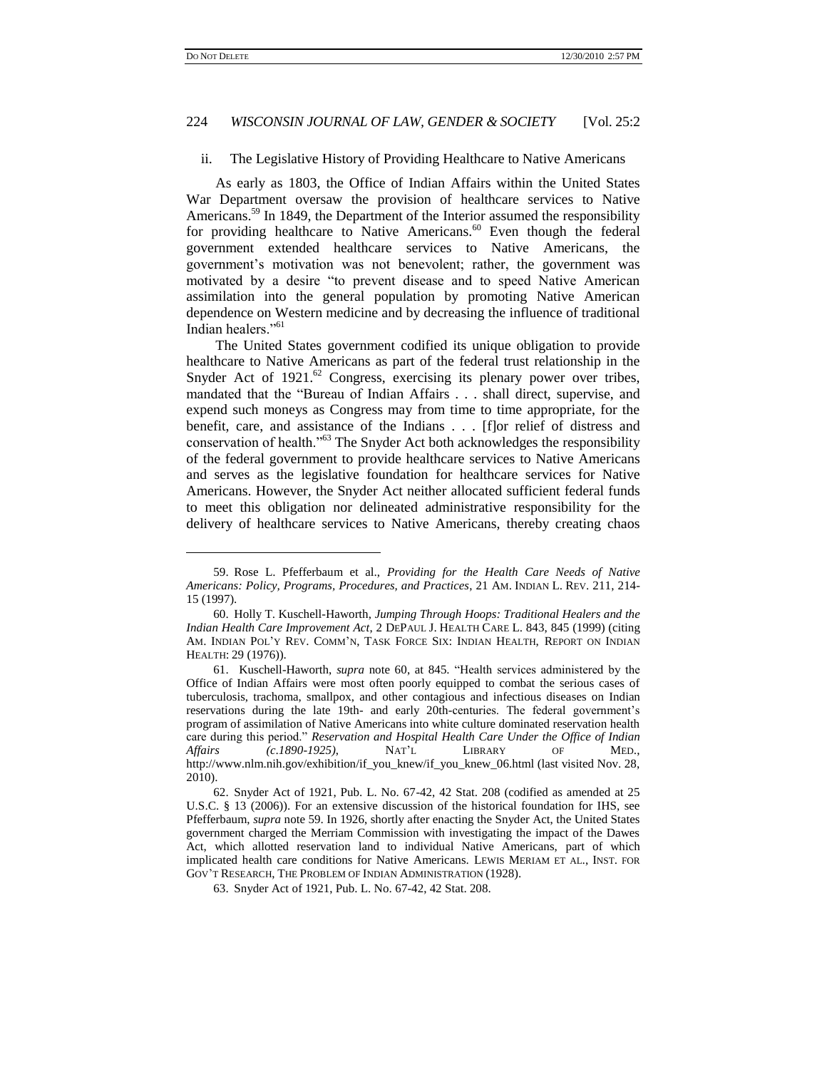# 224 *WISCONSIN JOURNAL OF LAW, GENDER & SOCIETY* [Vol. 25:2

### <span id="page-15-0"></span>ii. The Legislative History of Providing Healthcare to Native Americans

<span id="page-15-1"></span>As early as 1803, the Office of Indian Affairs within the United States War Department oversaw the provision of healthcare services to Native Americans.<sup>59</sup> In 1849, the Department of the Interior assumed the responsibility for providing healthcare to Native Americans.<sup>60</sup> Even though the federal government extended healthcare services to Native Americans, the government's motivation was not benevolent; rather, the government was motivated by a desire "to prevent disease and to speed Native American assimilation into the general population by promoting Native American dependence on Western medicine and by decreasing the influence of traditional Indian healers."<sup>61</sup>

The United States government codified its unique obligation to provide healthcare to Native Americans as part of the federal trust relationship in the Snyder Act of 1921.<sup>62</sup> Congress, exercising its plenary power over tribes, mandated that the "Bureau of Indian Affairs . . . shall direct, supervise, and expend such moneys as Congress may from time to time appropriate, for the benefit, care, and assistance of the Indians . . . [f]or relief of distress and conservation of health."<sup>63</sup> The Snyder Act both acknowledges the responsibility of the federal government to provide healthcare services to Native Americans and serves as the legislative foundation for healthcare services for Native Americans. However, the Snyder Act neither allocated sufficient federal funds to meet this obligation nor delineated administrative responsibility for the delivery of healthcare services to Native Americans, thereby creating chaos

<sup>59.</sup> Rose L. Pfefferbaum et al., *Providing for the Health Care Needs of Native Americans: Policy, Programs, Procedures, and Practices*, 21 AM. INDIAN L. REV. 211, 214- 15 (1997).

<sup>60.</sup> Holly T. Kuschell-Haworth, *Jumping Through Hoops: Traditional Healers and the Indian Health Care Improvement Act*, 2 DEPAUL J. HEALTH CARE L. 843, 845 (1999) (citing AM. INDIAN POL"Y REV. COMM"N, TASK FORCE SIX: INDIAN HEALTH, REPORT ON INDIAN HEALTH: 29 (1976)).

<sup>61.</sup> Kuschell-Haworth, *supra* note [60,](#page-15-0) at 845. "Health services administered by the Office of Indian Affairs were most often poorly equipped to combat the serious cases of tuberculosis, trachoma, smallpox, and other contagious and infectious diseases on Indian reservations during the late 19th- and early 20th-centuries. The federal government"s program of assimilation of Native Americans into white culture dominated reservation health care during this period." *Reservation and Hospital Health Care Under the Office of Indian Affairs (c*.*1890-1925)*, NAT"L LIBRARY OF MED., http://www.nlm.nih.gov/exhibition/if\_you\_knew/if\_you\_knew\_06.html (last visited Nov. 28, 2010).

<sup>62.</sup> Snyder Act of 1921, Pub. L. No. 67-42, 42 Stat. 208 (codified as amended at 25 U.S.C. § 13 (2006)). For an extensive discussion of the historical foundation for IHS, see Pfefferbaum, *supra* not[e 59.](#page-15-1) In 1926, shortly after enacting the Snyder Act, the United States government charged the Merriam Commission with investigating the impact of the Dawes Act, which allotted reservation land to individual Native Americans, part of which implicated health care conditions for Native Americans. LEWIS MERIAM ET AL., INST. FOR GOV"T RESEARCH, THE PROBLEM OF INDIAN ADMINISTRATION (1928).

<sup>63.</sup> Snyder Act of 1921, Pub. L. No. 67-42, 42 Stat. 208.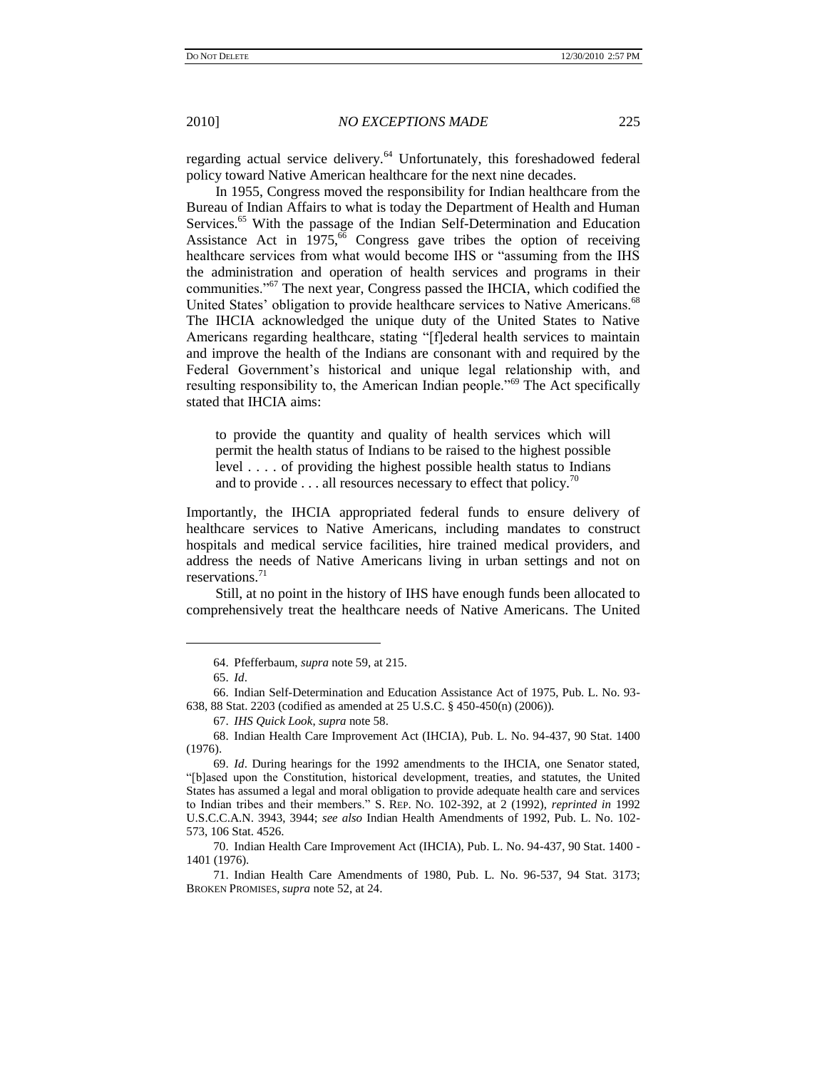regarding actual service delivery.<sup>64</sup> Unfortunately, this foreshadowed federal policy toward Native American healthcare for the next nine decades.

In 1955, Congress moved the responsibility for Indian healthcare from the Bureau of Indian Affairs to what is today the Department of Health and Human Services.<sup>65</sup> With the passage of the Indian Self-Determination and Education Assistance Act in  $1975$ ,<sup>66</sup> Congress gave tribes the option of receiving healthcare services from what would become IHS or "assuming from the IHS the administration and operation of health services and programs in their communities."<sup>67</sup> The next year, Congress passed the IHCIA, which codified the United States' obligation to provide healthcare services to Native Americans.<sup>68</sup> The IHCIA acknowledged the unique duty of the United States to Native Americans regarding healthcare, stating "[f]ederal health services to maintain and improve the health of the Indians are consonant with and required by the Federal Government's historical and unique legal relationship with, and resulting responsibility to, the American Indian people."<sup>69</sup> The Act specifically stated that IHCIA aims:

to provide the quantity and quality of health services which will permit the health status of Indians to be raised to the highest possible level . . . . of providing the highest possible health status to Indians and to provide  $\dots$  all resources necessary to effect that policy.<sup>70</sup>

Importantly, the IHCIA appropriated federal funds to ensure delivery of healthcare services to Native Americans, including mandates to construct hospitals and medical service facilities, hire trained medical providers, and address the needs of Native Americans living in urban settings and not on reservations.<sup>71</sup>

Still, at no point in the history of IHS have enough funds been allocated to comprehensively treat the healthcare needs of Native Americans. The United

<sup>64.</sup> Pfefferbaum, *supra* not[e 59,](#page-15-1) at 215.

<sup>65.</sup> *Id*.

<sup>66.</sup> Indian Self-Determination and Education Assistance Act of 1975, Pub. L. No. 93- 638, 88 Stat. 2203 (codified as amended at 25 U.S.C. § 450-450(n) (2006)).

<sup>67.</sup> *IHS Quick Look*, *supra* not[e 58.](#page-14-0)

<sup>68.</sup> Indian Health Care Improvement Act (IHCIA), Pub. L. No. 94-437, 90 Stat. 1400 (1976).

<sup>69.</sup> *Id*. During hearings for the 1992 amendments to the IHCIA, one Senator stated, "[b]ased upon the Constitution, historical development, treaties, and statutes, the United States has assumed a legal and moral obligation to provide adequate health care and services to Indian tribes and their members." S. REP. NO. 102-392, at 2 (1992), *reprinted in* 1992 U.S.C.C.A.N. 3943, 3944; *see also* Indian Health Amendments of 1992, Pub. L. No. 102- 573, 106 Stat. 4526.

<sup>70.</sup> Indian Health Care Improvement Act (IHCIA), Pub. L. No. 94-437, 90 Stat. 1400 - 1401 (1976).

<sup>71.</sup> Indian Health Care Amendments of 1980, Pub. L. No. 96-537, 94 Stat. 3173; BROKEN PROMISES, *supra* not[e 52,](#page-13-0) at 24.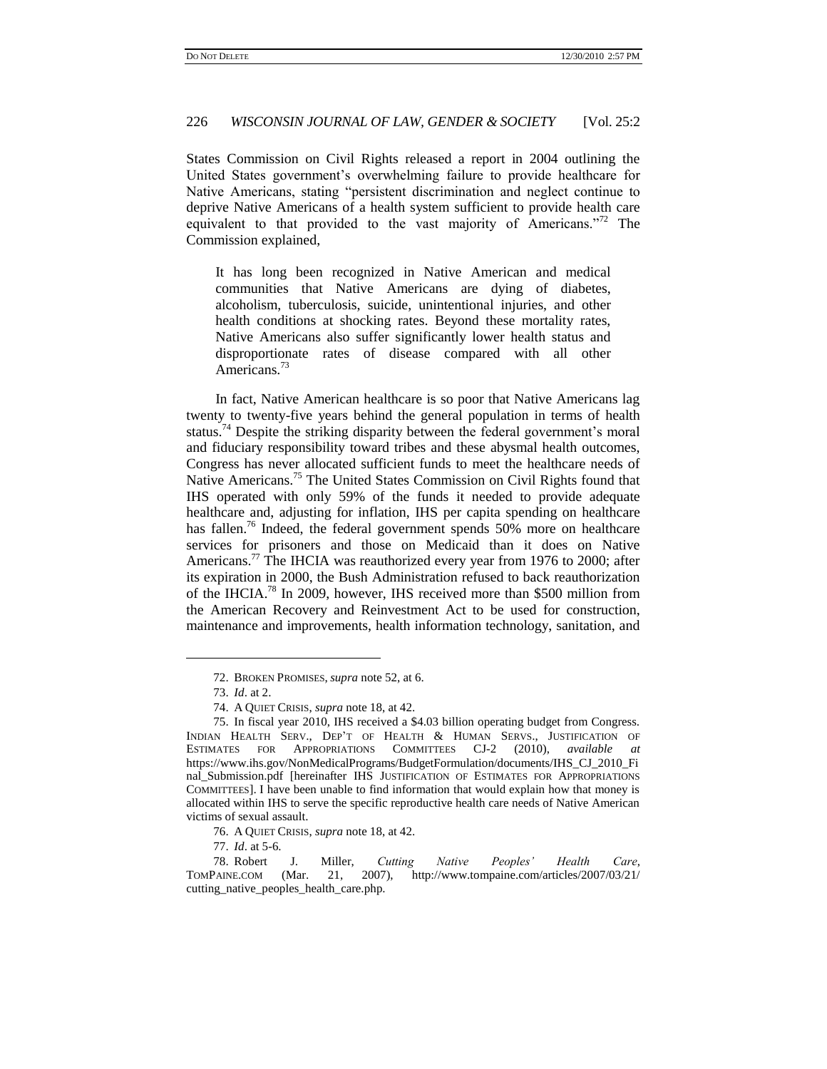States Commission on Civil Rights released a report in 2004 outlining the United States government's overwhelming failure to provide healthcare for Native Americans, stating "persistent discrimination and neglect continue to deprive Native Americans of a health system sufficient to provide health care equivalent to that provided to the vast majority of Americans."<sup>72</sup> The Commission explained,

It has long been recognized in Native American and medical communities that Native Americans are dying of diabetes, alcoholism, tuberculosis, suicide, unintentional injuries, and other health conditions at shocking rates. Beyond these mortality rates, Native Americans also suffer significantly lower health status and disproportionate rates of disease compared with all other Americans.<sup>73</sup>

<span id="page-17-0"></span>In fact, Native American healthcare is so poor that Native Americans lag twenty to twenty-five years behind the general population in terms of health status.<sup>74</sup> Despite the striking disparity between the federal government's moral and fiduciary responsibility toward tribes and these abysmal health outcomes, Congress has never allocated sufficient funds to meet the healthcare needs of Native Americans.<sup>75</sup> The United States Commission on Civil Rights found that IHS operated with only 59% of the funds it needed to provide adequate healthcare and, adjusting for inflation, IHS per capita spending on healthcare has fallen.<sup>76</sup> Indeed, the federal government spends 50% more on healthcare services for prisoners and those on Medicaid than it does on Native Americans.<sup>77</sup> The IHCIA was reauthorized every year from 1976 to 2000; after its expiration in 2000, the Bush Administration refused to back reauthorization of the IHCIA.<sup>78</sup> In 2009, however, IHS received more than \$500 million from the American Recovery and Reinvestment Act to be used for construction, maintenance and improvements, health information technology, sanitation, and

<sup>72.</sup> BROKEN PROMISES, *supra* not[e 52,](#page-13-0) at 6.

<sup>73.</sup> *Id*. at 2.

<sup>74.</sup> A QUIET CRISIS, *supra* note [18,](#page-6-0) at 42.

<sup>75.</sup> In fiscal year 2010, IHS received a \$4.03 billion operating budget from Congress. INDIAN HEALTH SERV., DEP'T OF HEALTH & HUMAN SERVS., JUSTIFICATION OF ESTIMATES FOR APPROPRIATIONS COMMITTEES CJ-2 (2010), available at ESTIMATES FOR APPROPRIATIONS COMMITTEES CJ-2 (2010), *available at* https://www.ihs.gov/NonMedicalPrograms/BudgetFormulation/documents/IHS\_CJ\_2010\_Fi nal\_Submission.pdf [hereinafter IHS JUSTIFICATION OF ESTIMATES FOR APPROPRIATIONS COMMITTEES]. I have been unable to find information that would explain how that money is allocated within IHS to serve the specific reproductive health care needs of Native American victims of sexual assault.

<sup>76.</sup> A QUIET CRISIS, *supra* note [18,](#page-6-0) at 42.

<sup>77.</sup> *Id*. at 5-6.

<sup>78.</sup> Robert J. Miller, *Cutting Native Peoples' Health Care*, TOMPAINE.COM (Mar. 21, 2007), http://www.tompaine.com/articles/2007/03/21/ cutting\_native\_peoples\_health\_care.php.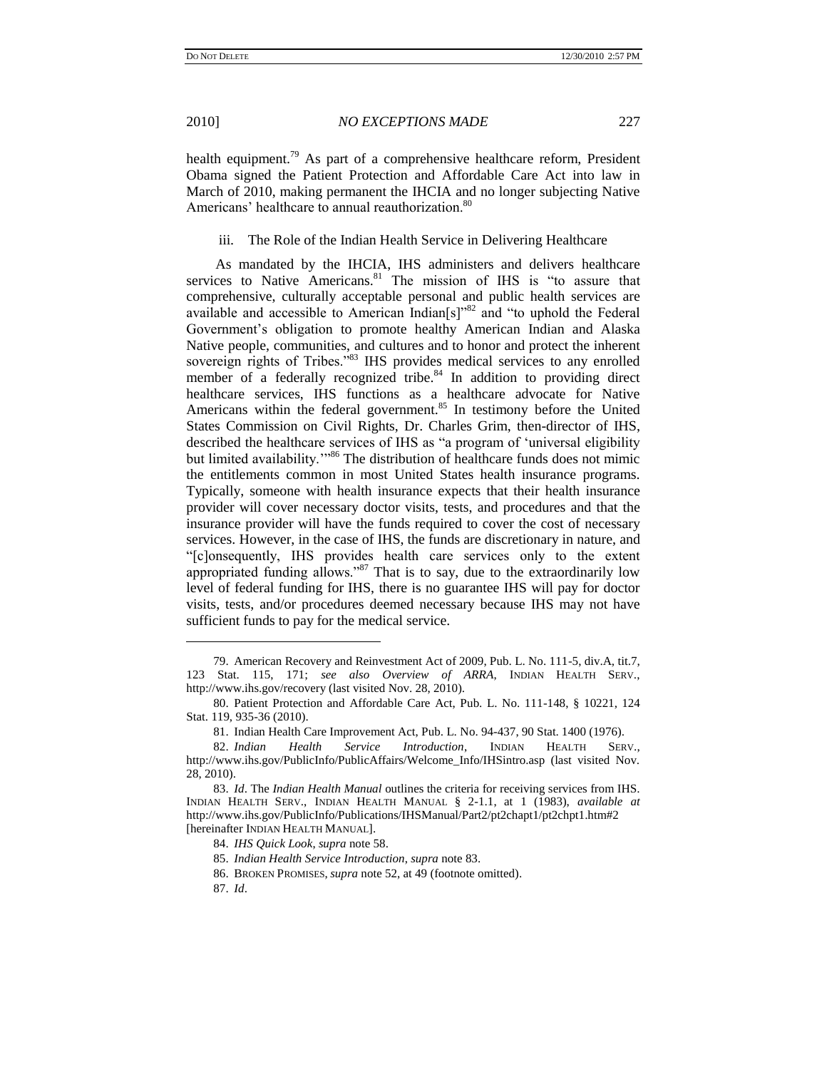health equipment.<sup>79</sup> As part of a comprehensive healthcare reform, President Obama signed the Patient Protection and Affordable Care Act into law in March of 2010, making permanent the IHCIA and no longer subjecting Native Americans' healthcare to annual reauthorization.<sup>80</sup>

<span id="page-18-0"></span>iii. The Role of the Indian Health Service in Delivering Healthcare

As mandated by the IHCIA, IHS administers and delivers healthcare services to Native Americans.<sup>81</sup> The mission of IHS is "to assure that comprehensive, culturally acceptable personal and public health services are available and accessible to American Indian[s]"<sup>82</sup> and "to uphold the Federal Government's obligation to promote healthy American Indian and Alaska Native people, communities, and cultures and to honor and protect the inherent sovereign rights of Tribes."<sup>83</sup> IHS provides medical services to any enrolled member of a federally recognized tribe.<sup>84</sup> In addition to providing direct healthcare services, IHS functions as a healthcare advocate for Native Americans within the federal government.<sup>85</sup> In testimony before the United States Commission on Civil Rights, Dr. Charles Grim, then-director of IHS, described the healthcare services of IHS as "a program of "universal eligibility but limited availability."<sup>86</sup> The distribution of healthcare funds does not mimic the entitlements common in most United States health insurance programs. Typically, someone with health insurance expects that their health insurance provider will cover necessary doctor visits, tests, and procedures and that the insurance provider will have the funds required to cover the cost of necessary services. However, in the case of IHS, the funds are discretionary in nature, and "[c]onsequently, IHS provides health care services only to the extent appropriated funding allows."<sup>87</sup> That is to say, due to the extraordinarily low level of federal funding for IHS, there is no guarantee IHS will pay for doctor visits, tests, and/or procedures deemed necessary because IHS may not have sufficient funds to pay for the medical service.

<sup>79.</sup> American Recovery and Reinvestment Act of 2009, Pub. L. No. 111-5, div.A, tit.7, 123 Stat. 115, 171; *see also Overview of ARRA*, INDIAN HEALTH SERV., http://www.ihs.gov/recovery (last visited Nov. 28, 2010).

<sup>80.</sup> Patient Protection and Affordable Care Act, Pub. L. No. 111-148, § 10221, 124 Stat. 119, 935-36 (2010).

<sup>81.</sup> Indian Health Care Improvement Act, Pub. L. No. 94-437, 90 Stat. 1400 (1976).

<sup>82.</sup> *Indian Health Service Introduction*, INDIAN HEALTH SERV., http://www.ihs.gov/PublicInfo/PublicAffairs/Welcome\_Info/IHSintro.asp (last visited Nov. 28, 2010).

<sup>83.</sup> *Id*. The *Indian Health Manual* outlines the criteria for receiving services from IHS. INDIAN HEALTH SERV., INDIAN HEALTH MANUAL § 2-1.1, at 1 (1983), *available at* http://www.ihs.gov/PublicInfo/Publications/IHSManual/Part2/pt2chapt1/pt2chpt1.htm#2 [hereinafter INDIAN HEALTH MANUAL].

<sup>84.</sup> *IHS Quick Look*, *supra* not[e 58.](#page-14-0)

<sup>85.</sup> *Indian Health Service Introduction*, *supra* note 83.

<sup>86.</sup> BROKEN PROMISES, *supra* not[e 52,](#page-13-0) at 49 (footnote omitted).

<sup>87.</sup> *Id*.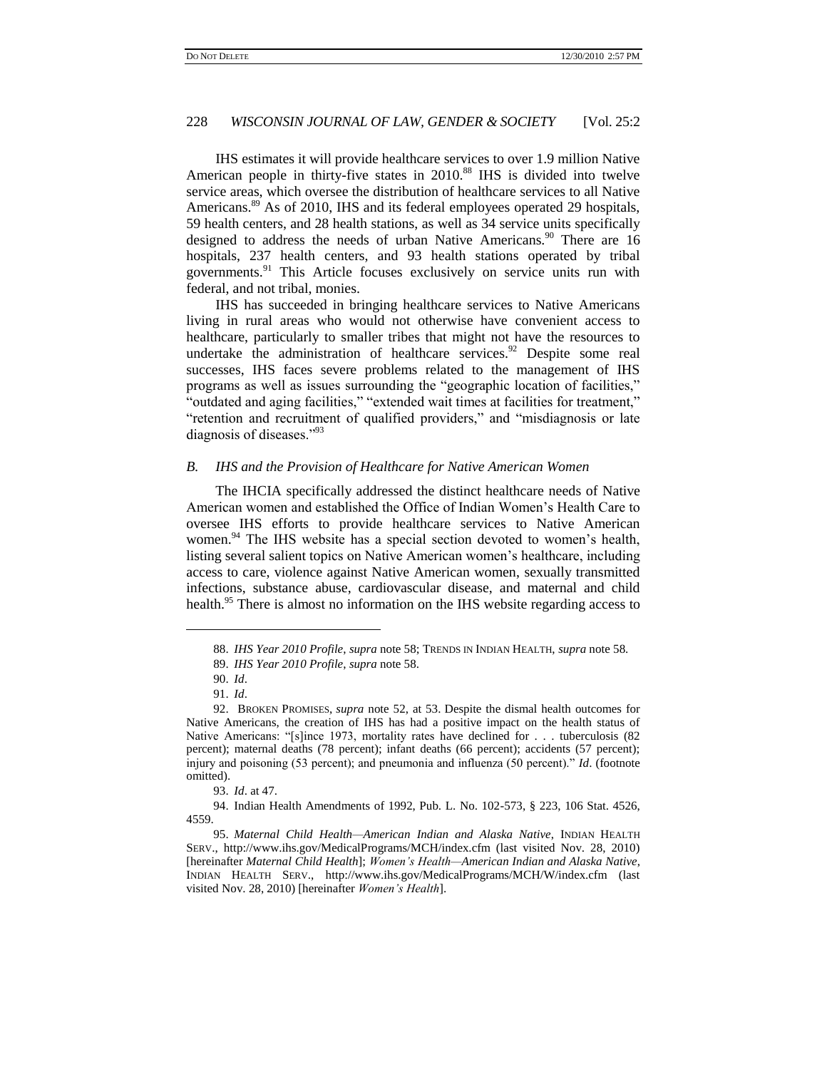IHS estimates it will provide healthcare services to over 1.9 million Native American people in thirty-five states in 2010.<sup>88</sup> IHS is divided into twelve service areas, which oversee the distribution of healthcare services to all Native Americans.<sup>89</sup> As of 2010, IHS and its federal employees operated 29 hospitals, 59 health centers, and 28 health stations, as well as 34 service units specifically designed to address the needs of urban Native Americans.<sup>90</sup> There are 16 hospitals, 237 health centers, and 93 health stations operated by tribal governments.<sup>91</sup> This Article focuses exclusively on service units run with federal, and not tribal, monies.

IHS has succeeded in bringing healthcare services to Native Americans living in rural areas who would not otherwise have convenient access to healthcare, particularly to smaller tribes that might not have the resources to undertake the administration of healthcare services. $92$  Despite some real successes, IHS faces severe problems related to the management of IHS programs as well as issues surrounding the "geographic location of facilities," "outdated and aging facilities," "extended wait times at facilities for treatment," "retention and recruitment of qualified providers," and "misdiagnosis or late diagnosis of diseases."<sup>93</sup>

# *B. IHS and the Provision of Healthcare for Native American Women*

The IHCIA specifically addressed the distinct healthcare needs of Native American women and established the Office of Indian Women"s Health Care to oversee IHS efforts to provide healthcare services to Native American women.<sup>94</sup> The IHS website has a special section devoted to women's health, listing several salient topics on Native American women"s healthcare, including access to care, violence against Native American women, sexually transmitted infections, substance abuse, cardiovascular disease, and maternal and child health.<sup>95</sup> There is almost no information on the IHS website regarding access to

<span id="page-19-0"></span>l

93. *Id*. at 47.

94. Indian Health Amendments of 1992, Pub. L. No. 102-573, § 223, 106 Stat. 4526, 4559.

95. *Maternal Child Health—American Indian and Alaska Native*, INDIAN HEALTH SERV., http://www.ihs.gov/MedicalPrograms/MCH/index.cfm (last visited Nov. 28, 2010) [hereinafter *Maternal Child Health*]; *Women's Health—American Indian and Alaska Native*, INDIAN HEALTH SERV., http://www.ihs.gov/MedicalPrograms/MCH/W/index.cfm (last visited Nov. 28, 2010) [hereinafter *Women's Health*].

<sup>88.</sup> *IHS Year 2010 Profile*, *supra* note [58;](#page-14-0) TRENDS IN INDIAN HEALTH, *supra* note [58.](#page-14-0)

<sup>89.</sup> *IHS Year 2010 Profile*, *supra* note [58.](#page-14-0)

<sup>90.</sup> *Id*.

<sup>91.</sup> *Id*.

<sup>92.</sup> BROKEN PROMISES, *supra* note [52,](#page-13-0) at 53. Despite the dismal health outcomes for Native Americans, the creation of IHS has had a positive impact on the health status of Native Americans: "[s]ince 1973, mortality rates have declined for . . . tuberculosis (82) percent); maternal deaths (78 percent); infant deaths (66 percent); accidents (57 percent); injury and poisoning (53 percent); and pneumonia and influenza (50 percent)." *Id*. (footnote omitted).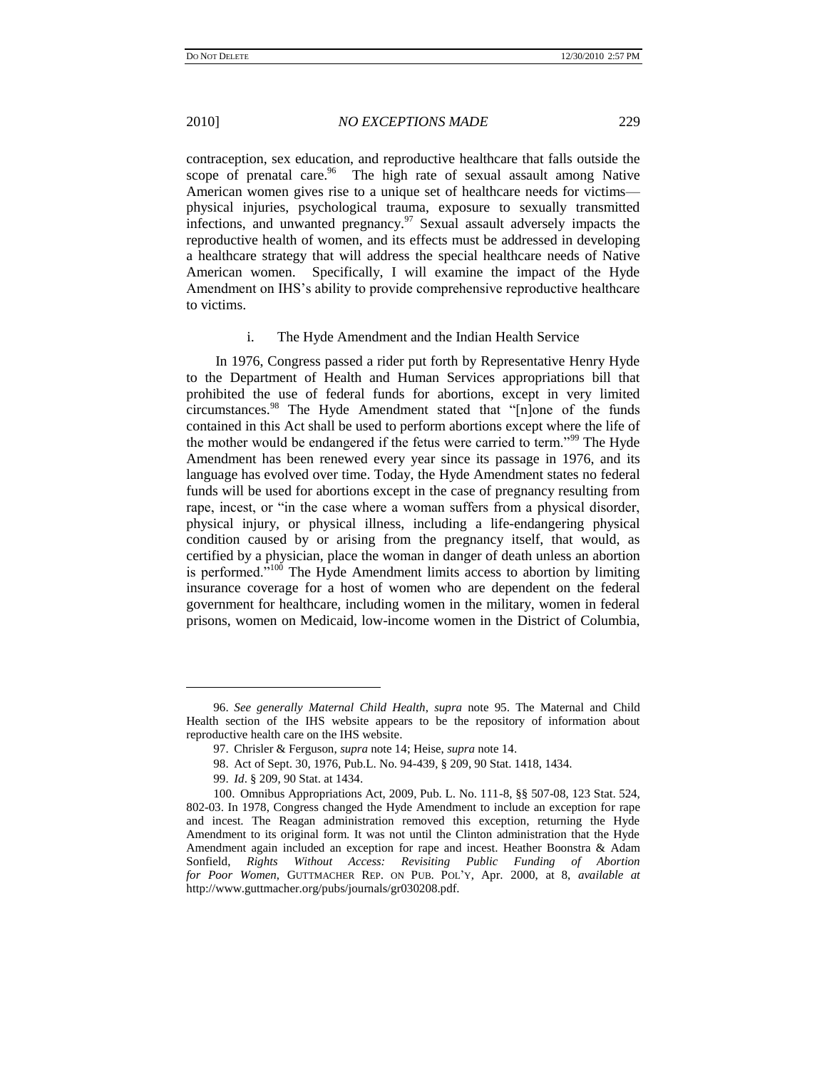contraception, sex education, and reproductive healthcare that falls outside the scope of prenatal care.<sup>96</sup> The high rate of sexual assault among Native American women gives rise to a unique set of healthcare needs for victims physical injuries, psychological trauma, exposure to sexually transmitted infections, and unwanted pregnancy. $97$  Sexual assault adversely impacts the reproductive health of women, and its effects must be addressed in developing a healthcare strategy that will address the special healthcare needs of Native American women. Specifically, I will examine the impact of the Hyde Amendment on IHS"s ability to provide comprehensive reproductive healthcare to victims.

#### i. The Hyde Amendment and the Indian Health Service

In 1976, Congress passed a rider put forth by Representative Henry Hyde to the Department of Health and Human Services appropriations bill that prohibited the use of federal funds for abortions, except in very limited circumstances.<sup>98</sup> The Hyde Amendment stated that "[n]one of the funds contained in this Act shall be used to perform abortions except where the life of the mother would be endangered if the fetus were carried to term."<sup>99</sup> The Hyde Amendment has been renewed every year since its passage in 1976, and its language has evolved over time. Today, the Hyde Amendment states no federal funds will be used for abortions except in the case of pregnancy resulting from rape, incest, or "in the case where a woman suffers from a physical disorder, physical injury, or physical illness, including a life-endangering physical condition caused by or arising from the pregnancy itself, that would, as certified by a physician, place the woman in danger of death unless an abortion is performed."<sup>100</sup> The Hyde Amendment limits access to abortion by limiting insurance coverage for a host of women who are dependent on the federal government for healthcare, including women in the military, women in federal prisons, women on Medicaid, low-income women in the District of Columbia,

<span id="page-20-0"></span><sup>96.</sup> *See generally Maternal Child Health*, *supra* note [95.](#page-19-0) The Maternal and Child Health section of the IHS website appears to be the repository of information about reproductive health care on the IHS website.

<sup>97.</sup> Chrisler & Ferguson, *supra* not[e 14;](#page-5-0) Heise, *supra* not[e 14.](#page-5-0)

<sup>98.</sup> Act of Sept. 30, 1976, Pub.L. No. 94-439, § 209, 90 Stat. 1418, 1434.

<sup>99.</sup> *Id*. § 209, 90 Stat. at 1434.

<sup>100.</sup> Omnibus Appropriations Act, 2009, Pub. L. No. 111-8, §§ 507-08, 123 Stat. 524, 802-03. In 1978, Congress changed the Hyde Amendment to include an exception for rape and incest. The Reagan administration removed this exception, returning the Hyde Amendment to its original form. It was not until the Clinton administration that the Hyde Amendment again included an exception for rape and incest. Heather Boonstra & Adam Sonfield, *Rights Without Access: Revisiting Public Funding of Abortion for Poor Women*, GUTTMACHER REP. ON PUB. POL"Y, Apr. 2000, at 8, *available at* http://www.guttmacher.org/pubs/journals/gr030208.pdf.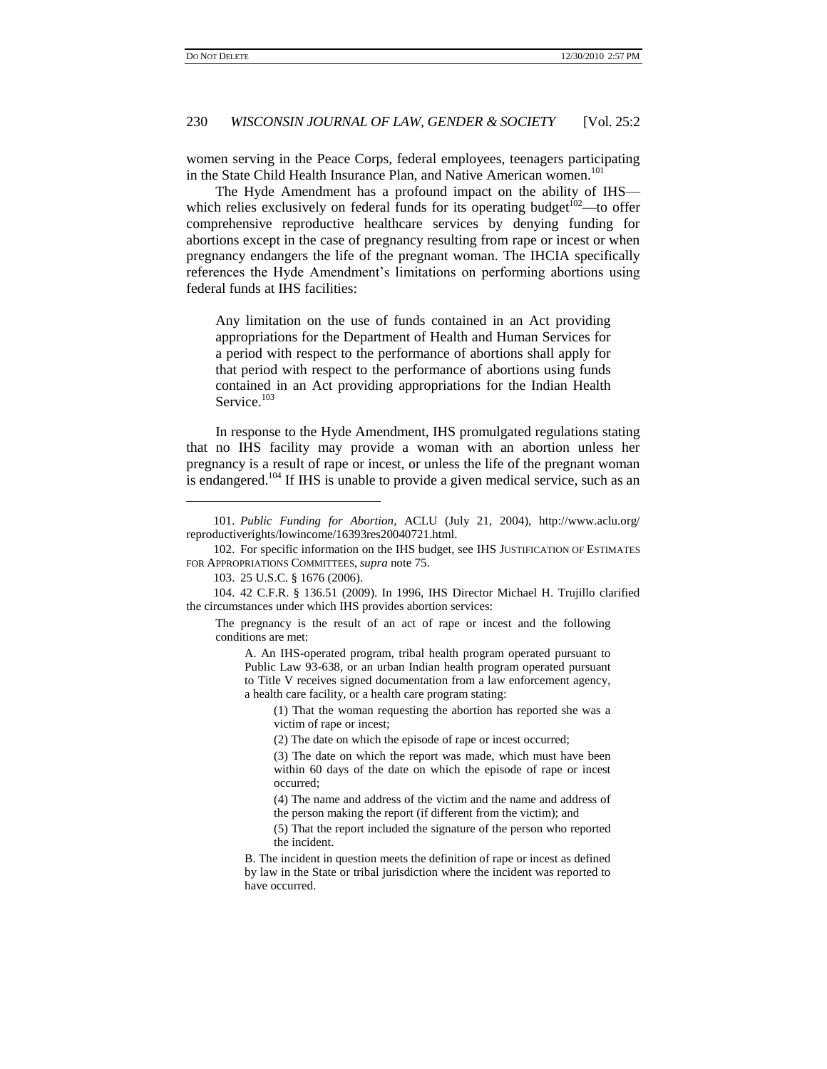women serving in the Peace Corps, federal employees, teenagers participating in the State Child Health Insurance Plan, and Native American women.<sup>101</sup>

The Hyde Amendment has a profound impact on the ability of IHS which relies exclusively on federal funds for its operating budget $102$ —to offer comprehensive reproductive healthcare services by denying funding for abortions except in the case of pregnancy resulting from rape or incest or when pregnancy endangers the life of the pregnant woman. The IHCIA specifically references the Hyde Amendment's limitations on performing abortions using federal funds at IHS facilities:

Any limitation on the use of funds contained in an Act providing appropriations for the Department of Health and Human Services for a period with respect to the performance of abortions shall apply for that period with respect to the performance of abortions using funds contained in an Act providing appropriations for the Indian Health Service.<sup>103</sup>

In response to the Hyde Amendment, IHS promulgated regulations stating that no IHS facility may provide a woman with an abortion unless her pregnancy is a result of rape or incest, or unless the life of the pregnant woman is endangered.<sup>104</sup> If IHS is unable to provide a given medical service, such as an

<span id="page-21-0"></span><sup>101.</sup> *Public Funding for Abortion*, ACLU (July 21, 2004), http://www.aclu.org/ reproductiverights/lowincome/16393res20040721.html.

<sup>102.</sup> For specific information on the IHS budget, see IHS JUSTIFICATION OF ESTIMATES FOR APPROPRIATIONS COMMITTEES, *supra* note [75.](#page-17-0)

<sup>103.</sup> 25 U.S.C. § 1676 (2006).

<sup>104.</sup> 42 C.F.R. § 136.51 (2009). In 1996, IHS Director Michael H. Trujillo clarified the circumstances under which IHS provides abortion services:

The pregnancy is the result of an act of rape or incest and the following conditions are met:

A. An IHS-operated program, tribal health program operated pursuant to Public Law 93-638, or an urban Indian health program operated pursuant to Title V receives signed documentation from a law enforcement agency, a health care facility, or a health care program stating:

<sup>(1)</sup> That the woman requesting the abortion has reported she was a victim of rape or incest;

<sup>(2)</sup> The date on which the episode of rape or incest occurred;

<sup>(3)</sup> The date on which the report was made, which must have been within 60 days of the date on which the episode of rape or incest occurred;

<sup>(4)</sup> The name and address of the victim and the name and address of the person making the report (if different from the victim); and

<sup>(5)</sup> That the report included the signature of the person who reported the incident.

B. The incident in question meets the definition of rape or incest as defined by law in the State or tribal jurisdiction where the incident was reported to have occurred.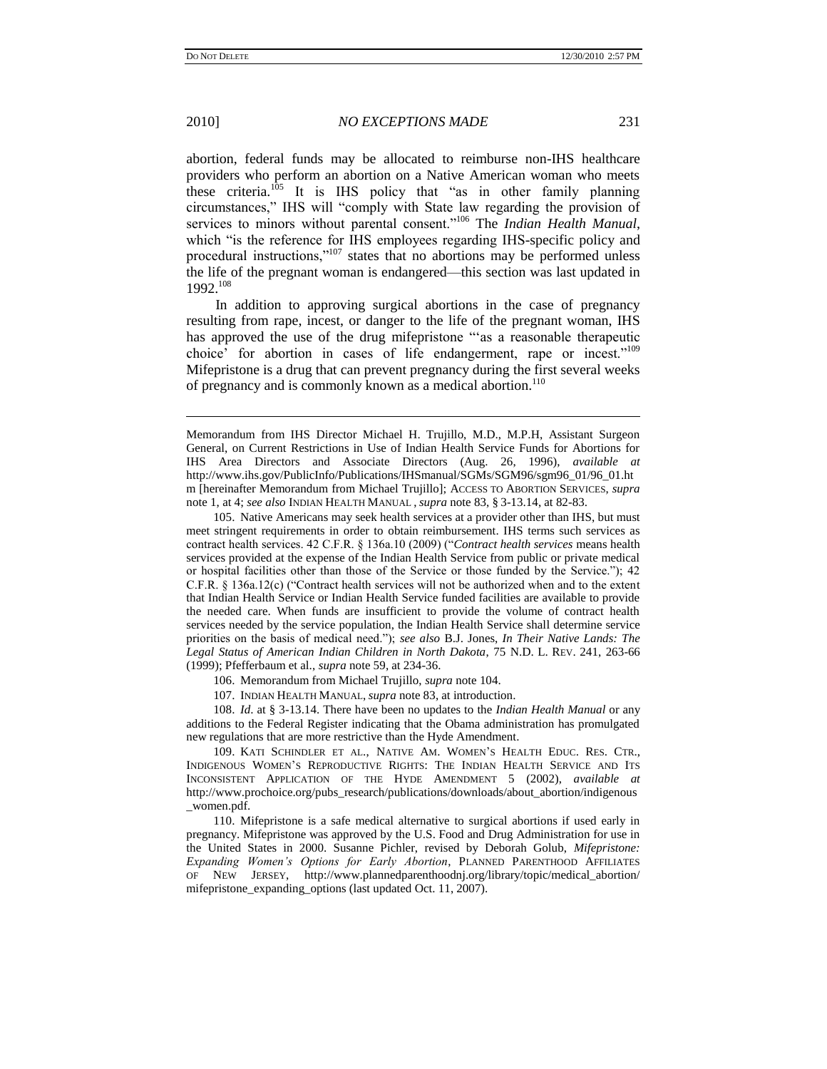2010] *NO EXCEPTIONS MADE* 231

<span id="page-22-1"></span>abortion, federal funds may be allocated to reimburse non-IHS healthcare providers who perform an abortion on a Native American woman who meets these criteria.<sup>105</sup> It is IHS policy that "as in other family planning circumstances," IHS will "comply with State law regarding the provision of services to minors without parental consent."<sup>106</sup> The *Indian Health Manual*, which "is the reference for IHS employees regarding IHS-specific policy and procedural instructions,"<sup>107</sup> states that no abortions may be performed unless the life of the pregnant woman is endangered—this section was last updated in 1992.<sup>108</sup>

In addition to approving surgical abortions in the case of pregnancy resulting from rape, incest, or danger to the life of the pregnant woman, IHS has approved the use of the drug mifepristone ""as a reasonable therapeutic choice" for abortion in cases of life endangerment, rape or incest."<sup>109</sup> Mifepristone is a drug that can prevent pregnancy during the first several weeks of pregnancy and is commonly known as a medical abortion.<sup>110</sup>

105. Native Americans may seek health services at a provider other than IHS, but must meet stringent requirements in order to obtain reimbursement. IHS terms such services as contract health services. 42 C.F.R. § 136a.10 (2009) ("*Contract health services* means health services provided at the expense of the Indian Health Service from public or private medical or hospital facilities other than those of the Service or those funded by the Service."); 42 C.F.R. § 136a.12(c) ("Contract health services will not be authorized when and to the extent that Indian Health Service or Indian Health Service funded facilities are available to provide the needed care. When funds are insufficient to provide the volume of contract health services needed by the service population, the Indian Health Service shall determine service priorities on the basis of medical need."); *see also* B.J. Jones, *In Their Native Lands: The Legal Status of American Indian Children in North Dakota*, 75 N.D. L. REV. 241, 263-66 (1999); Pfefferbaum et al., *supra* not[e 59,](#page-15-1) at 234-36.

106. Memorandum from Michael Trujillo, *supra* not[e 104.](#page-21-0)

107. INDIAN HEALTH MANUAL, *supra* not[e 83,](#page-18-0) at introduction.

108. *Id*. at § 3-13.14. There have been no updates to the *Indian Health Manual* or any additions to the Federal Register indicating that the Obama administration has promulgated new regulations that are more restrictive than the Hyde Amendment.

109. KATI SCHINDLER ET AL., NATIVE AM. WOMEN"S HEALTH EDUC. RES. CTR., INDIGENOUS WOMEN"S REPRODUCTIVE RIGHTS: THE INDIAN HEALTH SERVICE AND ITS INCONSISTENT APPLICATION OF THE HYDE AMENDMENT 5 (2002), *available at* http://www.prochoice.org/pubs\_research/publications/downloads/about\_abortion/indigenous \_women.pdf.

110. Mifepristone is a safe medical alternative to surgical abortions if used early in pregnancy. Mifepristone was approved by the U.S. Food and Drug Administration for use in the United States in 2000. Susanne Pichler, revised by Deborah Golub, *Mifepristone: Expanding Women's Options for Early Abortion*, PLANNED PARENTHOOD AFFILIATES OF NEW JERSEY, http://www.plannedparenthoodnj.org/library/topic/medical\_abortion/ mifepristone\_expanding\_options (last updated Oct. 11, 2007).

<span id="page-22-0"></span>

Memorandum from IHS Director Michael H. Trujillo, M.D., M.P.H, Assistant Surgeon General, on Current Restrictions in Use of Indian Health Service Funds for Abortions for IHS Area Directors and Associate Directors (Aug. 26, 1996), *available at*  http://www.ihs.gov/PublicInfo/Publications/IHSmanual/SGMs/SGM96/sgm96\_01/96\_01.ht m [hereinafter Memorandum from Michael Trujillo]; ACCESS TO ABORTION SERVICES, *supra* note [1,](#page-1-0) at 4; *see also* INDIAN HEALTH MANUAL , *supra* note [83,](#page-18-0) § 3-13.14, at 82-83.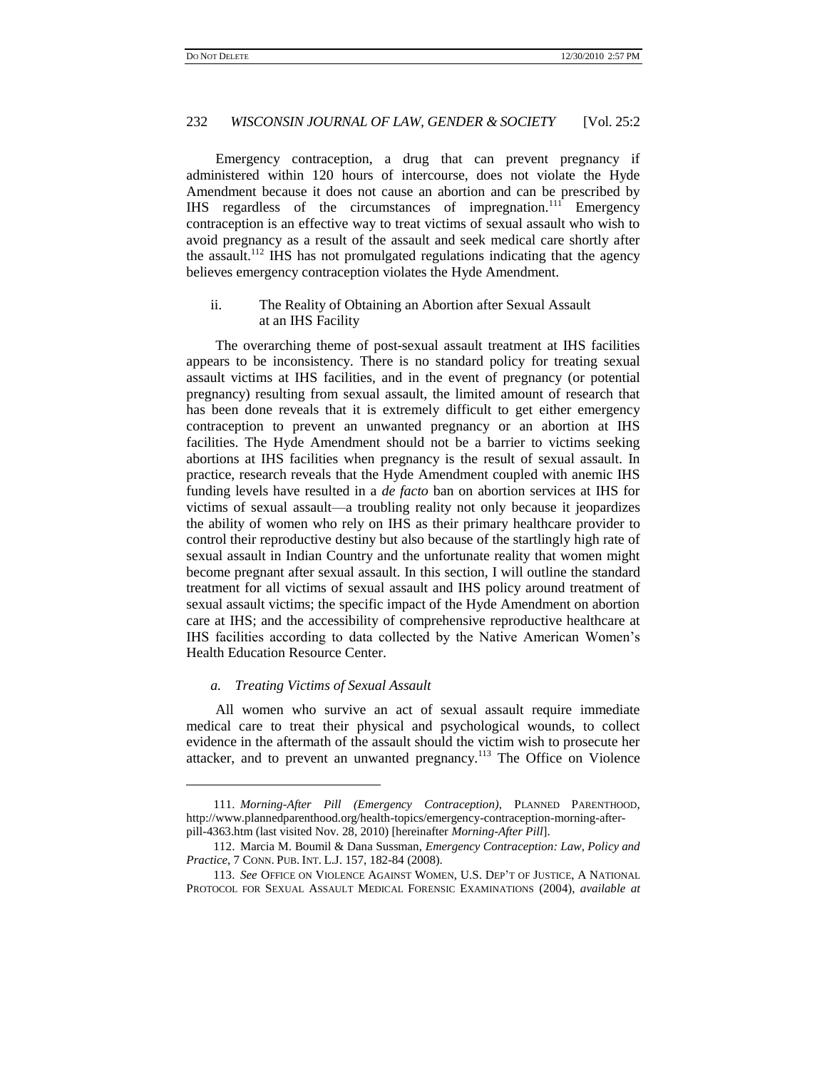Emergency contraception, a drug that can prevent pregnancy if administered within 120 hours of intercourse, does not violate the Hyde Amendment because it does not cause an abortion and can be prescribed by IHS regardless of the circumstances of impregnation.<sup>111</sup> Emergency contraception is an effective way to treat victims of sexual assault who wish to avoid pregnancy as a result of the assault and seek medical care shortly after the assault.<sup>112</sup> IHS has not promulgated regulations indicating that the agency believes emergency contraception violates the Hyde Amendment.

### <span id="page-23-1"></span>ii. The Reality of Obtaining an Abortion after Sexual Assault at an IHS Facility

The overarching theme of post-sexual assault treatment at IHS facilities appears to be inconsistency. There is no standard policy for treating sexual assault victims at IHS facilities, and in the event of pregnancy (or potential pregnancy) resulting from sexual assault, the limited amount of research that has been done reveals that it is extremely difficult to get either emergency contraception to prevent an unwanted pregnancy or an abortion at IHS facilities. The Hyde Amendment should not be a barrier to victims seeking abortions at IHS facilities when pregnancy is the result of sexual assault. In practice, research reveals that the Hyde Amendment coupled with anemic IHS funding levels have resulted in a *de facto* ban on abortion services at IHS for victims of sexual assault—a troubling reality not only because it jeopardizes the ability of women who rely on IHS as their primary healthcare provider to control their reproductive destiny but also because of the startlingly high rate of sexual assault in Indian Country and the unfortunate reality that women might become pregnant after sexual assault. In this section, I will outline the standard treatment for all victims of sexual assault and IHS policy around treatment of sexual assault victims; the specific impact of the Hyde Amendment on abortion care at IHS; and the accessibility of comprehensive reproductive healthcare at IHS facilities according to data collected by the Native American Women"s Health Education Resource Center.

#### <span id="page-23-0"></span>*a. Treating Victims of Sexual Assault*

l

All women who survive an act of sexual assault require immediate medical care to treat their physical and psychological wounds, to collect evidence in the aftermath of the assault should the victim wish to prosecute her attacker, and to prevent an unwanted pregnancy.<sup>113</sup> The Office on Violence

<sup>111.</sup> *Morning-After Pill (Emergency Contraception)*, PLANNED PARENTHOOD, http://www.plannedparenthood.org/health-topics/emergency-contraception-morning-afterpill-4363.htm (last visited Nov. 28, 2010) [hereinafter *Morning-After Pill*].

<sup>112.</sup> Marcia M. Boumil & Dana Sussman, *Emergency Contraception: Law, Policy and Practice*, 7 CONN. PUB. INT. L.J. 157, 182-84 (2008).

<sup>113.</sup> *See* OFFICE ON VIOLENCE AGAINST WOMEN, U.S. DEP"T OF JUSTICE, A NATIONAL PROTOCOL FOR SEXUAL ASSAULT MEDICAL FORENSIC EXAMINATIONS (2004), *available at*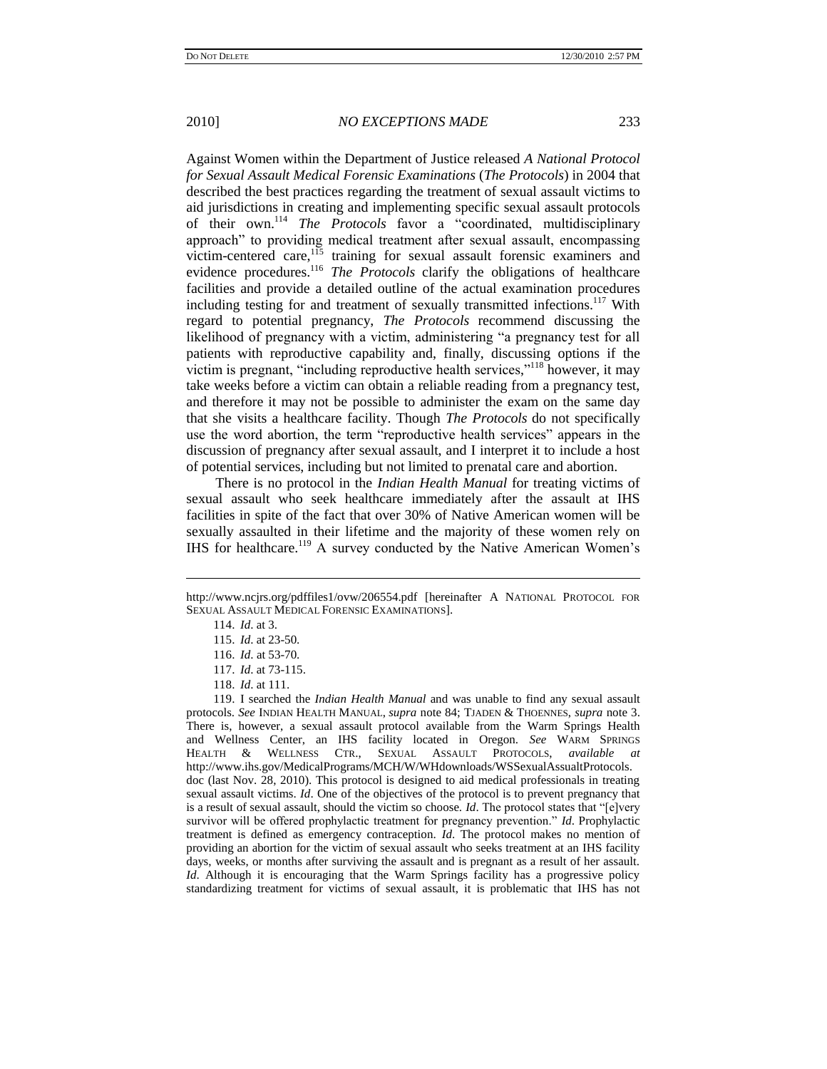Against Women within the Department of Justice released *A National Protocol for Sexual Assault Medical Forensic Examinations* (*The Protocols*) in 2004 that described the best practices regarding the treatment of sexual assault victims to aid jurisdictions in creating and implementing specific sexual assault protocols of their own.<sup>114</sup> *The Protocols* favor a "coordinated, multidisciplinary approach" to providing medical treatment after sexual assault, encompassing victim-centered care,<sup>115</sup> training for sexual assault forensic examiners and evidence procedures.<sup>116</sup> *The Protocols* clarify the obligations of healthcare facilities and provide a detailed outline of the actual examination procedures including testing for and treatment of sexually transmitted infections.<sup>117</sup> With regard to potential pregnancy, *The Protocols* recommend discussing the likelihood of pregnancy with a victim, administering "a pregnancy test for all patients with reproductive capability and, finally, discussing options if the victim is pregnant, "including reproductive health services,"<sup>118</sup> however, it may take weeks before a victim can obtain a reliable reading from a pregnancy test, and therefore it may not be possible to administer the exam on the same day that she visits a healthcare facility. Though *The Protocols* do not specifically use the word abortion, the term "reproductive health services" appears in the discussion of pregnancy after sexual assault, and I interpret it to include a host of potential services, including but not limited to prenatal care and abortion.

There is no protocol in the *Indian Health Manual* for treating victims of sexual assault who seek healthcare immediately after the assault at IHS facilities in spite of the fact that over 30% of Native American women will be sexually assaulted in their lifetime and the majority of these women rely on IHS for healthcare.<sup>119</sup> A survey conducted by the Native American Women's

http://www.ncjrs.org/pdffiles1/ovw/206554.pdf [hereinafter A NATIONAL PROTOCOL FOR SEXUAL ASSAULT MEDICAL FORENSIC EXAMINATIONS].

<sup>114.</sup> *Id*. at 3.

<sup>115.</sup> *Id*. at 23-50.

<sup>116.</sup> *Id*. at 53-70.

<sup>117.</sup> *Id*. at 73-115.

<sup>118.</sup> *Id*. at 111.

<sup>119.</sup> I searched the *Indian Health Manual* and was unable to find any sexual assault protocols. *See* INDIAN HEALTH MANUAL, *supra* note 84; TJADEN & THOENNES, *supra* note [3.](#page-2-1) There is, however, a sexual assault protocol available from the Warm Springs Health and Wellness Center, an IHS facility located in Oregon. *See* WARM SPRINGS HEALTH & WELLNESS CTR., SEXUAL ASSAULT PROTOCOLS, *available at* http://www.ihs.gov/MedicalPrograms/MCH/W/WHdownloads/WSSexualAssualtProtocols. doc (last Nov. 28, 2010). This protocol is designed to aid medical professionals in treating sexual assault victims. *Id*. One of the objectives of the protocol is to prevent pregnancy that is a result of sexual assault, should the victim so choose. *Id*. The protocol states that "[e]very survivor will be offered prophylactic treatment for pregnancy prevention." *Id*. Prophylactic treatment is defined as emergency contraception. *Id*. The protocol makes no mention of providing an abortion for the victim of sexual assault who seeks treatment at an IHS facility days, weeks, or months after surviving the assault and is pregnant as a result of her assault. *Id*. Although it is encouraging that the Warm Springs facility has a progressive policy standardizing treatment for victims of sexual assault, it is problematic that IHS has not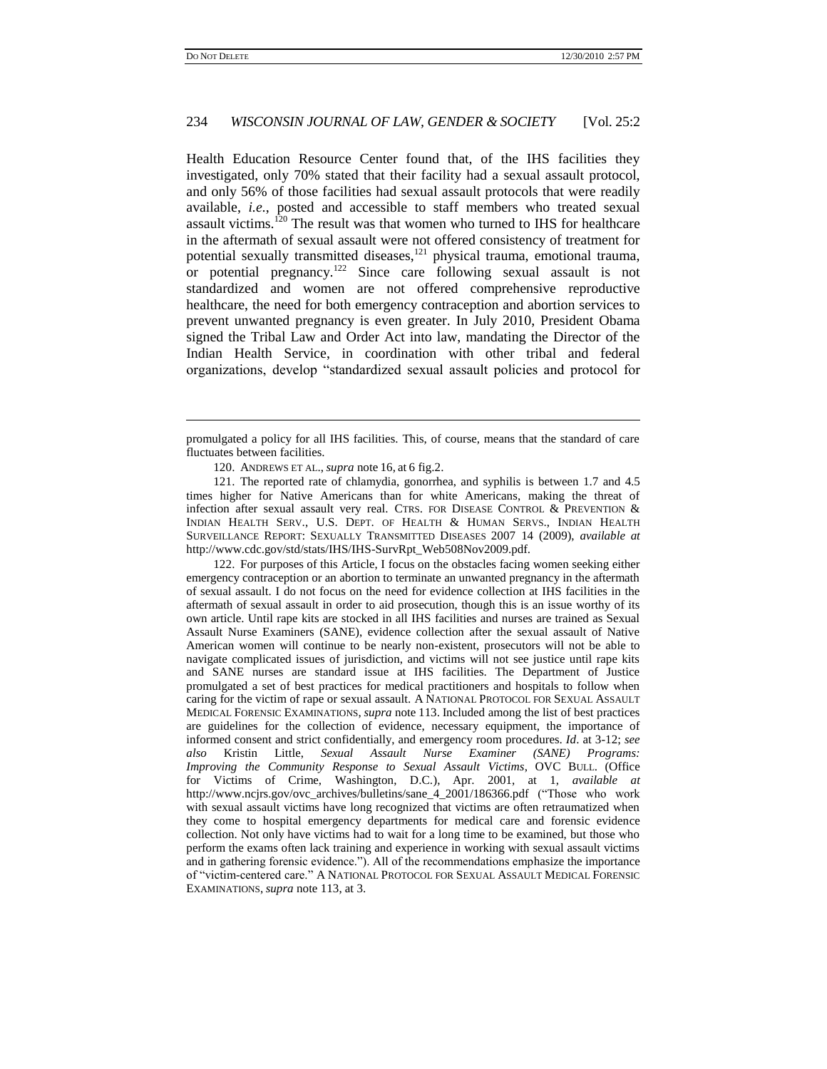# 234 *WISCONSIN JOURNAL OF LAW, GENDER & SOCIETY* [Vol. 25:2

Health Education Resource Center found that, of the IHS facilities they investigated, only 70% stated that their facility had a sexual assault protocol, and only 56% of those facilities had sexual assault protocols that were readily available, *i.e.*, posted and accessible to staff members who treated sexual assault victims.<sup>120</sup> The result was that women who turned to IHS for healthcare in the aftermath of sexual assault were not offered consistency of treatment for potential sexually transmitted diseases,<sup>121</sup> physical trauma, emotional trauma, or potential pregnancy.<sup>122</sup> Since care following sexual assault is not standardized and women are not offered comprehensive reproductive healthcare, the need for both emergency contraception and abortion services to prevent unwanted pregnancy is even greater. In July 2010, President Obama signed the Tribal Law and Order Act into law, mandating the Director of the Indian Health Service, in coordination with other tribal and federal organizations, develop "standardized sexual assault policies and protocol for

122. For purposes of this Article, I focus on the obstacles facing women seeking either emergency contraception or an abortion to terminate an unwanted pregnancy in the aftermath of sexual assault. I do not focus on the need for evidence collection at IHS facilities in the aftermath of sexual assault in order to aid prosecution, though this is an issue worthy of its own article. Until rape kits are stocked in all IHS facilities and nurses are trained as Sexual Assault Nurse Examiners (SANE), evidence collection after the sexual assault of Native American women will continue to be nearly non-existent, prosecutors will not be able to navigate complicated issues of jurisdiction, and victims will not see justice until rape kits and SANE nurses are standard issue at IHS facilities. The Department of Justice promulgated a set of best practices for medical practitioners and hospitals to follow when caring for the victim of rape or sexual assault. A NATIONAL PROTOCOL FOR SEXUAL ASSAULT MEDICAL FORENSIC EXAMINATIONS, *supra* note [113.](#page-23-0) Included among the list of best practices are guidelines for the collection of evidence, necessary equipment, the importance of informed consent and strict confidentially, and emergency room procedures. *Id*. at 3-12; *see also* Kristin Little, *Sexual Assault Nurse Examiner (SANE) Programs: Improving the Community Response to Sexual Assault Victims*, OVC BULL. (Office for Victims of Crime, Washington, D.C.), Apr. 2001, at 1, *available at* http://www.ncjrs.gov/ovc\_archives/bulletins/sane\_4\_2001/186366.pdf ("Those who work with sexual assault victims have long recognized that victims are often retraumatized when they come to hospital emergency departments for medical care and forensic evidence collection. Not only have victims had to wait for a long time to be examined, but those who perform the exams often lack training and experience in working with sexual assault victims and in gathering forensic evidence."). All of the recommendations emphasize the importance of "victim-centered care." A NATIONAL PROTOCOL FOR SEXUAL ASSAULT MEDICAL FORENSIC EXAMINATIONS, *supra* not[e 113,](#page-23-0) at 3.

promulgated a policy for all IHS facilities. This, of course, means that the standard of care fluctuates between facilities.

<sup>120.</sup> ANDREWS ET AL., *supra* note [16,](#page-5-1) at 6 fig.2.

<sup>121.</sup> The reported rate of chlamydia, gonorrhea, and syphilis is between 1.7 and 4.5 times higher for Native Americans than for white Americans, making the threat of infection after sexual assault very real. CTRS. FOR DISEASE CONTROL & PREVENTION & INDIAN HEALTH SERV., U.S. DEPT. OF HEALTH & HUMAN SERVS., INDIAN HEALTH SURVEILLANCE REPORT: SEXUALLY TRANSMITTED DISEASES 2007 14 (2009), *available at* http://www.cdc.gov/std/stats/IHS/IHS-SurvRpt\_Web508Nov2009.pdf.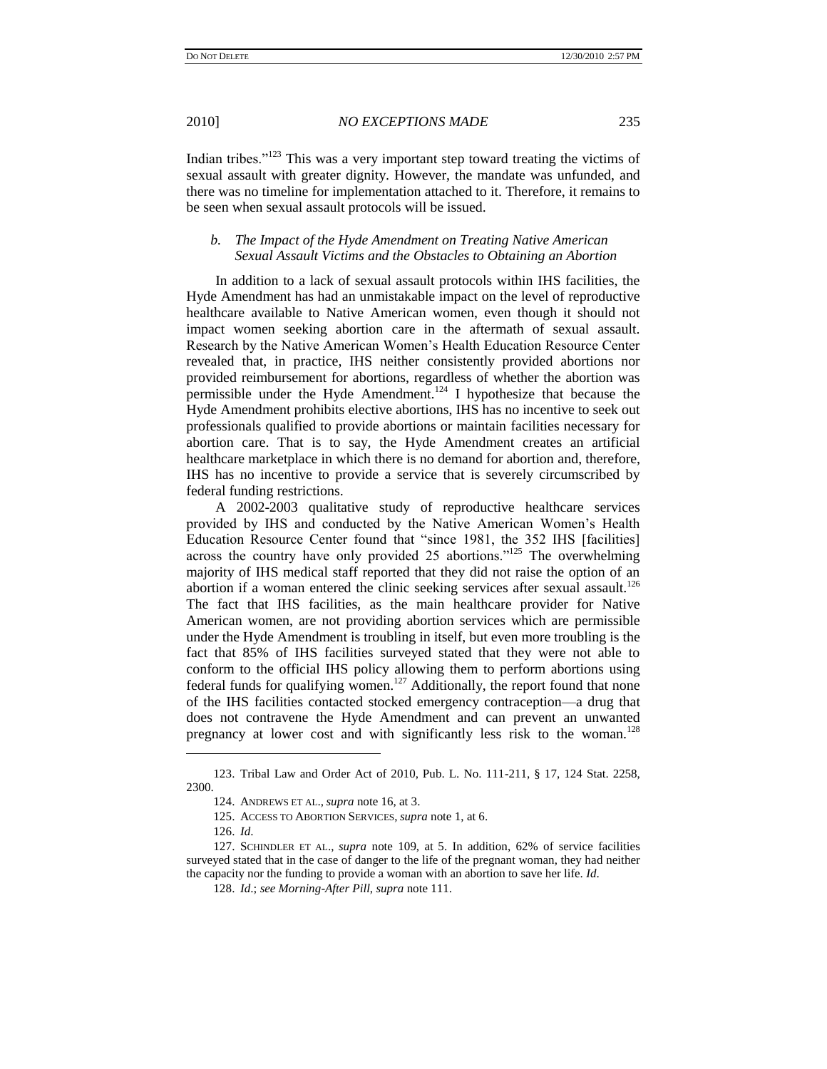Indian tribes."<sup>123</sup> This was a very important step toward treating the victims of sexual assault with greater dignity. However, the mandate was unfunded, and there was no timeline for implementation attached to it. Therefore, it remains to be seen when sexual assault protocols will be issued.

# *b. The Impact of the Hyde Amendment on Treating Native American Sexual Assault Victims and the Obstacles to Obtaining an Abortion*

In addition to a lack of sexual assault protocols within IHS facilities, the Hyde Amendment has had an unmistakable impact on the level of reproductive healthcare available to Native American women, even though it should not impact women seeking abortion care in the aftermath of sexual assault. Research by the Native American Women"s Health Education Resource Center revealed that, in practice, IHS neither consistently provided abortions nor provided reimbursement for abortions, regardless of whether the abortion was permissible under the Hyde Amendment.<sup>124</sup> I hypothesize that because the Hyde Amendment prohibits elective abortions, IHS has no incentive to seek out professionals qualified to provide abortions or maintain facilities necessary for abortion care. That is to say, the Hyde Amendment creates an artificial healthcare marketplace in which there is no demand for abortion and, therefore, IHS has no incentive to provide a service that is severely circumscribed by federal funding restrictions.

A 2002-2003 qualitative study of reproductive healthcare services provided by IHS and conducted by the Native American Women"s Health Education Resource Center found that "since 1981, the 352 IHS [facilities] across the country have only provided 25 abortions."<sup>125</sup> The overwhelming majority of IHS medical staff reported that they did not raise the option of an abortion if a woman entered the clinic seeking services after sexual assault.<sup>126</sup> The fact that IHS facilities, as the main healthcare provider for Native American women, are not providing abortion services which are permissible under the Hyde Amendment is troubling in itself, but even more troubling is the fact that 85% of IHS facilities surveyed stated that they were not able to conform to the official IHS policy allowing them to perform abortions using federal funds for qualifying women.<sup>127</sup> Additionally, the report found that none of the IHS facilities contacted stocked emergency contraception—a drug that does not contravene the Hyde Amendment and can prevent an unwanted pregnancy at lower cost and with significantly less risk to the woman.<sup>128</sup>

<sup>123.</sup> Tribal Law and Order Act of 2010, Pub. L. No. 111-211, § 17, 124 Stat. 2258, 2300.

<sup>124.</sup> ANDREWS ET AL., *supra* not[e 16,](#page-5-1) at 3.

<sup>125.</sup> ACCESS TO ABORTION SERVICES, *supra* not[e 1,](#page-1-0) at 6.

<sup>126.</sup> *Id*.

<sup>127.</sup> SCHINDLER ET AL., *supra* note [109,](#page-22-0) at 5. In addition, 62% of service facilities surveyed stated that in the case of danger to the life of the pregnant woman, they had neither the capacity nor the funding to provide a woman with an abortion to save her life. *Id*.

<sup>128.</sup> *Id*.; *see Morning-After Pill*, *supra* not[e 111.](#page-23-1)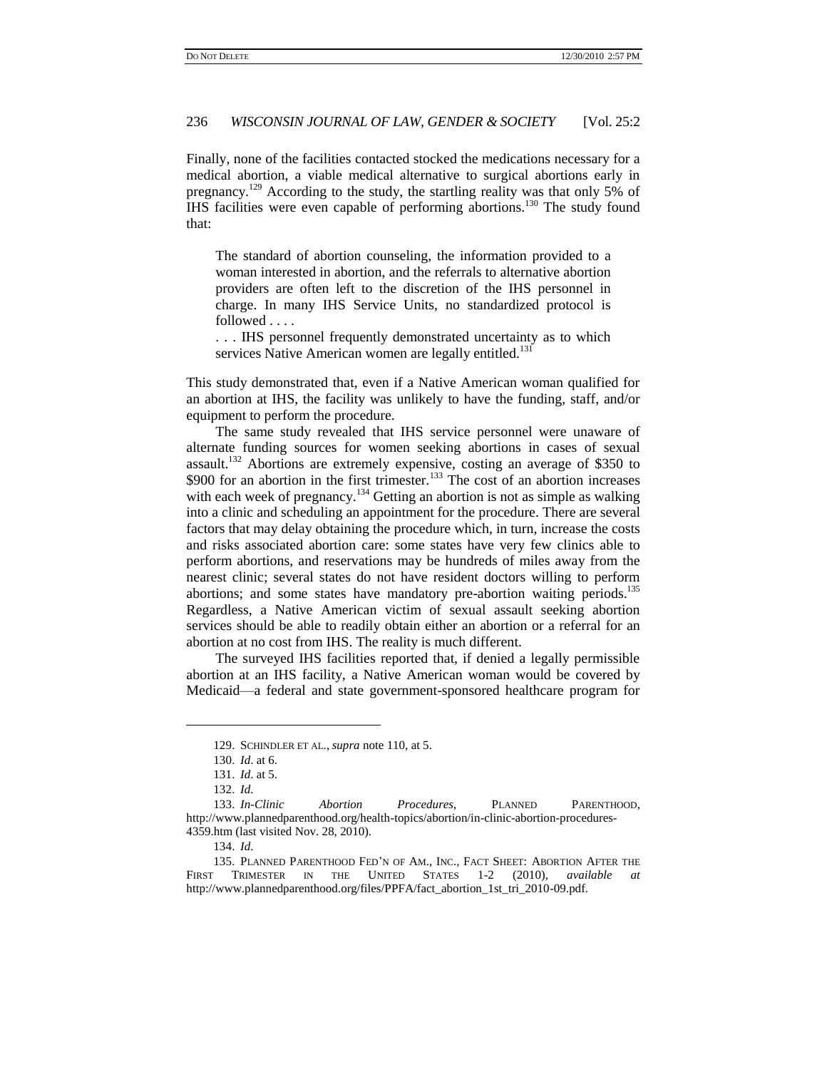Finally, none of the facilities contacted stocked the medications necessary for a medical abortion, a viable medical alternative to surgical abortions early in pregnancy.<sup>129</sup> According to the study, the startling reality was that only 5% of IHS facilities were even capable of performing abortions.<sup>130</sup> The study found that:

The standard of abortion counseling, the information provided to a woman interested in abortion, and the referrals to alternative abortion providers are often left to the discretion of the IHS personnel in charge. In many IHS Service Units, no standardized protocol is followed . . . .

. . . IHS personnel frequently demonstrated uncertainty as to which services Native American women are legally entitled.<sup>131</sup>

This study demonstrated that, even if a Native American woman qualified for an abortion at IHS, the facility was unlikely to have the funding, staff, and/or equipment to perform the procedure.

<span id="page-27-0"></span>The same study revealed that IHS service personnel were unaware of alternate funding sources for women seeking abortions in cases of sexual assault.<sup>132</sup> Abortions are extremely expensive, costing an average of \$350 to  $$900$  for an abortion in the first trimester.<sup>133</sup> The cost of an abortion increases with each week of pregnancy.<sup>134</sup> Getting an abortion is not as simple as walking into a clinic and scheduling an appointment for the procedure. There are several factors that may delay obtaining the procedure which, in turn, increase the costs and risks associated abortion care: some states have very few clinics able to perform abortions, and reservations may be hundreds of miles away from the nearest clinic; several states do not have resident doctors willing to perform abortions; and some states have mandatory pre-abortion waiting periods.<sup>135</sup> Regardless, a Native American victim of sexual assault seeking abortion services should be able to readily obtain either an abortion or a referral for an abortion at no cost from IHS. The reality is much different.

The surveyed IHS facilities reported that, if denied a legally permissible abortion at an IHS facility, a Native American woman would be covered by Medicaid—a federal and state government-sponsored healthcare program for

<sup>129.</sup> SCHINDLER ET AL., *supra* note 110, at 5.

<sup>130.</sup> *Id*. at 6.

<sup>131.</sup> *Id*. at 5.

<sup>132.</sup> *Id*.

<sup>133.</sup> *In-Clinic Abortion Procedures*, PLANNED PARENTHOOD, http://www.plannedparenthood.org/health-topics/abortion/in-clinic-abortion-procedures-4359.htm (last visited Nov. 28, 2010).

<sup>134.</sup> *Id*.

<sup>135.</sup> PLANNED PARENTHOOD FED"N OF AM., INC., FACT SHEET: ABORTION AFTER THE FIRST TRIMESTER IN THE UNITED STATES 1-2 (2010), *available at* http://www.plannedparenthood.org/files/PPFA/fact\_abortion\_1st\_tri\_2010-09.pdf.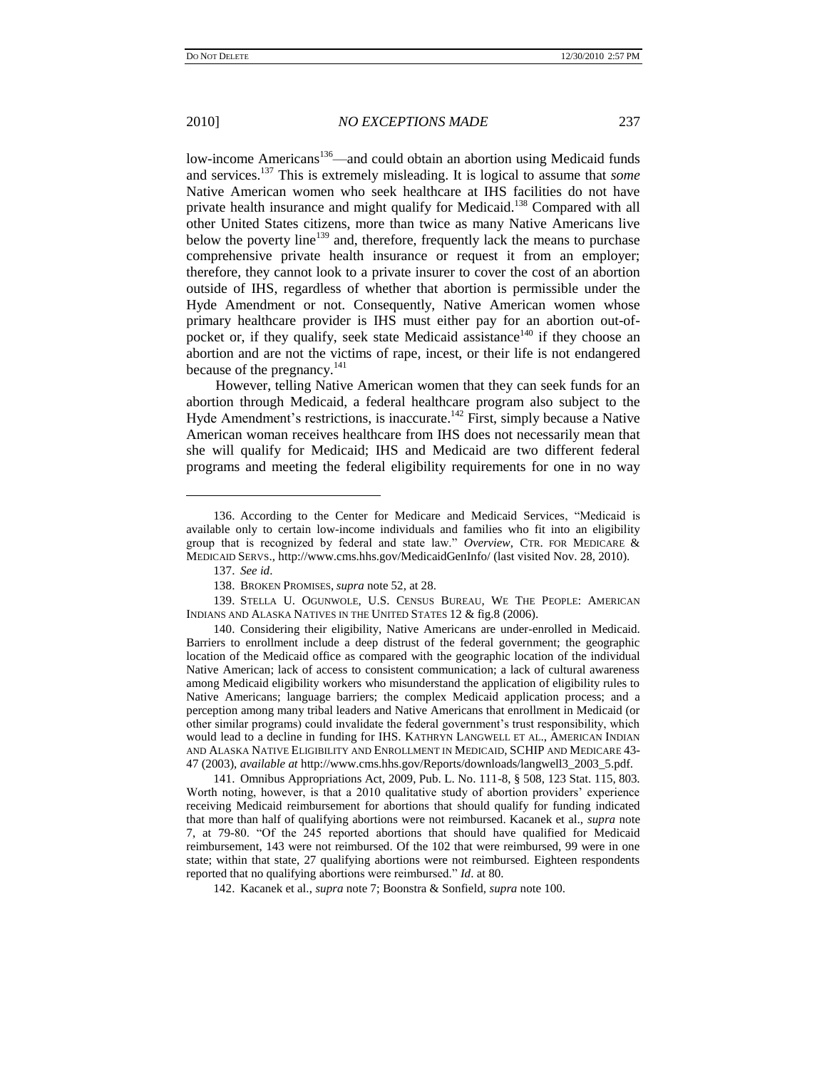<span id="page-28-0"></span>low-income Americans<sup>136</sup>—and could obtain an abortion using Medicaid funds and services.<sup>137</sup> This is extremely misleading. It is logical to assume that *some* Native American women who seek healthcare at IHS facilities do not have private health insurance and might qualify for Medicaid.<sup>138</sup> Compared with all other United States citizens, more than twice as many Native Americans live below the poverty line<sup>139</sup> and, therefore, frequently lack the means to purchase comprehensive private health insurance or request it from an employer; therefore, they cannot look to a private insurer to cover the cost of an abortion outside of IHS, regardless of whether that abortion is permissible under the Hyde Amendment or not. Consequently, Native American women whose primary healthcare provider is IHS must either pay for an abortion out-ofpocket or, if they qualify, seek state Medicaid assistance<sup>140</sup> if they choose an abortion and are not the victims of rape, incest, or their life is not endangered because of the pregnancy.<sup>141</sup>

However, telling Native American women that they can seek funds for an abortion through Medicaid, a federal healthcare program also subject to the Hyde Amendment's restrictions, is inaccurate.<sup>142</sup> First, simply because a Native American woman receives healthcare from IHS does not necessarily mean that she will qualify for Medicaid; IHS and Medicaid are two different federal programs and meeting the federal eligibility requirements for one in no way

<sup>136.</sup> According to the Center for Medicare and Medicaid Services, "Medicaid is available only to certain low-income individuals and families who fit into an eligibility group that is recognized by federal and state law." *Overview*, CTR. FOR MEDICARE & MEDICAID SERVS., http://www.cms.hhs.gov/MedicaidGenInfo/ (last visited Nov. 28, 2010).

<sup>137.</sup> *See id*.

<sup>138.</sup> BROKEN PROMISES, *supra* not[e 52,](#page-13-0) at 28.

<sup>139.</sup> STELLA U. OGUNWOLE, U.S. CENSUS BUREAU, WE THE PEOPLE: AMERICAN INDIANS AND ALASKA NATIVES IN THE UNITED STATES 12 & fig.8 (2006).

<sup>140.</sup> Considering their eligibility, Native Americans are under-enrolled in Medicaid. Barriers to enrollment include a deep distrust of the federal government; the geographic location of the Medicaid office as compared with the geographic location of the individual Native American; lack of access to consistent communication; a lack of cultural awareness among Medicaid eligibility workers who misunderstand the application of eligibility rules to Native Americans; language barriers; the complex Medicaid application process; and a perception among many tribal leaders and Native Americans that enrollment in Medicaid (or other similar programs) could invalidate the federal government"s trust responsibility, which would lead to a decline in funding for IHS. KATHRYN LANGWELL ET AL., AMERICAN INDIAN AND ALASKA NATIVE ELIGIBILITY AND ENROLLMENT IN MEDICAID, SCHIP AND MEDICARE 43- 47 (2003), *available at* http://www.cms.hhs.gov/Reports/downloads/langwell3\_2003\_5.pdf.

<sup>141.</sup> Omnibus Appropriations Act, 2009, Pub. L. No. 111-8, § 508, 123 Stat. 115, 803. Worth noting, however, is that a 2010 qualitative study of abortion providers' experience receiving Medicaid reimbursement for abortions that should qualify for funding indicated that more than half of qualifying abortions were not reimbursed. Kacanek et al., *supra* note [7,](#page-3-2) at 79-80. "Of the 245 reported abortions that should have qualified for Medicaid reimbursement, 143 were not reimbursed. Of the 102 that were reimbursed, 99 were in one state; within that state, 27 qualifying abortions were not reimbursed. Eighteen respondents reported that no qualifying abortions were reimbursed." *Id*. at 80.

<sup>142.</sup> Kacanek et al., *supra* not[e 7;](#page-3-2) Boonstra & Sonfield, *supra* not[e 100.](#page-20-0)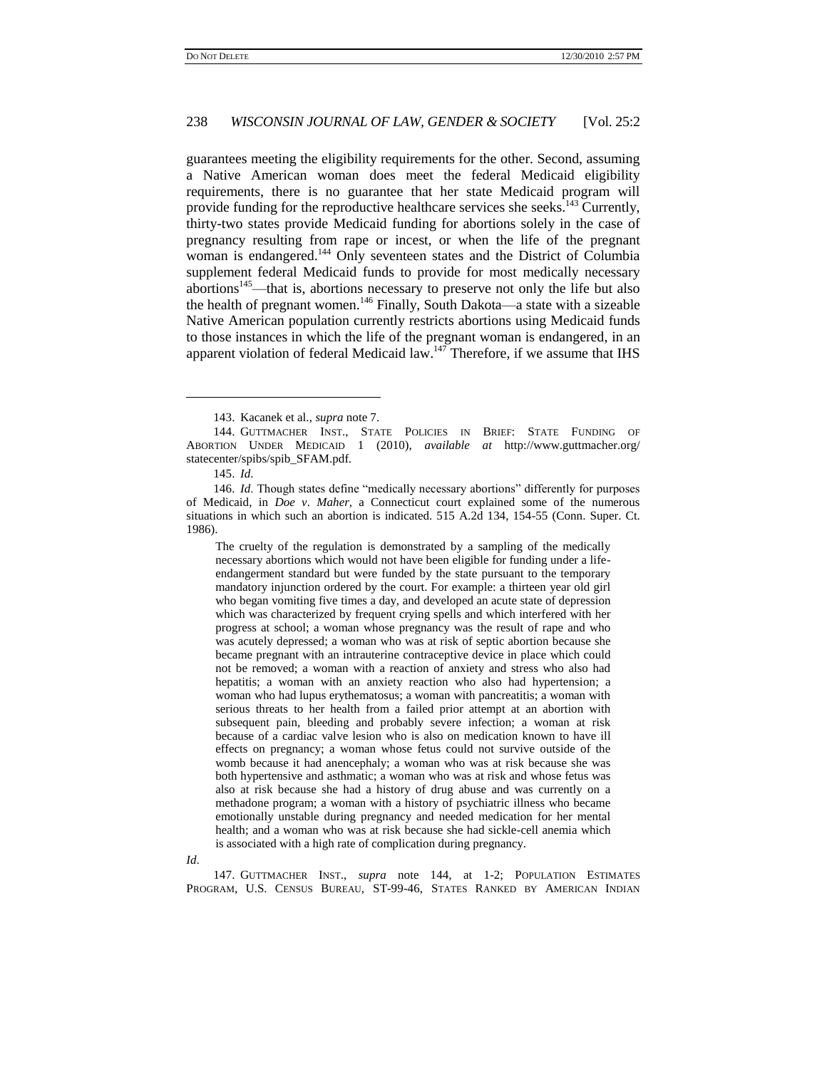<span id="page-29-0"></span>guarantees meeting the eligibility requirements for the other. Second, assuming a Native American woman does meet the federal Medicaid eligibility requirements, there is no guarantee that her state Medicaid program will provide funding for the reproductive healthcare services she seeks.<sup>143</sup> Currently, thirty-two states provide Medicaid funding for abortions solely in the case of pregnancy resulting from rape or incest, or when the life of the pregnant woman is endangered.<sup>144</sup> Only seventeen states and the District of Columbia supplement federal Medicaid funds to provide for most medically necessary abortions<sup>145</sup>—that is, abortions necessary to preserve not only the life but also the health of pregnant women.<sup>146</sup> Finally, South Dakota—a state with a sizeable Native American population currently restricts abortions using Medicaid funds to those instances in which the life of the pregnant woman is endangered, in an apparent violation of federal Medicaid law. $147$  Therefore, if we assume that IHS

 $\overline{a}$ 

The cruelty of the regulation is demonstrated by a sampling of the medically necessary abortions which would not have been eligible for funding under a lifeendangerment standard but were funded by the state pursuant to the temporary mandatory injunction ordered by the court. For example: a thirteen year old girl who began vomiting five times a day, and developed an acute state of depression which was characterized by frequent crying spells and which interfered with her progress at school; a woman whose pregnancy was the result of rape and who was acutely depressed; a woman who was at risk of septic abortion because she became pregnant with an intrauterine contraceptive device in place which could not be removed; a woman with a reaction of anxiety and stress who also had hepatitis; a woman with an anxiety reaction who also had hypertension; a woman who had lupus erythematosus; a woman with pancreatitis; a woman with serious threats to her health from a failed prior attempt at an abortion with subsequent pain, bleeding and probably severe infection; a woman at risk because of a cardiac valve lesion who is also on medication known to have ill effects on pregnancy; a woman whose fetus could not survive outside of the womb because it had anencephaly; a woman who was at risk because she was both hypertensive and asthmatic; a woman who was at risk and whose fetus was also at risk because she had a history of drug abuse and was currently on a methadone program; a woman with a history of psychiatric illness who became emotionally unstable during pregnancy and needed medication for her mental health; and a woman who was at risk because she had sickle-cell anemia which is associated with a high rate of complication during pregnancy.

*Id*.

147. GUTTMACHER INST., *supra* note [144,](#page-29-0) at 1-2; POPULATION ESTIMATES PROGRAM, U.S. CENSUS BUREAU, ST-99-46, STATES RANKED BY AMERICAN INDIAN

<span id="page-29-1"></span><sup>143.</sup> Kacanek et al., *supra* not[e 7.](#page-3-2)

<sup>144.</sup> GUTTMACHER INST., STATE POLICIES IN BRIEF: STATE FUNDING OF ABORTION UNDER MEDICAID 1 (2010), *available at* http://www.guttmacher.org/ statecenter/spibs/spib\_SFAM.pdf.

<sup>145.</sup> *Id*.

<sup>146.</sup> *Id*. Though states define "medically necessary abortions" differently for purposes of Medicaid, in *Doe v*. *Maher,* a Connecticut court explained some of the numerous situations in which such an abortion is indicated. 515 A.2d 134, 154-55 (Conn. Super. Ct. 1986).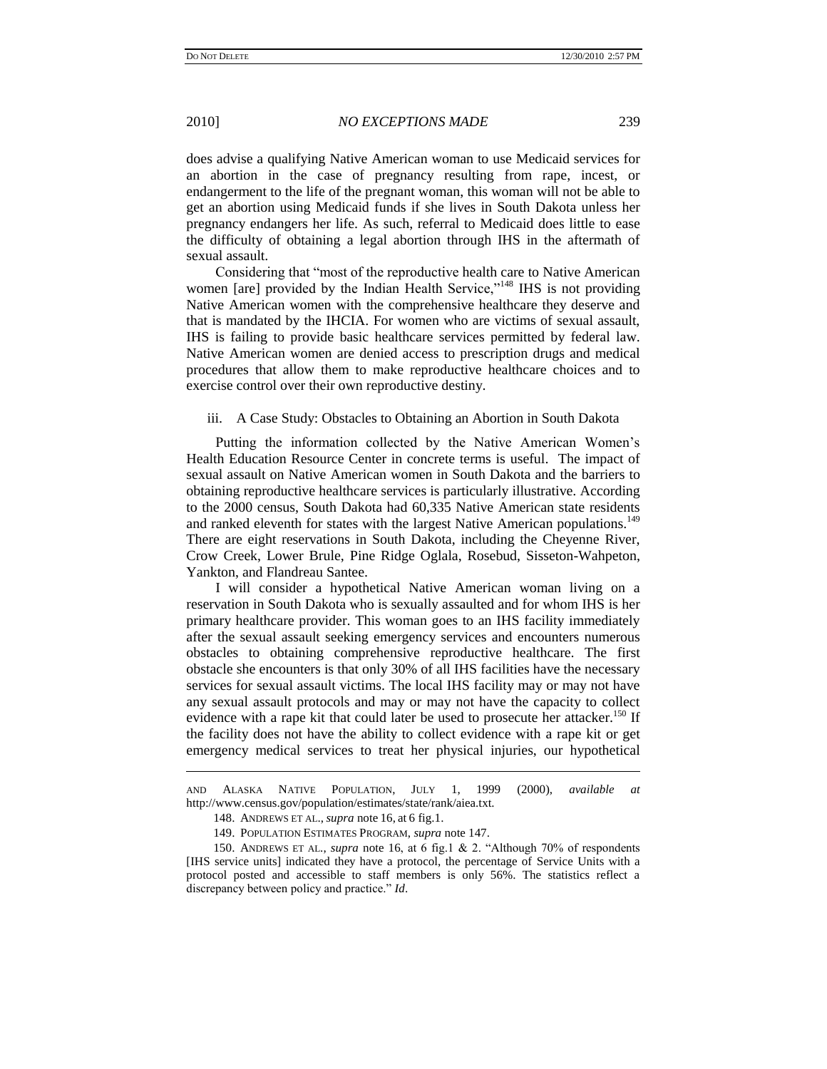2010] *NO EXCEPTIONS MADE* 239

does advise a qualifying Native American woman to use Medicaid services for an abortion in the case of pregnancy resulting from rape, incest, or endangerment to the life of the pregnant woman, this woman will not be able to get an abortion using Medicaid funds if she lives in South Dakota unless her pregnancy endangers her life. As such, referral to Medicaid does little to ease the difficulty of obtaining a legal abortion through IHS in the aftermath of sexual assault.

Considering that "most of the reproductive health care to Native American women [are] provided by the Indian Health Service,"<sup>148</sup> IHS is not providing Native American women with the comprehensive healthcare they deserve and that is mandated by the IHCIA. For women who are victims of sexual assault, IHS is failing to provide basic healthcare services permitted by federal law. Native American women are denied access to prescription drugs and medical procedures that allow them to make reproductive healthcare choices and to exercise control over their own reproductive destiny.

#### iii. A Case Study: Obstacles to Obtaining an Abortion in South Dakota

Putting the information collected by the Native American Women"s Health Education Resource Center in concrete terms is useful. The impact of sexual assault on Native American women in South Dakota and the barriers to obtaining reproductive healthcare services is particularly illustrative. According to the 2000 census, South Dakota had 60,335 Native American state residents and ranked eleventh for states with the largest Native American populations.<sup>149</sup> There are eight reservations in South Dakota, including the Cheyenne River, Crow Creek, Lower Brule, Pine Ridge Oglala, Rosebud, Sisseton-Wahpeton, Yankton, and Flandreau Santee.

I will consider a hypothetical Native American woman living on a reservation in South Dakota who is sexually assaulted and for whom IHS is her primary healthcare provider. This woman goes to an IHS facility immediately after the sexual assault seeking emergency services and encounters numerous obstacles to obtaining comprehensive reproductive healthcare. The first obstacle she encounters is that only 30% of all IHS facilities have the necessary services for sexual assault victims. The local IHS facility may or may not have any sexual assault protocols and may or may not have the capacity to collect evidence with a rape kit that could later be used to prosecute her attacker.<sup>150</sup> If the facility does not have the ability to collect evidence with a rape kit or get emergency medical services to treat her physical injuries, our hypothetical

AND ALASKA NATIVE POPULATION, JULY 1, 1999 (2000), *available at* http://www.census.gov/population/estimates/state/rank/aiea.txt.

<sup>148.</sup> ANDREWS ET AL., *supra* note [16,](#page-5-1) at 6 fig.1.

<sup>149.</sup> POPULATION ESTIMATES PROGRAM, *supra* note [147.](#page-29-1)

<sup>150.</sup> ANDREWS ET AL., *supra* note [16,](#page-5-1) at 6 fig.1 & 2. "Although 70% of respondents [IHS service units] indicated they have a protocol, the percentage of Service Units with a protocol posted and accessible to staff members is only 56%. The statistics reflect a discrepancy between policy and practice." *Id*.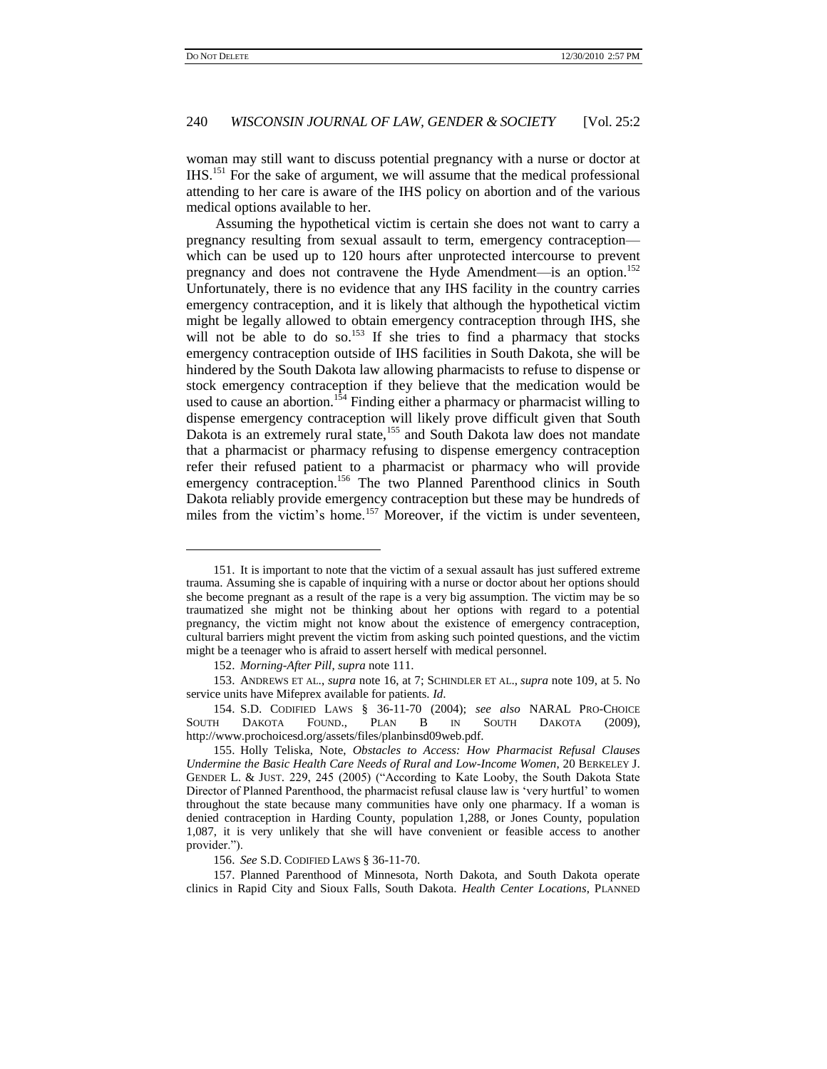# 240 *WISCONSIN JOURNAL OF LAW, GENDER & SOCIETY* [Vol. 25:2

woman may still want to discuss potential pregnancy with a nurse or doctor at IHS.<sup>151</sup> For the sake of argument, we will assume that the medical professional attending to her care is aware of the IHS policy on abortion and of the various medical options available to her.

Assuming the hypothetical victim is certain she does not want to carry a pregnancy resulting from sexual assault to term, emergency contraception which can be used up to 120 hours after unprotected intercourse to prevent pregnancy and does not contravene the Hyde Amendment—is an option.<sup>152</sup> Unfortunately, there is no evidence that any IHS facility in the country carries emergency contraception, and it is likely that although the hypothetical victim might be legally allowed to obtain emergency contraception through IHS, she will not be able to do so.<sup>153</sup> If she tries to find a pharmacy that stocks emergency contraception outside of IHS facilities in South Dakota, she will be hindered by the South Dakota law allowing pharmacists to refuse to dispense or stock emergency contraception if they believe that the medication would be used to cause an abortion.<sup>154</sup> Finding either a pharmacy or pharmacist willing to dispense emergency contraception will likely prove difficult given that South Dakota is an extremely rural state,<sup>155</sup> and South Dakota law does not mandate that a pharmacist or pharmacy refusing to dispense emergency contraception refer their refused patient to a pharmacist or pharmacy who will provide emergency contraception.<sup>156</sup> The two Planned Parenthood clinics in South Dakota reliably provide emergency contraception but these may be hundreds of miles from the victim's home.<sup>157</sup> Moreover, if the victim is under seventeen,

<span id="page-31-0"></span><sup>151.</sup> It is important to note that the victim of a sexual assault has just suffered extreme trauma. Assuming she is capable of inquiring with a nurse or doctor about her options should she become pregnant as a result of the rape is a very big assumption. The victim may be so traumatized she might not be thinking about her options with regard to a potential pregnancy, the victim might not know about the existence of emergency contraception, cultural barriers might prevent the victim from asking such pointed questions, and the victim might be a teenager who is afraid to assert herself with medical personnel.

<sup>152.</sup> *Morning-After Pill*, *supra* not[e 111.](#page-23-1)

<sup>153.</sup> ANDREWS ET AL., *supra* note [16,](#page-5-1) at 7; SCHINDLER ET AL., *supra* not[e 109,](#page-22-0) at 5. No service units have Mifeprex available for patients. *Id*.

<sup>154.</sup> S.D. CODIFIED LAWS § 36-11-70 (2004); *see also* NARAL PRO-CHOICE SOUTH DAKOTA FOUND., PLAN B IN SOUTH DAKOTA (2009), http://www.prochoicesd.org/assets/files/planbinsd09web.pdf.

<sup>155.</sup> Holly Teliska, Note, *Obstacles to Access: How Pharmacist Refusal Clauses Undermine the Basic Health Care Needs of Rural and Low-Income Women*, 20 BERKELEY J. GENDER L. & JUST. 229, 245 (2005) ("According to Kate Looby, the South Dakota State Director of Planned Parenthood, the pharmacist refusal clause law is "very hurtful" to women throughout the state because many communities have only one pharmacy. If a woman is denied contraception in Harding County, population 1,288, or Jones County, population 1,087, it is very unlikely that she will have convenient or feasible access to another provider.").

<sup>156.</sup> *See* S.D. CODIFIED LAWS § 36-11-70.

<sup>157.</sup> Planned Parenthood of Minnesota, North Dakota, and South Dakota operate clinics in Rapid City and Sioux Falls, South Dakota. *Health Center Locations*, PLANNED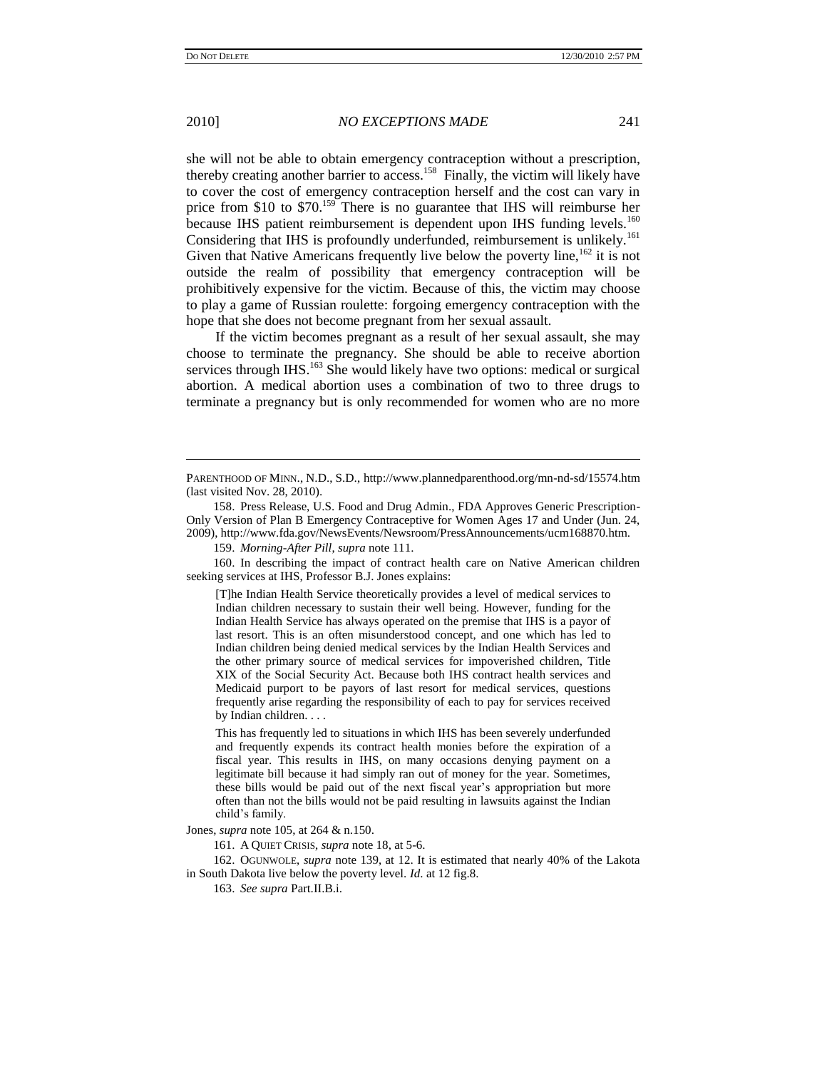2010] *NO EXCEPTIONS MADE* 241

she will not be able to obtain emergency contraception without a prescription, thereby creating another barrier to access.<sup>158</sup> Finally, the victim will likely have to cover the cost of emergency contraception herself and the cost can vary in price from \$10 to \$70.<sup>159</sup> There is no guarantee that IHS will reimburse her because IHS patient reimbursement is dependent upon IHS funding levels.<sup>160</sup> Considering that IHS is profoundly underfunded, reimbursement is unlikely.<sup>161</sup> Given that Native Americans frequently live below the poverty line,  $162$  it is not outside the realm of possibility that emergency contraception will be prohibitively expensive for the victim. Because of this, the victim may choose to play a game of Russian roulette: forgoing emergency contraception with the hope that she does not become pregnant from her sexual assault.

If the victim becomes pregnant as a result of her sexual assault, she may choose to terminate the pregnancy. She should be able to receive abortion services through IHS.<sup>163</sup> She would likely have two options: medical or surgical abortion. A medical abortion uses a combination of two to three drugs to terminate a pregnancy but is only recommended for women who are no more

159. *Morning-After Pill*, *supra* not[e 111.](#page-23-1)

160. In describing the impact of contract health care on Native American children seeking services at IHS, Professor B.J. Jones explains:

[T]he Indian Health Service theoretically provides a level of medical services to Indian children necessary to sustain their well being. However, funding for the Indian Health Service has always operated on the premise that IHS is a payor of last resort. This is an often misunderstood concept, and one which has led to Indian children being denied medical services by the Indian Health Services and the other primary source of medical services for impoverished children, Title XIX of the Social Security Act. Because both IHS contract health services and Medicaid purport to be payors of last resort for medical services, questions frequently arise regarding the responsibility of each to pay for services received by Indian children. . . .

This has frequently led to situations in which IHS has been severely underfunded and frequently expends its contract health monies before the expiration of a fiscal year. This results in IHS, on many occasions denying payment on a legitimate bill because it had simply ran out of money for the year. Sometimes, these bills would be paid out of the next fiscal year"s appropriation but more often than not the bills would not be paid resulting in lawsuits against the Indian child"s family.

Jones, *supra* note [105,](#page-22-1) at 264 & n.150.

161. A QUIET CRISIS, *supra* not[e 18,](#page-6-0) at 5-6.

162. OGUNWOLE, *supra* not[e 139,](#page-28-0) at 12. It is estimated that nearly 40% of the Lakota in South Dakota live below the poverty level. *Id*. at 12 fig.8.

163. *See supra* Part.II.B.i.

PARENTHOOD OF MINN., N.D., S.D., http://www.plannedparenthood.org/mn-nd-sd/15574.htm (last visited Nov. 28, 2010).

<sup>158.</sup> Press Release, U.S. Food and Drug Admin., FDA Approves Generic Prescription-Only Version of Plan B Emergency Contraceptive for Women Ages 17 and Under (Jun. 24, 2009), http://www.fda.gov/NewsEvents/Newsroom/PressAnnouncements/ucm168870.htm.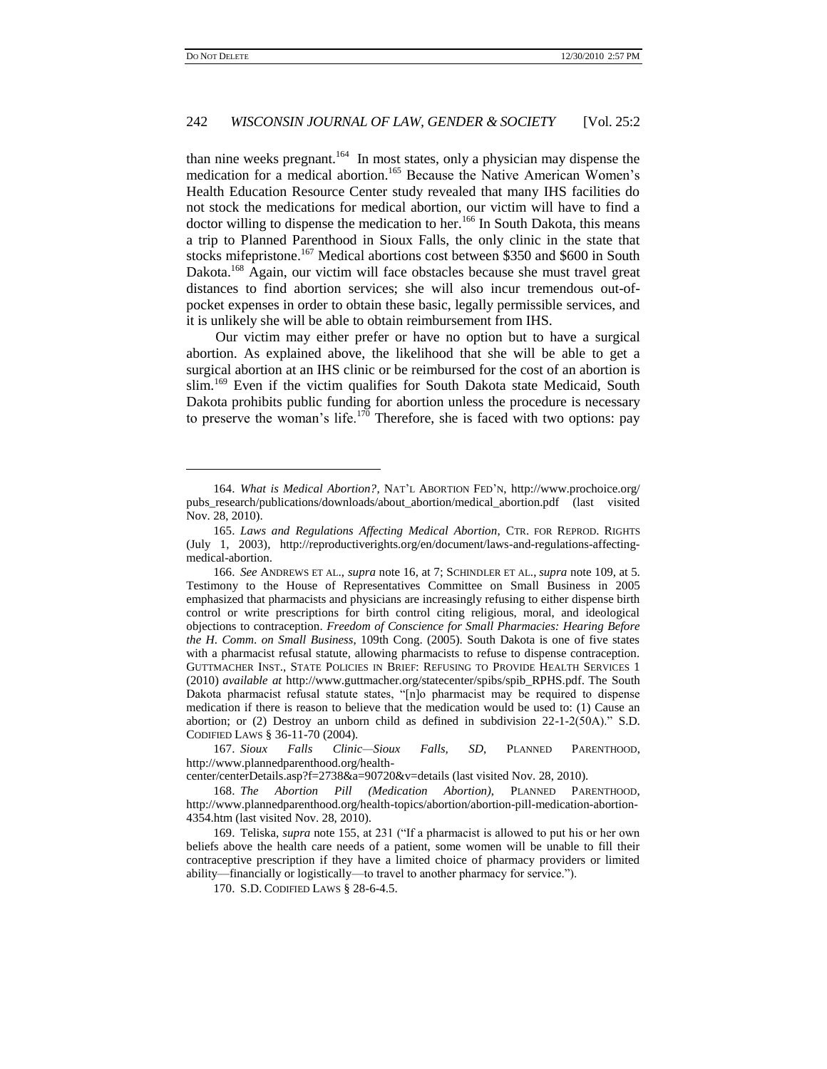# 242 *WISCONSIN JOURNAL OF LAW, GENDER & SOCIETY* [Vol. 25:2

than nine weeks pregnant.<sup>164</sup> In most states, only a physician may dispense the medication for a medical abortion.<sup>165</sup> Because the Native American Women's Health Education Resource Center study revealed that many IHS facilities do not stock the medications for medical abortion, our victim will have to find a doctor willing to dispense the medication to her.<sup>166</sup> In South Dakota, this means a trip to Planned Parenthood in Sioux Falls, the only clinic in the state that stocks mifepristone.<sup>167</sup> Medical abortions cost between \$350 and \$600 in South Dakota.<sup>168</sup> Again, our victim will face obstacles because she must travel great distances to find abortion services; she will also incur tremendous out-ofpocket expenses in order to obtain these basic, legally permissible services, and it is unlikely she will be able to obtain reimbursement from IHS.

Our victim may either prefer or have no option but to have a surgical abortion. As explained above, the likelihood that she will be able to get a surgical abortion at an IHS clinic or be reimbursed for the cost of an abortion is slim.<sup>169</sup> Even if the victim qualifies for South Dakota state Medicaid, South Dakota prohibits public funding for abortion unless the procedure is necessary to preserve the woman's life.<sup>170</sup> Therefore, she is faced with two options: pay

<sup>164.</sup> *What is Medical Abortion?*, NAT"L ABORTION FED"N, http://www.prochoice.org/ pubs\_research/publications/downloads/about\_abortion/medical\_abortion.pdf (last visited Nov. 28, 2010).

<sup>165.</sup> *Laws and Regulations Affecting Medical Abortion*, CTR. FOR REPROD. RIGHTS (July 1, 2003), http://reproductiverights.org/en/document/laws-and-regulations-affectingmedical-abortion.

<sup>166.</sup> *See* ANDREWS ET AL., *supra* not[e 16,](#page-5-1) at 7; SCHINDLER ET AL., *supra* not[e 109,](#page-22-0) at 5. Testimony to the House of Representatives Committee on Small Business in 2005 emphasized that pharmacists and physicians are increasingly refusing to either dispense birth control or write prescriptions for birth control citing religious, moral, and ideological objections to contraception. *Freedom of Conscience for Small Pharmacies: Hearing Before the H*. *Comm*. *on Small Business*, 109th Cong. (2005). South Dakota is one of five states with a pharmacist refusal statute, allowing pharmacists to refuse to dispense contraception. GUTTMACHER INST., STATE POLICIES IN BRIEF: REFUSING TO PROVIDE HEALTH SERVICES 1 (2010) *available at* http://www.guttmacher.org/statecenter/spibs/spib\_RPHS.pdf. The South Dakota pharmacist refusal statute states, "[n]o pharmacist may be required to dispense medication if there is reason to believe that the medication would be used to: (1) Cause an abortion; or (2) Destroy an unborn child as defined in subdivision 22-1-2(50A)." S.D. CODIFIED LAWS § 36-11-70 (2004).

<sup>167.</sup> *Sioux Falls Clinic—Sioux Falls, SD*, PLANNED PARENTHOOD, http://www.plannedparenthood.org/health-

center/centerDetails.asp?f=2738&a=90720&v=details (last visited Nov. 28, 2010).

<sup>168.</sup> *The Abortion Pill (Medication Abortion)*, PLANNED PARENTHOOD, http://www.plannedparenthood.org/health-topics/abortion/abortion-pill-medication-abortion-4354.htm (last visited Nov. 28, 2010).

<sup>169.</sup> Teliska, *supra* note [155,](#page-31-0) at 231 ("If a pharmacist is allowed to put his or her own beliefs above the health care needs of a patient, some women will be unable to fill their contraceptive prescription if they have a limited choice of pharmacy providers or limited ability—financially or logistically—to travel to another pharmacy for service.").

<sup>170.</sup> S.D. CODIFIED LAWS § 28-6-4.5.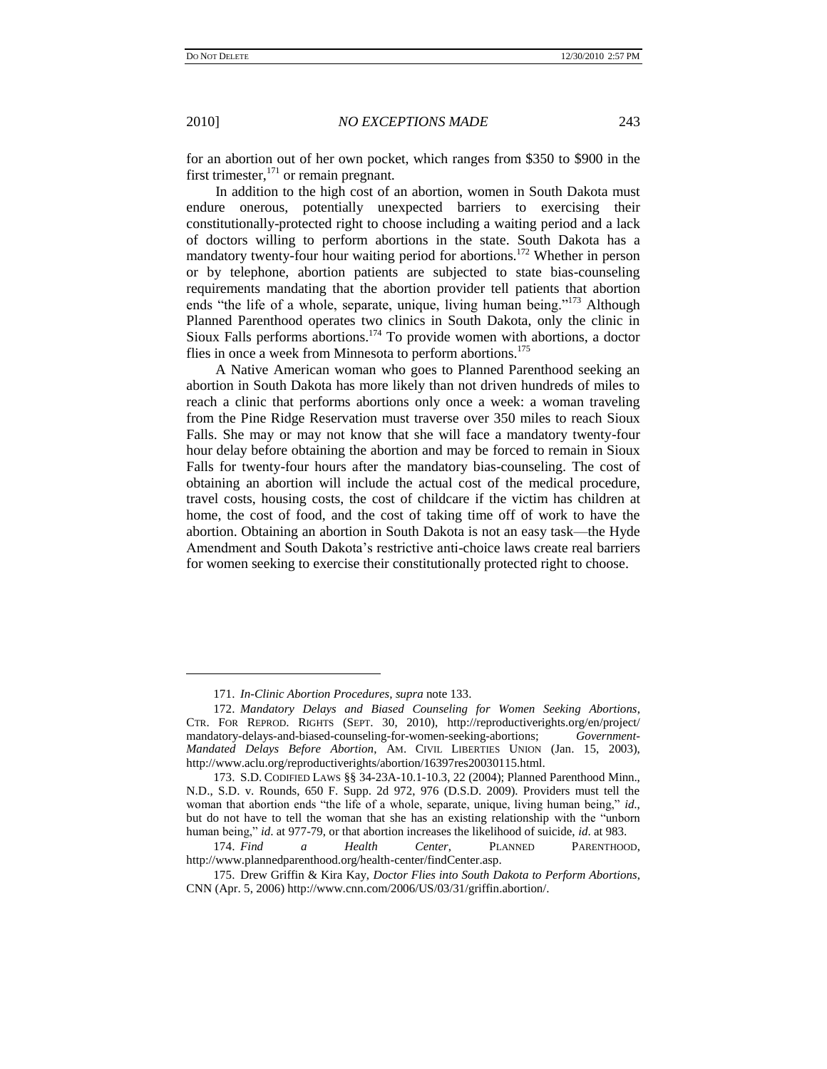2010] *NO EXCEPTIONS MADE* 243

for an abortion out of her own pocket, which ranges from \$350 to \$900 in the first trimester, $171$  or remain pregnant.

In addition to the high cost of an abortion, women in South Dakota must endure onerous, potentially unexpected barriers to exercising their constitutionally-protected right to choose including a waiting period and a lack of doctors willing to perform abortions in the state. South Dakota has a mandatory twenty-four hour waiting period for abortions.<sup>172</sup> Whether in person or by telephone, abortion patients are subjected to state bias-counseling requirements mandating that the abortion provider tell patients that abortion ends "the life of a whole, separate, unique, living human being."<sup>173</sup> Although Planned Parenthood operates two clinics in South Dakota, only the clinic in Sioux Falls performs abortions.<sup>174</sup> To provide women with abortions, a doctor flies in once a week from Minnesota to perform abortions.<sup>175</sup>

A Native American woman who goes to Planned Parenthood seeking an abortion in South Dakota has more likely than not driven hundreds of miles to reach a clinic that performs abortions only once a week: a woman traveling from the Pine Ridge Reservation must traverse over 350 miles to reach Sioux Falls. She may or may not know that she will face a mandatory twenty-four hour delay before obtaining the abortion and may be forced to remain in Sioux Falls for twenty-four hours after the mandatory bias-counseling. The cost of obtaining an abortion will include the actual cost of the medical procedure, travel costs, housing costs, the cost of childcare if the victim has children at home, the cost of food, and the cost of taking time off of work to have the abortion. Obtaining an abortion in South Dakota is not an easy task—the Hyde Amendment and South Dakota"s restrictive anti-choice laws create real barriers for women seeking to exercise their constitutionally protected right to choose.

<sup>171.</sup> *In-Clinic Abortion Procedures, supra* not[e 133.](#page-27-0)

<sup>172.</sup> *Mandatory Delays and Biased Counseling for Women Seeking Abortions*, CTR. FOR REPROD. RIGHTS (SEPT. 30, 2010), http://reproductiverights.org/en/project/ mandatory-delays-and-biased-counseling-for-women-seeking-abortions; *Government-Mandated Delays Before Abortion*, AM. CIVIL LIBERTIES UNION (Jan. 15, 2003), http://www.aclu.org/reproductiverights/abortion/16397res20030115.html.

<sup>173.</sup> S.D. CODIFIED LAWS §§ 34-23A-10.1-10.3, 22 (2004); Planned Parenthood Minn., N.D., S.D. v. Rounds, 650 F. Supp. 2d 972, 976 (D.S.D. 2009). Providers must tell the woman that abortion ends "the life of a whole, separate, unique, living human being," *id*., but do not have to tell the woman that she has an existing relationship with the "unborn human being," *id*. at 977-79, or that abortion increases the likelihood of suicide, *id*. at 983.

<sup>174.</sup> *Find a Health Center*, PLANNED PARENTHOOD, http://www.plannedparenthood.org/health-center/findCenter.asp.

<sup>175.</sup> Drew Griffin & Kira Kay, *Doctor Flies into South Dakota to Perform Abortions*, CNN (Apr. 5, 2006) http://www.cnn.com/2006/US/03/31/griffin.abortion/.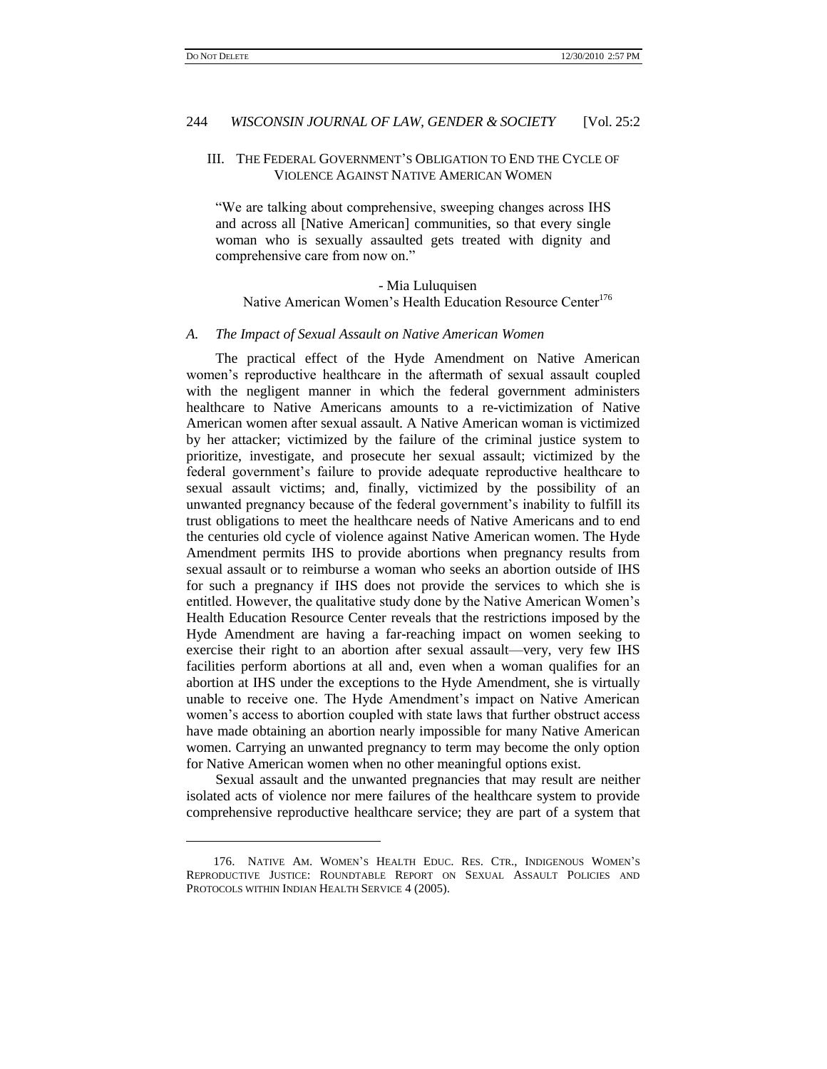### 244 *WISCONSIN JOURNAL OF LAW, GENDER & SOCIETY* [Vol. 25:2

### III. THE FEDERAL GOVERNMENT"S OBLIGATION TO END THE CYCLE OF VIOLENCE AGAINST NATIVE AMERICAN WOMEN

"We are talking about comprehensive, sweeping changes across IHS and across all [Native American] communities, so that every single woman who is sexually assaulted gets treated with dignity and comprehensive care from now on."

- Mia Luluquisen Native American Women's Health Education Resource Center<sup>176</sup>

#### *A. The Impact of Sexual Assault on Native American Women*

The practical effect of the Hyde Amendment on Native American women"s reproductive healthcare in the aftermath of sexual assault coupled with the negligent manner in which the federal government administers healthcare to Native Americans amounts to a re-victimization of Native American women after sexual assault. A Native American woman is victimized by her attacker; victimized by the failure of the criminal justice system to prioritize, investigate, and prosecute her sexual assault; victimized by the federal government's failure to provide adequate reproductive healthcare to sexual assault victims; and, finally, victimized by the possibility of an unwanted pregnancy because of the federal government's inability to fulfill its trust obligations to meet the healthcare needs of Native Americans and to end the centuries old cycle of violence against Native American women. The Hyde Amendment permits IHS to provide abortions when pregnancy results from sexual assault or to reimburse a woman who seeks an abortion outside of IHS for such a pregnancy if IHS does not provide the services to which she is entitled. However, the qualitative study done by the Native American Women"s Health Education Resource Center reveals that the restrictions imposed by the Hyde Amendment are having a far-reaching impact on women seeking to exercise their right to an abortion after sexual assault—very, very few IHS facilities perform abortions at all and, even when a woman qualifies for an abortion at IHS under the exceptions to the Hyde Amendment, she is virtually unable to receive one. The Hyde Amendment's impact on Native American women's access to abortion coupled with state laws that further obstruct access have made obtaining an abortion nearly impossible for many Native American women. Carrying an unwanted pregnancy to term may become the only option for Native American women when no other meaningful options exist.

Sexual assault and the unwanted pregnancies that may result are neither isolated acts of violence nor mere failures of the healthcare system to provide comprehensive reproductive healthcare service; they are part of a system that

<sup>176.</sup> NATIVE AM. WOMEN"S HEALTH EDUC. RES. CTR., INDIGENOUS WOMEN"S REPRODUCTIVE JUSTICE: ROUNDTABLE REPORT ON SEXUAL ASSAULT POLICIES AND PROTOCOLS WITHIN INDIAN HEALTH SERVICE 4 (2005).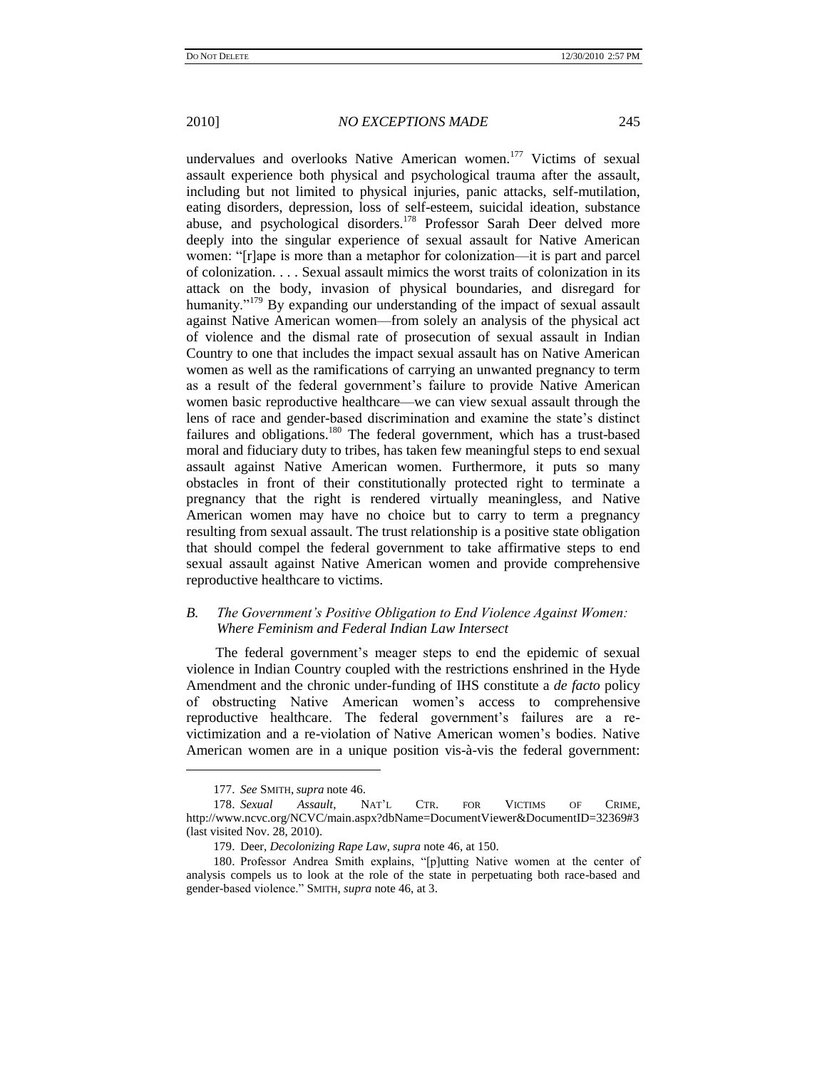undervalues and overlooks Native American women.<sup>177</sup> Victims of sexual assault experience both physical and psychological trauma after the assault, including but not limited to physical injuries, panic attacks, self-mutilation, eating disorders, depression, loss of self-esteem, suicidal ideation, substance abuse, and psychological disorders.<sup>178</sup> Professor Sarah Deer delved more deeply into the singular experience of sexual assault for Native American women: "[r]ape is more than a metaphor for colonization—it is part and parcel of colonization. . . . Sexual assault mimics the worst traits of colonization in its attack on the body, invasion of physical boundaries, and disregard for humanity."<sup>179</sup> By expanding our understanding of the impact of sexual assault against Native American women—from solely an analysis of the physical act of violence and the dismal rate of prosecution of sexual assault in Indian Country to one that includes the impact sexual assault has on Native American women as well as the ramifications of carrying an unwanted pregnancy to term as a result of the federal government's failure to provide Native American women basic reproductive healthcare—we can view sexual assault through the lens of race and gender-based discrimination and examine the state's distinct failures and obligations.<sup>180</sup> The federal government, which has a trust-based moral and fiduciary duty to tribes, has taken few meaningful steps to end sexual assault against Native American women. Furthermore, it puts so many obstacles in front of their constitutionally protected right to terminate a pregnancy that the right is rendered virtually meaningless, and Native American women may have no choice but to carry to term a pregnancy resulting from sexual assault. The trust relationship is a positive state obligation that should compel the federal government to take affirmative steps to end sexual assault against Native American women and provide comprehensive reproductive healthcare to victims.

# *B. The Government's Positive Obligation to End Violence Against Women: Where Feminism and Federal Indian Law Intersect*

The federal government's meager steps to end the epidemic of sexual violence in Indian Country coupled with the restrictions enshrined in the Hyde Amendment and the chronic under-funding of IHS constitute a *de facto* policy of obstructing Native American women"s access to comprehensive reproductive healthcare. The federal government"s failures are a revictimization and a re-violation of Native American women"s bodies. Native American women are in a unique position vis-à-vis the federal government:

<sup>177.</sup> *See* SMITH, *supra* not[e 46.](#page-12-1)

<sup>178.</sup> *Sexual Assault*, NAT"L CTR. FOR VICTIMS OF CRIME, http://www.ncvc.org/NCVC/main.aspx?dbName=DocumentViewer&DocumentID=32369#3 (last visited Nov. 28, 2010).

<sup>179.</sup> Deer, *Decolonizing Rape Law*, *supra* not[e 46,](#page-12-1) at 150.

<sup>180.</sup> Professor Andrea Smith explains, "[p]utting Native women at the center of analysis compels us to look at the role of the state in perpetuating both race-based and gender-based violence." SMITH, *supra* note [46,](#page-12-1) at 3.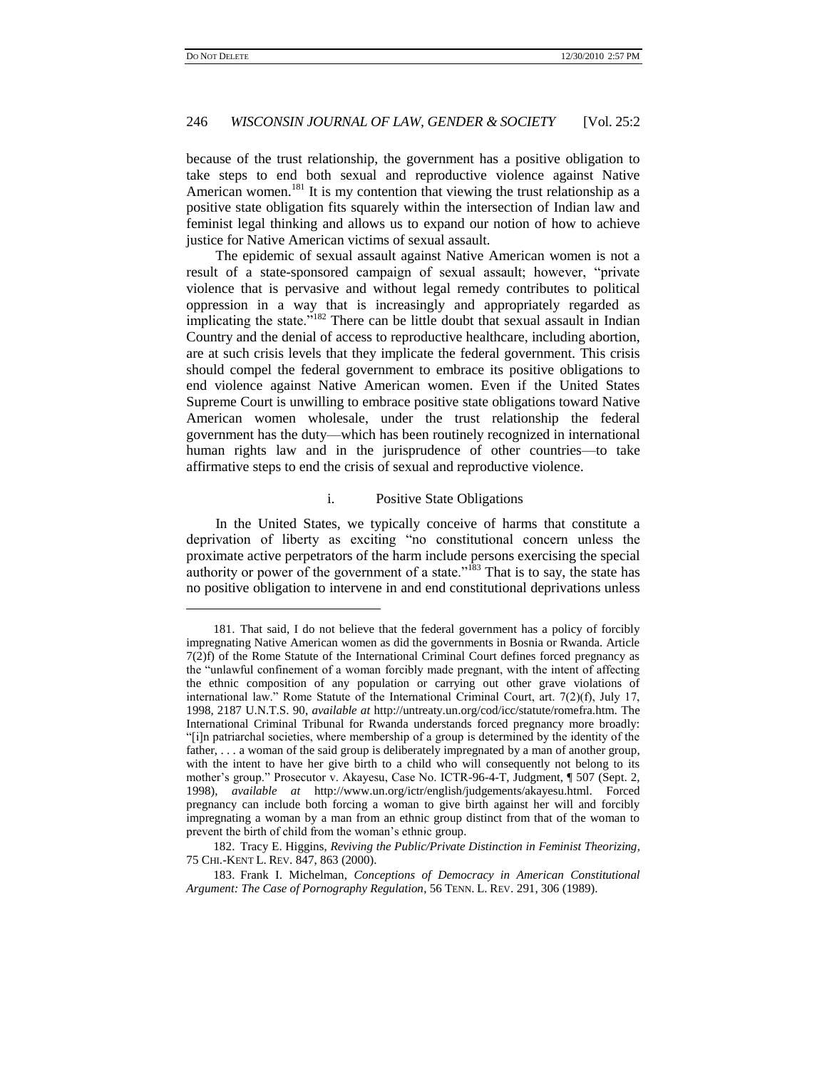### 246 *WISCONSIN JOURNAL OF LAW, GENDER & SOCIETY* [Vol. 25:2

because of the trust relationship, the government has a positive obligation to take steps to end both sexual and reproductive violence against Native American women.<sup>181</sup> It is my contention that viewing the trust relationship as a positive state obligation fits squarely within the intersection of Indian law and feminist legal thinking and allows us to expand our notion of how to achieve justice for Native American victims of sexual assault.

<span id="page-37-0"></span>The epidemic of sexual assault against Native American women is not a result of a state-sponsored campaign of sexual assault; however, "private violence that is pervasive and without legal remedy contributes to political oppression in a way that is increasingly and appropriately regarded as implicating the state."<sup>182</sup> There can be little doubt that sexual assault in Indian Country and the denial of access to reproductive healthcare, including abortion, are at such crisis levels that they implicate the federal government. This crisis should compel the federal government to embrace its positive obligations to end violence against Native American women. Even if the United States Supreme Court is unwilling to embrace positive state obligations toward Native American women wholesale, under the trust relationship the federal government has the duty—which has been routinely recognized in international human rights law and in the jurisprudence of other countries—to take affirmative steps to end the crisis of sexual and reproductive violence.

### i. Positive State Obligations

In the United States, we typically conceive of harms that constitute a deprivation of liberty as exciting "no constitutional concern unless the proximate active perpetrators of the harm include persons exercising the special authority or power of the government of a state."<sup>183</sup> That is to say, the state has no positive obligation to intervene in and end constitutional deprivations unless

<sup>181.</sup> That said, I do not believe that the federal government has a policy of forcibly impregnating Native American women as did the governments in Bosnia or Rwanda. Article 7(2)f) of the Rome Statute of the International Criminal Court defines forced pregnancy as the "unlawful confinement of a woman forcibly made pregnant, with the intent of affecting the ethnic composition of any population or carrying out other grave violations of international law." Rome Statute of the International Criminal Court, art. 7(2)(f), July 17, 1998, 2187 U.N.T.S. 90, *available at* http://untreaty.un.org/cod/icc/statute/romefra.htm. The International Criminal Tribunal for Rwanda understands forced pregnancy more broadly: "[i]n patriarchal societies, where membership of a group is determined by the identity of the father, . . . a woman of the said group is deliberately impregnated by a man of another group, with the intent to have her give birth to a child who will consequently not belong to its mother's group." Prosecutor v. Akayesu, Case No. ICTR-96-4-T, Judgment, ¶ 507 (Sept. 2, 1998), *available at* http://www.un.org/ictr/english/judgements/akayesu.html. Forced pregnancy can include both forcing a woman to give birth against her will and forcibly impregnating a woman by a man from an ethnic group distinct from that of the woman to prevent the birth of child from the woman"s ethnic group.

<sup>182.</sup> Tracy E. Higgins, *Reviving the Public/Private Distinction in Feminist Theorizing*, 75 CHI.-KENT L. REV. 847, 863 (2000).

<sup>183.</sup> Frank I. Michelman, *Conceptions of Democracy in American Constitutional Argument: The Case of Pornography Regulation*, 56 TENN. L. REV. 291, 306 (1989).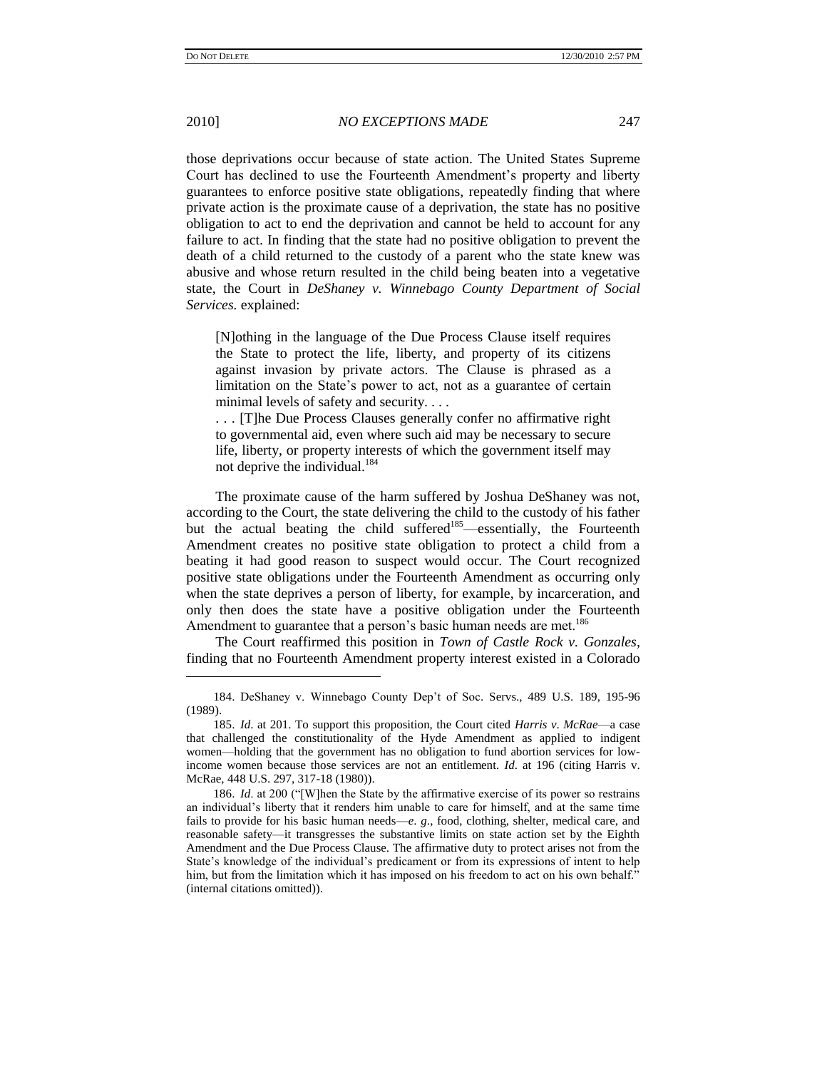$\overline{a}$ 

2010] *NO EXCEPTIONS MADE* 247

those deprivations occur because of state action. The United States Supreme Court has declined to use the Fourteenth Amendment's property and liberty guarantees to enforce positive state obligations, repeatedly finding that where private action is the proximate cause of a deprivation, the state has no positive obligation to act to end the deprivation and cannot be held to account for any failure to act. In finding that the state had no positive obligation to prevent the death of a child returned to the custody of a parent who the state knew was abusive and whose return resulted in the child being beaten into a vegetative state, the Court in *DeShaney v. Winnebago County Department of Social Services.* explained:

[N]othing in the language of the Due Process Clause itself requires the State to protect the life, liberty, and property of its citizens against invasion by private actors. The Clause is phrased as a limitation on the State"s power to act, not as a guarantee of certain minimal levels of safety and security. . . .

. . . [T]he Due Process Clauses generally confer no affirmative right to governmental aid, even where such aid may be necessary to secure life, liberty, or property interests of which the government itself may not deprive the individual.<sup>184</sup>

The proximate cause of the harm suffered by Joshua DeShaney was not, according to the Court, the state delivering the child to the custody of his father but the actual beating the child suffered<sup>185</sup>—essentially, the Fourteenth Amendment creates no positive state obligation to protect a child from a beating it had good reason to suspect would occur. The Court recognized positive state obligations under the Fourteenth Amendment as occurring only when the state deprives a person of liberty, for example, by incarceration, and only then does the state have a positive obligation under the Fourteenth Amendment to guarantee that a person's basic human needs are met.<sup>186</sup>

The Court reaffirmed this position in *Town of Castle Rock v. Gonzales*, finding that no Fourteenth Amendment property interest existed in a Colorado

<sup>184.</sup> DeShaney v. Winnebago County Dep"t of Soc. Servs., 489 U.S. 189, 195-96 (1989).

<sup>185.</sup> *Id*. at 201. To support this proposition, the Court cited *Harris v*. *McRae*—a case that challenged the constitutionality of the Hyde Amendment as applied to indigent women—holding that the government has no obligation to fund abortion services for lowincome women because those services are not an entitlement. *Id*. at 196 (citing Harris v. McRae, 448 U.S. 297, 317-18 (1980)).

<sup>186.</sup> *Id*. at 200 ("[W]hen the State by the affirmative exercise of its power so restrains an individual"s liberty that it renders him unable to care for himself, and at the same time fails to provide for his basic human needs—*e*. *g*., food, clothing, shelter, medical care, and reasonable safety—it transgresses the substantive limits on state action set by the Eighth Amendment and the Due Process Clause. The affirmative duty to protect arises not from the State's knowledge of the individual's predicament or from its expressions of intent to help him, but from the limitation which it has imposed on his freedom to act on his own behalf." (internal citations omitted)).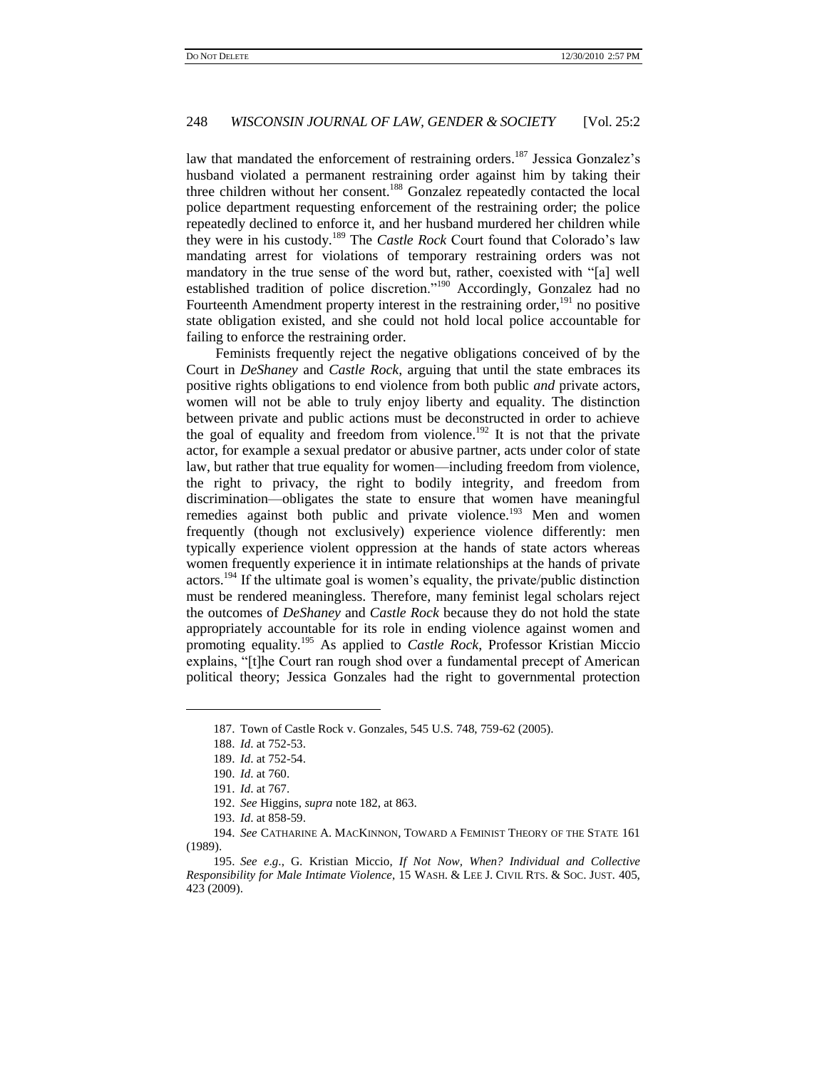law that mandated the enforcement of restraining orders.<sup>187</sup> Jessica Gonzalez's husband violated a permanent restraining order against him by taking their three children without her consent.<sup>188</sup> Gonzalez repeatedly contacted the local police department requesting enforcement of the restraining order; the police repeatedly declined to enforce it, and her husband murdered her children while they were in his custody.<sup>189</sup> The *Castle Rock* Court found that Colorado's law mandating arrest for violations of temporary restraining orders was not mandatory in the true sense of the word but, rather, coexisted with "[a] well established tradition of police discretion."<sup>190</sup> Accordingly, Gonzalez had no Fourteenth Amendment property interest in the restraining order,  $191$  no positive state obligation existed, and she could not hold local police accountable for failing to enforce the restraining order.

Feminists frequently reject the negative obligations conceived of by the Court in *DeShaney* and *Castle Rock*, arguing that until the state embraces its positive rights obligations to end violence from both public *and* private actors, women will not be able to truly enjoy liberty and equality. The distinction between private and public actions must be deconstructed in order to achieve the goal of equality and freedom from violence.<sup>192</sup> It is not that the private actor, for example a sexual predator or abusive partner, acts under color of state law, but rather that true equality for women—including freedom from violence, the right to privacy, the right to bodily integrity, and freedom from discrimination—obligates the state to ensure that women have meaningful remedies against both public and private violence.<sup>193</sup> Men and women frequently (though not exclusively) experience violence differently: men typically experience violent oppression at the hands of state actors whereas women frequently experience it in intimate relationships at the hands of private actors.<sup>194</sup> If the ultimate goal is women"s equality, the private/public distinction must be rendered meaningless. Therefore, many feminist legal scholars reject the outcomes of *DeShaney* and *Castle Rock* because they do not hold the state appropriately accountable for its role in ending violence against women and promoting equality.<sup>195</sup> As applied to *Castle Rock*, Professor Kristian Miccio explains, "[t]he Court ran rough shod over a fundamental precept of American political theory; Jessica Gonzales had the right to governmental protection

<sup>187.</sup> Town of Castle Rock v. Gonzales, 545 U.S. 748, 759-62 (2005).

<sup>188.</sup> *Id*. at 752-53.

<sup>189.</sup> *Id*. at 752-54.

<sup>190.</sup> *Id*. at 760.

<sup>191.</sup> *Id*. at 767.

<sup>192.</sup> *See* Higgins, *supra* not[e 182,](#page-37-0) at 863.

<sup>193.</sup> *Id*. at 858-59.

<sup>194.</sup> *See* CATHARINE A. MACKINNON, TOWARD A FEMINIST THEORY OF THE STATE 161 (1989).

<sup>195.</sup> *See e*.*g*., G. Kristian Miccio, *If Not Now, When? Individual and Collective Responsibility for Male Intimate Violence*, 15 WASH. & LEE J. CIVIL RTS. & SOC. JUST. 405, 423 (2009).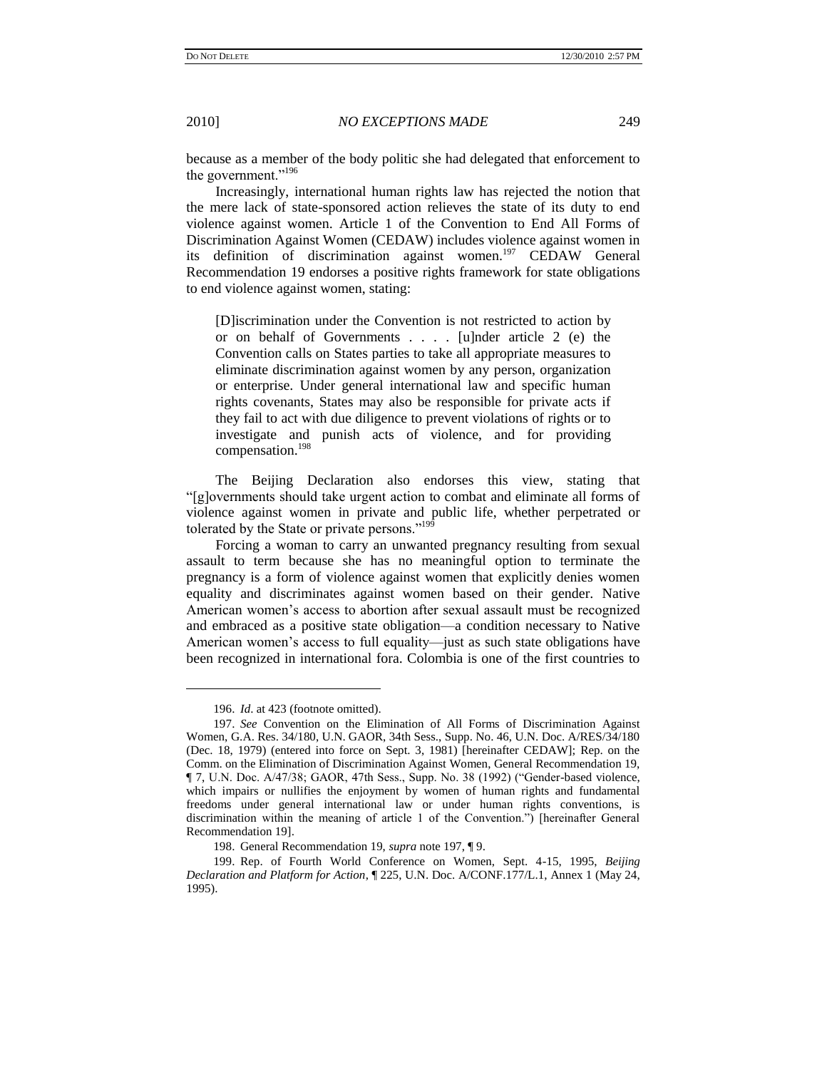<span id="page-40-0"></span>

because as a member of the body politic she had delegated that enforcement to the government."<sup>196</sup>

Increasingly, international human rights law has rejected the notion that the mere lack of state-sponsored action relieves the state of its duty to end violence against women. Article 1 of the Convention to End All Forms of Discrimination Against Women (CEDAW) includes violence against women in its definition of discrimination against women.<sup>197</sup> CEDAW General Recommendation 19 endorses a positive rights framework for state obligations to end violence against women, stating:

[D]iscrimination under the Convention is not restricted to action by or on behalf of Governments . . . . [u]nder article 2 (e) the Convention calls on States parties to take all appropriate measures to eliminate discrimination against women by any person, organization or enterprise. Under general international law and specific human rights covenants, States may also be responsible for private acts if they fail to act with due diligence to prevent violations of rights or to investigate and punish acts of violence, and for providing compensation.<sup>198</sup>

The Beijing Declaration also endorses this view, stating that "[g]overnments should take urgent action to combat and eliminate all forms of violence against women in private and public life, whether perpetrated or tolerated by the State or private persons."<sup>199</sup>

Forcing a woman to carry an unwanted pregnancy resulting from sexual assault to term because she has no meaningful option to terminate the pregnancy is a form of violence against women that explicitly denies women equality and discriminates against women based on their gender. Native American women"s access to abortion after sexual assault must be recognized and embraced as a positive state obligation—a condition necessary to Native American women's access to full equality—just as such state obligations have been recognized in international fora. Colombia is one of the first countries to

<sup>196.</sup> *Id*. at 423 (footnote omitted).

<sup>197.</sup> *See* Convention on the Elimination of All Forms of Discrimination Against Women, G.A. Res. 34/180, U.N. GAOR, 34th Sess., Supp. No. 46, U.N. Doc. A/RES/34/180 (Dec. 18, 1979) (entered into force on Sept. 3, 1981) [hereinafter CEDAW]; Rep. on the Comm. on the Elimination of Discrimination Against Women, General Recommendation 19, ¶ 7, U.N. Doc. A/47/38; GAOR, 47th Sess., Supp. No. 38 (1992) ("Gender-based violence, which impairs or nullifies the enjoyment by women of human rights and fundamental freedoms under general international law or under human rights conventions, is discrimination within the meaning of article 1 of the Convention.") [hereinafter General Recommendation 19].

<sup>198.</sup> General Recommendation 19, *supra* not[e 197,](#page-40-0) ¶ 9.

<sup>199.</sup> Rep. of Fourth World Conference on Women, Sept. 4-15, 1995, *Beijing Declaration and Platform for Action*, ¶ 225, U.N. Doc. A/CONF.177/L.1, Annex 1 (May 24, 1995).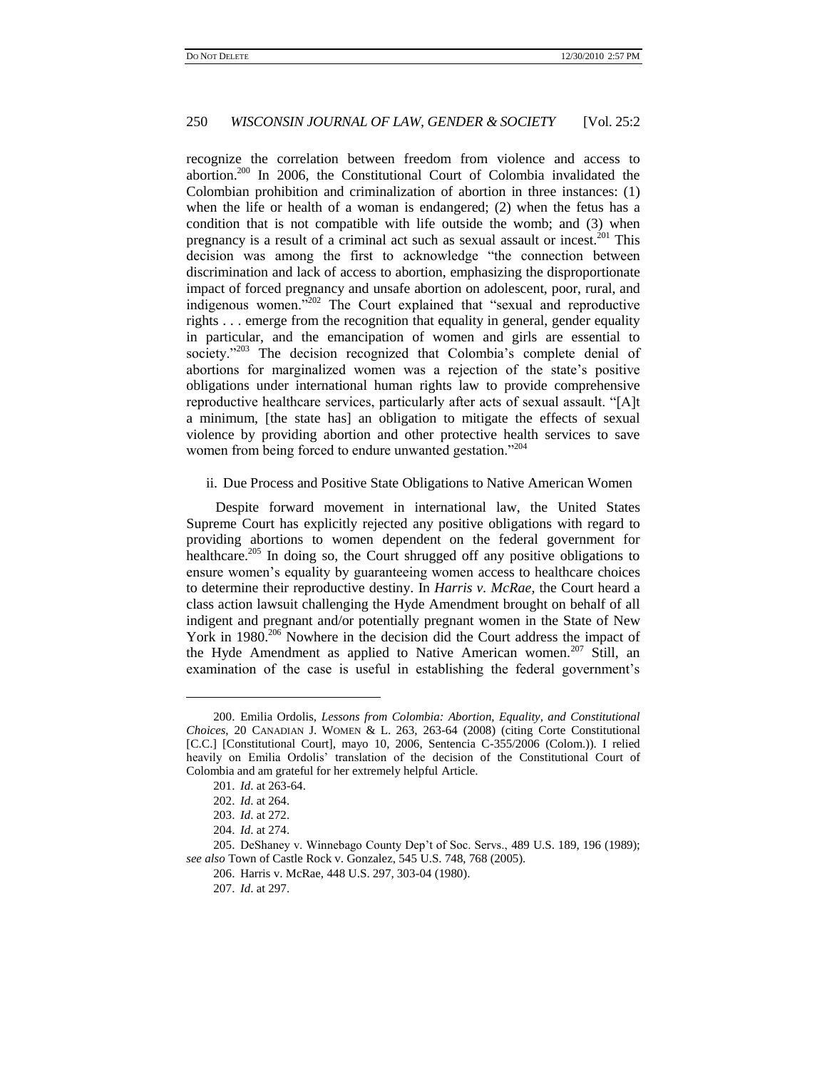recognize the correlation between freedom from violence and access to abortion.<sup>200</sup> In 2006, the Constitutional Court of Colombia invalidated the Colombian prohibition and criminalization of abortion in three instances: (1) when the life or health of a woman is endangered; (2) when the fetus has a condition that is not compatible with life outside the womb; and (3) when pregnancy is a result of a criminal act such as sexual assault or incest.<sup>201</sup> This decision was among the first to acknowledge "the connection between discrimination and lack of access to abortion, emphasizing the disproportionate impact of forced pregnancy and unsafe abortion on adolescent, poor, rural, and indigenous women."<sup>202</sup> The Court explained that "sexual and reproductive rights . . . emerge from the recognition that equality in general, gender equality in particular, and the emancipation of women and girls are essential to society."<sup>203</sup> The decision recognized that Colombia's complete denial of abortions for marginalized women was a rejection of the state"s positive obligations under international human rights law to provide comprehensive reproductive healthcare services, particularly after acts of sexual assault. "[A]t a minimum, [the state has] an obligation to mitigate the effects of sexual violence by providing abortion and other protective health services to save women from being forced to endure unwanted gestation."<sup>204</sup>

### ii. Due Process and Positive State Obligations to Native American Women

Despite forward movement in international law, the United States Supreme Court has explicitly rejected any positive obligations with regard to providing abortions to women dependent on the federal government for healthcare.<sup>205</sup> In doing so, the Court shrugged off any positive obligations to ensure women's equality by guaranteeing women access to healthcare choices to determine their reproductive destiny. In *Harris v. McRae*, the Court heard a class action lawsuit challenging the Hyde Amendment brought on behalf of all indigent and pregnant and/or potentially pregnant women in the State of New York in 1980.<sup>206</sup> Nowhere in the decision did the Court address the impact of the Hyde Amendment as applied to Native American women.<sup>207</sup> Still, an examination of the case is useful in establishing the federal government's

<sup>200.</sup> Emilia Ordolis, *Lessons from Colombia: Abortion, Equality, and Constitutional Choices*, 20 CANADIAN J. WOMEN & L. 263, 263-64 (2008) (citing Corte Constitutional [C.C.] [Constitutional Court], mayo 10, 2006, Sentencia C-355/2006 (Colom.)). I relied heavily on Emilia Ordolis" translation of the decision of the Constitutional Court of Colombia and am grateful for her extremely helpful Article.

<sup>201.</sup> *Id*. at 263-64.

<sup>202.</sup> *Id*. at 264.

<sup>203.</sup> *Id*. at 272.

<sup>204.</sup> *Id*. at 274.

<sup>205.</sup> DeShaney v. Winnebago County Dep"t of Soc. Servs., 489 U.S. 189, 196 (1989); *see also* Town of Castle Rock v. Gonzalez, 545 U.S. 748, 768 (2005).

<sup>206.</sup> Harris v. McRae, 448 U.S. 297, 303-04 (1980).

<sup>207.</sup> *Id*. at 297.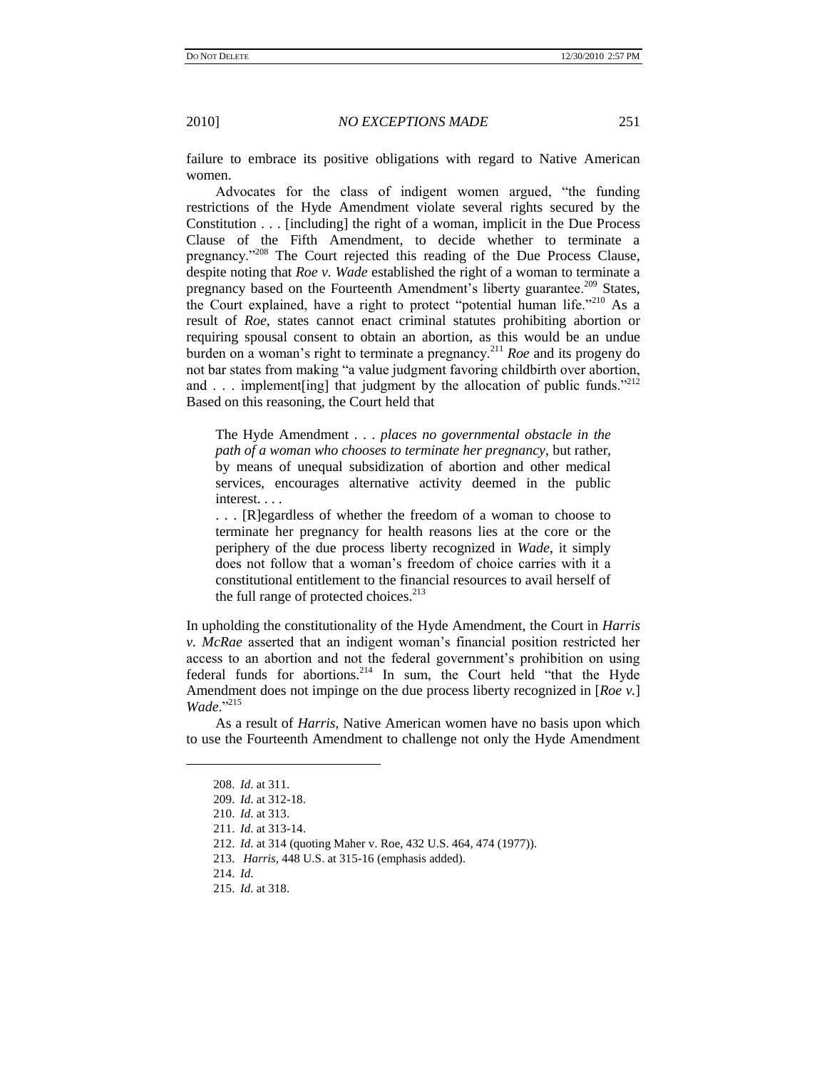failure to embrace its positive obligations with regard to Native American women.

Advocates for the class of indigent women argued, "the funding restrictions of the Hyde Amendment violate several rights secured by the Constitution . . . [including] the right of a woman, implicit in the Due Process Clause of the Fifth Amendment, to decide whether to terminate a pregnancy."<sup>208</sup> The Court rejected this reading of the Due Process Clause, despite noting that *Roe v. Wade* established the right of a woman to terminate a pregnancy based on the Fourteenth Amendment's liberty guarantee.<sup>209</sup> States, the Court explained, have a right to protect "potential human life."<sup>210</sup> As a result of *Roe*, states cannot enact criminal statutes prohibiting abortion or requiring spousal consent to obtain an abortion, as this would be an undue burden on a woman"s right to terminate a pregnancy.<sup>211</sup> *Roe* and its progeny do not bar states from making "a value judgment favoring childbirth over abortion, and . . . implement[ing] that judgment by the allocation of public funds."<sup>212</sup> Based on this reasoning, the Court held that

The Hyde Amendment . . . *places no governmental obstacle in the path of a woman who chooses to terminate her pregnancy*, but rather, by means of unequal subsidization of abortion and other medical services, encourages alternative activity deemed in the public interest. . . .

. . . [R]egardless of whether the freedom of a woman to choose to terminate her pregnancy for health reasons lies at the core or the periphery of the due process liberty recognized in *Wade*, it simply does not follow that a woman"s freedom of choice carries with it a constitutional entitlement to the financial resources to avail herself of the full range of protected choices. $2^{13}$ 

In upholding the constitutionality of the Hyde Amendment, the Court in *Harris v. McRae* asserted that an indigent woman"s financial position restricted her access to an abortion and not the federal government's prohibition on using federal funds for abortions.<sup>214</sup> In sum, the Court held "that the Hyde Amendment does not impinge on the due process liberty recognized in [*Roe v.*] *Wade*."<sup>215</sup>

As a result of *Harris*, Native American women have no basis upon which to use the Fourteenth Amendment to challenge not only the Hyde Amendment

<sup>208.</sup> *Id*. at 311.

<sup>209.</sup> *Id*. at 312-18.

<sup>210.</sup> *Id*. at 313.

<sup>211.</sup> *Id*. at 313-14.

<sup>212.</sup> *Id*. at 314 (quoting Maher v. Roe, 432 U.S. 464, 474 (1977)).

<sup>213.</sup> *Harris*, 448 U.S. at 315-16 (emphasis added).

<sup>214.</sup> *Id*.

<sup>215.</sup> *Id*. at 318.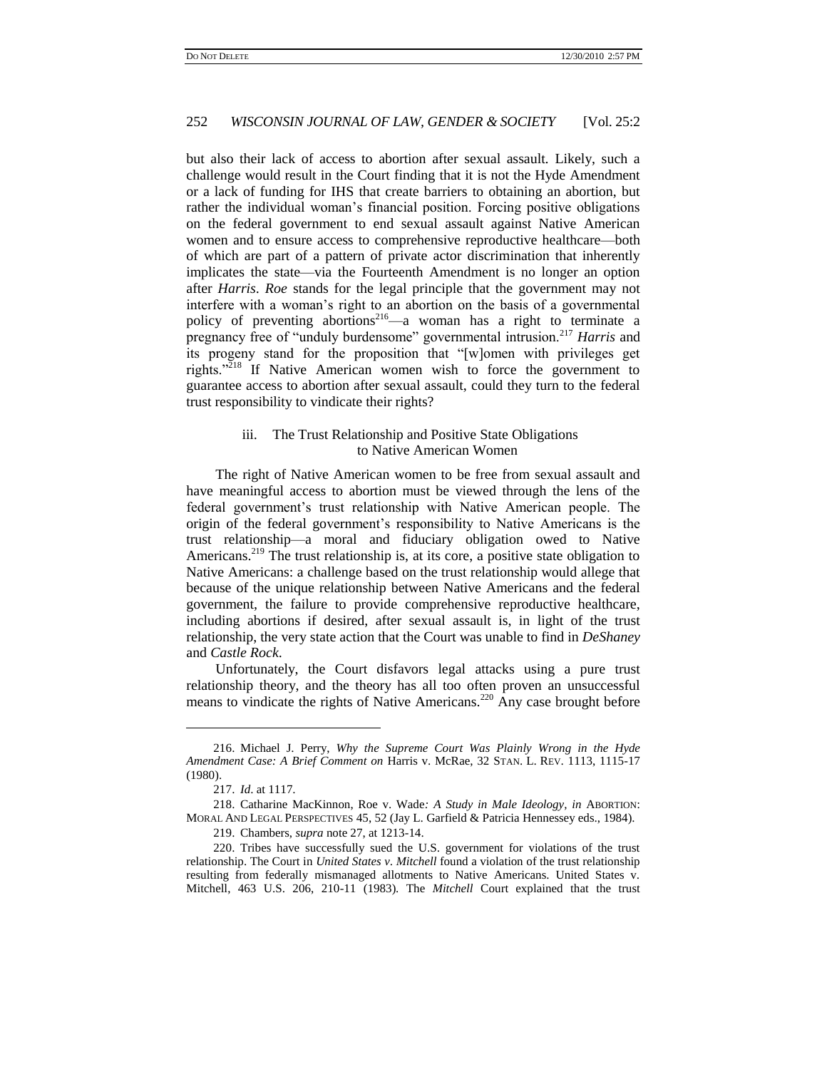but also their lack of access to abortion after sexual assault. Likely, such a challenge would result in the Court finding that it is not the Hyde Amendment or a lack of funding for IHS that create barriers to obtaining an abortion, but rather the individual woman's financial position. Forcing positive obligations on the federal government to end sexual assault against Native American women and to ensure access to comprehensive reproductive healthcare—both of which are part of a pattern of private actor discrimination that inherently implicates the state—via the Fourteenth Amendment is no longer an option after *Harris*. *Roe* stands for the legal principle that the government may not interfere with a woman"s right to an abortion on the basis of a governmental policy of preventing abortions<sup>216</sup>—a woman has a right to terminate a pregnancy free of "unduly burdensome" governmental intrusion.<sup>217</sup> *Harris* and its progeny stand for the proposition that "[w]omen with privileges get rights."<sup>218</sup> If Native American women wish to force the government to guarantee access to abortion after sexual assault, could they turn to the federal trust responsibility to vindicate their rights?

# iii. The Trust Relationship and Positive State Obligations to Native American Women

The right of Native American women to be free from sexual assault and have meaningful access to abortion must be viewed through the lens of the federal government"s trust relationship with Native American people. The origin of the federal government"s responsibility to Native Americans is the trust relationship—a moral and fiduciary obligation owed to Native Americans.<sup>219</sup> The trust relationship is, at its core, a positive state obligation to Native Americans: a challenge based on the trust relationship would allege that because of the unique relationship between Native Americans and the federal government, the failure to provide comprehensive reproductive healthcare, including abortions if desired, after sexual assault is, in light of the trust relationship, the very state action that the Court was unable to find in *DeShaney* and *Castle Rock*.

Unfortunately, the Court disfavors legal attacks using a pure trust relationship theory, and the theory has all too often proven an unsuccessful means to vindicate the rights of Native Americans.<sup>220</sup> Any case brought before

<sup>216.</sup> Michael J. Perry, *Why the Supreme Court Was Plainly Wrong in the Hyde Amendment Case: A Brief Comment on* Harris v. McRae, 32 STAN. L. REV. 1113, 1115-17 (1980).

<sup>217.</sup> *Id*. at 1117.

<sup>218.</sup> Catharine MacKinnon, Roe v. Wade*: A Study in Male Ideology*, *in* ABORTION: MORAL AND LEGAL PERSPECTIVES 45, 52 (Jay L. Garfield & Patricia Hennessey eds., 1984).

<sup>219.</sup> Chambers, *supra* not[e 27,](#page-8-0) at 1213-14.

<sup>220.</sup> Tribes have successfully sued the U.S. government for violations of the trust relationship. The Court in *United States v*. *Mitchell* found a violation of the trust relationship resulting from federally mismanaged allotments to Native Americans. United States v. Mitchell, 463 U.S. 206, 210-11 (1983). The *Mitchell* Court explained that the trust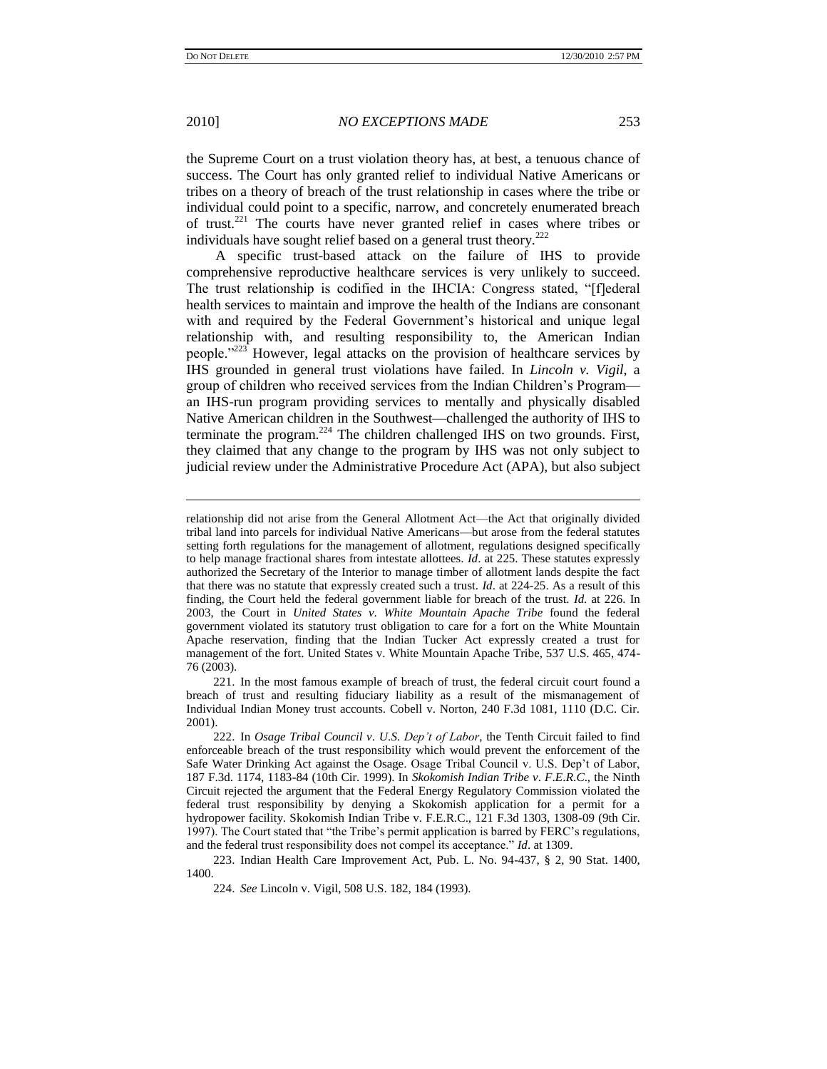2010] *NO EXCEPTIONS MADE* 253

the Supreme Court on a trust violation theory has, at best, a tenuous chance of success. The Court has only granted relief to individual Native Americans or tribes on a theory of breach of the trust relationship in cases where the tribe or individual could point to a specific, narrow, and concretely enumerated breach of trust.<sup>221</sup> The courts have never granted relief in cases where tribes or individuals have sought relief based on a general trust theory. $222$ 

A specific trust-based attack on the failure of IHS to provide comprehensive reproductive healthcare services is very unlikely to succeed. The trust relationship is codified in the IHCIA: Congress stated, "[f]ederal health services to maintain and improve the health of the Indians are consonant with and required by the Federal Government's historical and unique legal relationship with, and resulting responsibility to, the American Indian people."<sup>223</sup> However, legal attacks on the provision of healthcare services by IHS grounded in general trust violations have failed. In *Lincoln v. Vigil*, a group of children who received services from the Indian Children"s Program an IHS-run program providing services to mentally and physically disabled Native American children in the Southwest—challenged the authority of IHS to terminate the program.<sup>224</sup> The children challenged IHS on two grounds. First, they claimed that any change to the program by IHS was not only subject to judicial review under the Administrative Procedure Act (APA), but also subject

223. Indian Health Care Improvement Act, Pub. L. No. 94-437, § 2, 90 Stat. 1400, 1400.

relationship did not arise from the General Allotment Act—the Act that originally divided tribal land into parcels for individual Native Americans—but arose from the federal statutes setting forth regulations for the management of allotment, regulations designed specifically to help manage fractional shares from intestate allottees. *Id*. at 225. These statutes expressly authorized the Secretary of the Interior to manage timber of allotment lands despite the fact that there was no statute that expressly created such a trust. *Id*. at 224-25. As a result of this finding, the Court held the federal government liable for breach of the trust. *Id*. at 226. In 2003, the Court in *United States v*. *White Mountain Apache Tribe* found the federal government violated its statutory trust obligation to care for a fort on the White Mountain Apache reservation, finding that the Indian Tucker Act expressly created a trust for management of the fort. United States v. White Mountain Apache Tribe, 537 U.S. 465, 474- 76 (2003).

<sup>221.</sup> In the most famous example of breach of trust, the federal circuit court found a breach of trust and resulting fiduciary liability as a result of the mismanagement of Individual Indian Money trust accounts. Cobell v. Norton, 240 F.3d 1081, 1110 (D.C. Cir. 2001).

<sup>222.</sup> In *Osage Tribal Council v*. *U*.*S*. *Dep't of Labor*, the Tenth Circuit failed to find enforceable breach of the trust responsibility which would prevent the enforcement of the Safe Water Drinking Act against the Osage. Osage Tribal Council v. U.S. Dep't of Labor, 187 F.3d. 1174, 1183-84 (10th Cir. 1999). In *Skokomish Indian Tribe v*. *F*.*E*.*R*.*C*., the Ninth Circuit rejected the argument that the Federal Energy Regulatory Commission violated the federal trust responsibility by denying a Skokomish application for a permit for a hydropower facility. Skokomish Indian Tribe v. F.E.R.C., 121 F.3d 1303, 1308-09 (9th Cir. 1997). The Court stated that "the Tribe"s permit application is barred by FERC"s regulations, and the federal trust responsibility does not compel its acceptance." *Id*. at 1309.

<sup>224.</sup> *See* Lincoln v. Vigil, 508 U.S. 182, 184 (1993).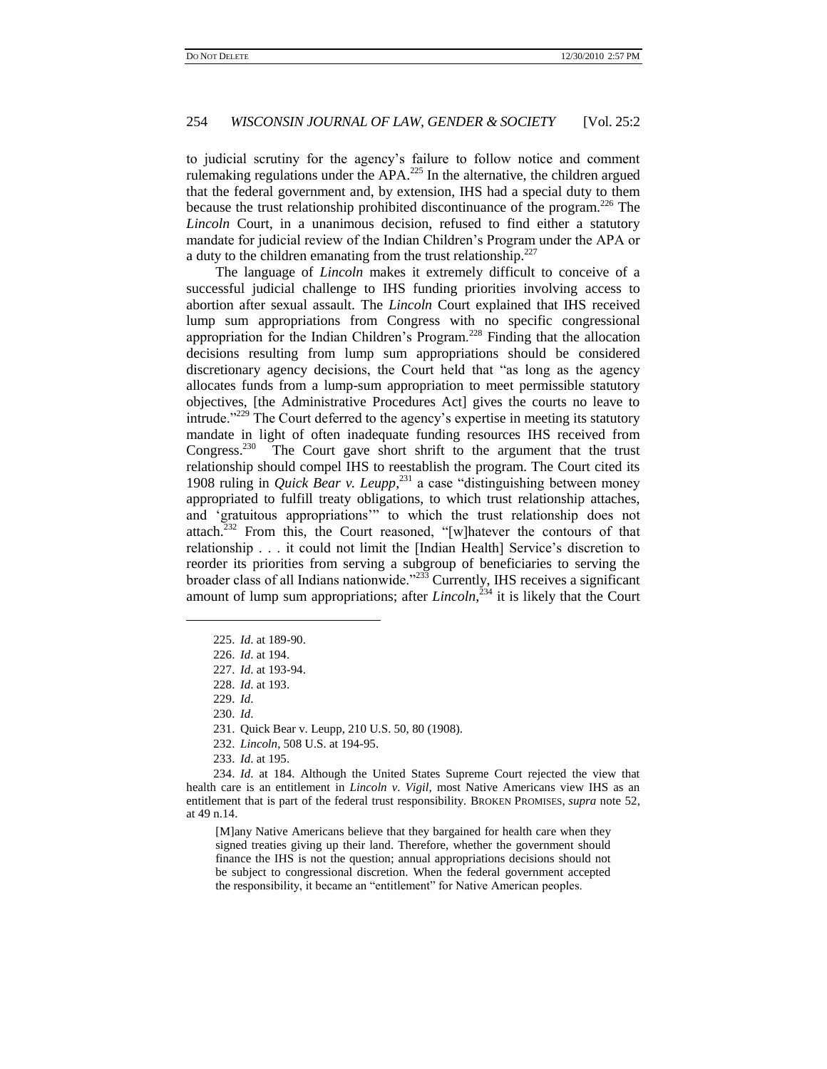to judicial scrutiny for the agency"s failure to follow notice and comment rulemaking regulations under the  $APA<sup>225</sup>$  In the alternative, the children argued that the federal government and, by extension, IHS had a special duty to them because the trust relationship prohibited discontinuance of the program.<sup>226</sup> The *Lincoln* Court, in a unanimous decision, refused to find either a statutory mandate for judicial review of the Indian Children"s Program under the APA or a duty to the children emanating from the trust relationship.<sup>227</sup>

The language of *Lincoln* makes it extremely difficult to conceive of a successful judicial challenge to IHS funding priorities involving access to abortion after sexual assault. The *Lincoln* Court explained that IHS received lump sum appropriations from Congress with no specific congressional appropriation for the Indian Children"s Program.<sup>228</sup> Finding that the allocation decisions resulting from lump sum appropriations should be considered discretionary agency decisions, the Court held that "as long as the agency allocates funds from a lump-sum appropriation to meet permissible statutory objectives, [the Administrative Procedures Act] gives the courts no leave to intrude."<sup>229</sup> The Court deferred to the agency"s expertise in meeting its statutory mandate in light of often inadequate funding resources IHS received from  $Congress.<sup>230</sup>$  The Court gave short shrift to the argument that the trust relationship should compel IHS to reestablish the program. The Court cited its 1908 ruling in *Quick Bear v. Leupp*, <sup>231</sup> a case "distinguishing between money appropriated to fulfill treaty obligations, to which trust relationship attaches, and "gratuitous appropriations"" to which the trust relationship does not attach.<sup>232</sup> From this, the Court reasoned, "[w]hatever the contours of that relationship . . . it could not limit the [Indian Health] Service's discretion to reorder its priorities from serving a subgroup of beneficiaries to serving the broader class of all Indians nationwide."<sup>233</sup> Currently, IHS receives a significant amount of lump sum appropriations; after *Lincoln*, <sup>234</sup> it is likely that the Court

 $\overline{a}$ 

230. *Id*.

231. Quick Bear v. Leupp, 210 U.S. 50, 80 (1908).

232. *Lincoln*, 508 U.S. at 194-95.

233. *Id*. at 195.

234. *Id*. at 184. Although the United States Supreme Court rejected the view that health care is an entitlement in *Lincoln v*. *Vigil,* most Native Americans view IHS as an entitlement that is part of the federal trust responsibility. BROKEN PROMISES, *supra* not[e 52,](#page-13-0) at 49 n.14.

[M]any Native Americans believe that they bargained for health care when they signed treaties giving up their land. Therefore, whether the government should finance the IHS is not the question; annual appropriations decisions should not be subject to congressional discretion. When the federal government accepted the responsibility, it became an "entitlement" for Native American peoples.

<sup>225.</sup> *Id*. at 189-90.

<sup>226.</sup> *Id*. at 194.

<sup>227.</sup> *Id*. at 193-94.

<sup>228.</sup> *Id*. at 193.

<sup>229.</sup> *Id*.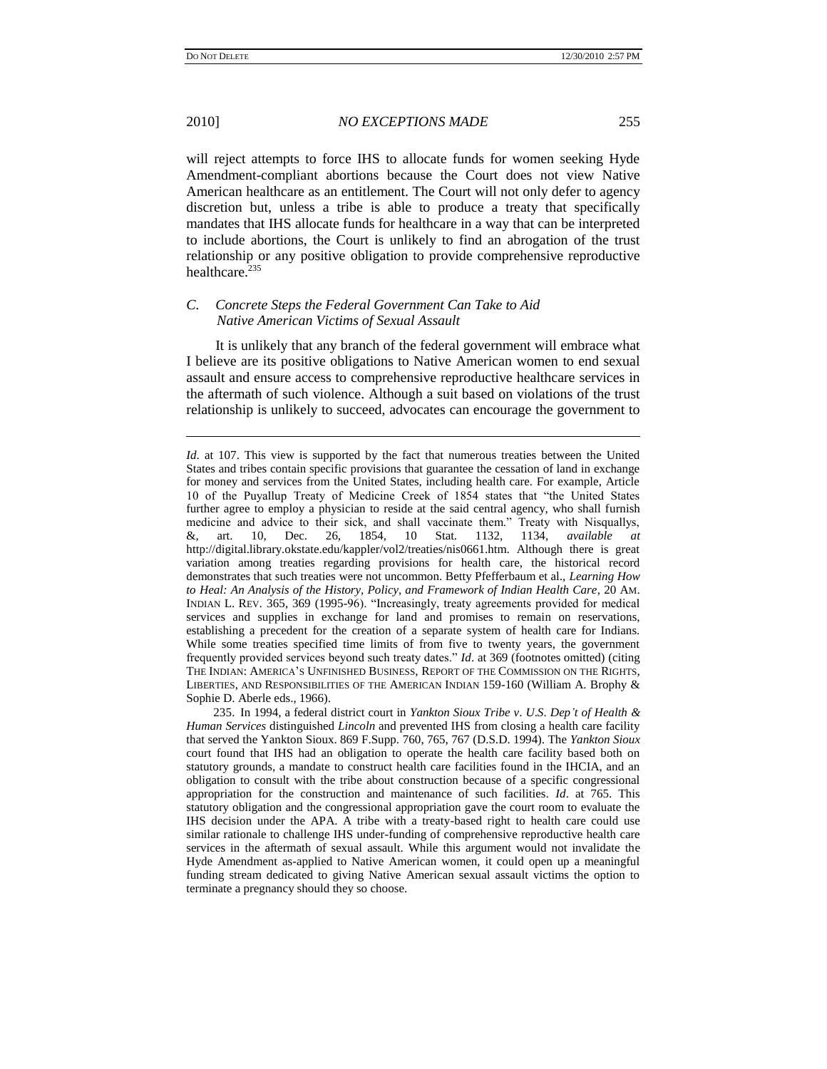2010] *NO EXCEPTIONS MADE* 255

will reject attempts to force IHS to allocate funds for women seeking Hyde Amendment-compliant abortions because the Court does not view Native American healthcare as an entitlement. The Court will not only defer to agency discretion but, unless a tribe is able to produce a treaty that specifically mandates that IHS allocate funds for healthcare in a way that can be interpreted to include abortions, the Court is unlikely to find an abrogation of the trust relationship or any positive obligation to provide comprehensive reproductive healthcare. $235$ 

# *C. Concrete Steps the Federal Government Can Take to Aid Native American Victims of Sexual Assault*

It is unlikely that any branch of the federal government will embrace what I believe are its positive obligations to Native American women to end sexual assault and ensure access to comprehensive reproductive healthcare services in the aftermath of such violence. Although a suit based on violations of the trust relationship is unlikely to succeed, advocates can encourage the government to

*Id.* at 107. This view is supported by the fact that numerous treaties between the United States and tribes contain specific provisions that guarantee the cessation of land in exchange for money and services from the United States, including health care. For example, Article 10 of the Puyallup Treaty of Medicine Creek of 1854 states that "the United States further agree to employ a physician to reside at the said central agency, who shall furnish medicine and advice to their sick, and shall vaccinate them." Treaty with Nisquallys, &, art. 10, Dec. 26, 1854, 10 Stat. 1132, 1134, *available at* http://digital.library.okstate.edu/kappler/vol2/treaties/nis0661.htm. Although there is great variation among treaties regarding provisions for health care, the historical record demonstrates that such treaties were not uncommon. Betty Pfefferbaum et al., *Learning How to Heal: An Analysis of the History, Policy, and Framework of Indian Health Care*, 20 AM. INDIAN L. REV. 365, 369 (1995-96). "Increasingly, treaty agreements provided for medical services and supplies in exchange for land and promises to remain on reservations, establishing a precedent for the creation of a separate system of health care for Indians. While some treaties specified time limits of from five to twenty years, the government frequently provided services beyond such treaty dates." *Id*. at 369 (footnotes omitted) (citing THE INDIAN: AMERICA"S UNFINISHED BUSINESS, REPORT OF THE COMMISSION ON THE RIGHTS, LIBERTIES, AND RESPONSIBILITIES OF THE AMERICAN INDIAN 159-160 (William A. Brophy & Sophie D. Aberle eds., 1966).

<sup>235.</sup> In 1994, a federal district court in *Yankton Sioux Tribe v*. *U*.*S*. *Dep't of Health & Human Services* distinguished *Lincoln* and prevented IHS from closing a health care facility that served the Yankton Sioux. 869 F.Supp. 760, 765, 767 (D.S.D. 1994). The *Yankton Sioux* court found that IHS had an obligation to operate the health care facility based both on statutory grounds, a mandate to construct health care facilities found in the IHCIA, and an obligation to consult with the tribe about construction because of a specific congressional appropriation for the construction and maintenance of such facilities. *Id*. at 765. This statutory obligation and the congressional appropriation gave the court room to evaluate the IHS decision under the APA. A tribe with a treaty-based right to health care could use similar rationale to challenge IHS under-funding of comprehensive reproductive health care services in the aftermath of sexual assault. While this argument would not invalidate the Hyde Amendment as-applied to Native American women, it could open up a meaningful funding stream dedicated to giving Native American sexual assault victims the option to terminate a pregnancy should they so choose.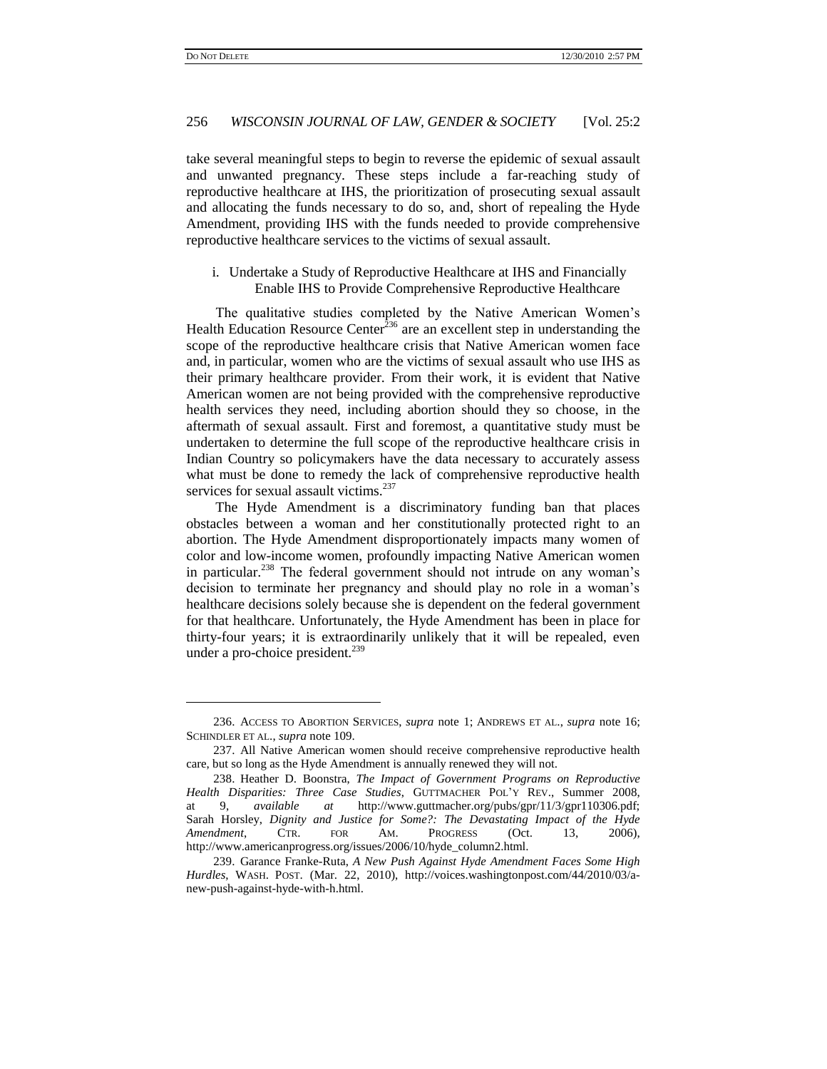### 256 *WISCONSIN JOURNAL OF LAW, GENDER & SOCIETY* [Vol. 25:2

take several meaningful steps to begin to reverse the epidemic of sexual assault and unwanted pregnancy. These steps include a far-reaching study of reproductive healthcare at IHS, the prioritization of prosecuting sexual assault and allocating the funds necessary to do so, and, short of repealing the Hyde Amendment, providing IHS with the funds needed to provide comprehensive reproductive healthcare services to the victims of sexual assault.

i. Undertake a Study of Reproductive Healthcare at IHS and Financially Enable IHS to Provide Comprehensive Reproductive Healthcare

The qualitative studies completed by the Native American Women"s Health Education Resource Center<sup>236</sup> are an excellent step in understanding the scope of the reproductive healthcare crisis that Native American women face and, in particular, women who are the victims of sexual assault who use IHS as their primary healthcare provider. From their work, it is evident that Native American women are not being provided with the comprehensive reproductive health services they need, including abortion should they so choose, in the aftermath of sexual assault. First and foremost, a quantitative study must be undertaken to determine the full scope of the reproductive healthcare crisis in Indian Country so policymakers have the data necessary to accurately assess what must be done to remedy the lack of comprehensive reproductive health services for sexual assault victims.<sup>237</sup>

The Hyde Amendment is a discriminatory funding ban that places obstacles between a woman and her constitutionally protected right to an abortion. The Hyde Amendment disproportionately impacts many women of color and low-income women, profoundly impacting Native American women in particular.<sup>238</sup> The federal government should not intrude on any woman's decision to terminate her pregnancy and should play no role in a woman"s healthcare decisions solely because she is dependent on the federal government for that healthcare. Unfortunately, the Hyde Amendment has been in place for thirty-four years; it is extraordinarily unlikely that it will be repealed, even under a pro-choice president.<sup>239</sup>

<sup>236.</sup> ACCESS TO ABORTION SERVICES, *supra* note [1;](#page-1-0) ANDREWS ET AL., *supra* note [16;](#page-5-1) SCHINDLER ET AL., *supra* note [109.](#page-22-0)

<sup>237.</sup> All Native American women should receive comprehensive reproductive health care, but so long as the Hyde Amendment is annually renewed they will not.

<sup>238.</sup> Heather D. Boonstra, *The Impact of Government Programs on Reproductive Health Disparities: Three Case Studies*, GUTTMACHER POL"Y REV., Summer 2008, at 9, *available at* http://www.guttmacher.org/pubs/gpr/11/3/gpr110306.pdf; Sarah Horsley, *Dignity and Justice for Some?: The Devastating Impact of the Hyde Amendment*, CTR. FOR AM. PROGRESS (Oct. 13, 2006), http://www.americanprogress.org/issues/2006/10/hyde\_column2.html.

<sup>239.</sup> Garance Franke-Ruta, *A New Push Against Hyde Amendment Faces Some High Hurdles*, WASH. POST. (Mar. 22, 2010), http://voices.washingtonpost.com/44/2010/03/anew-push-against-hyde-with-h.html.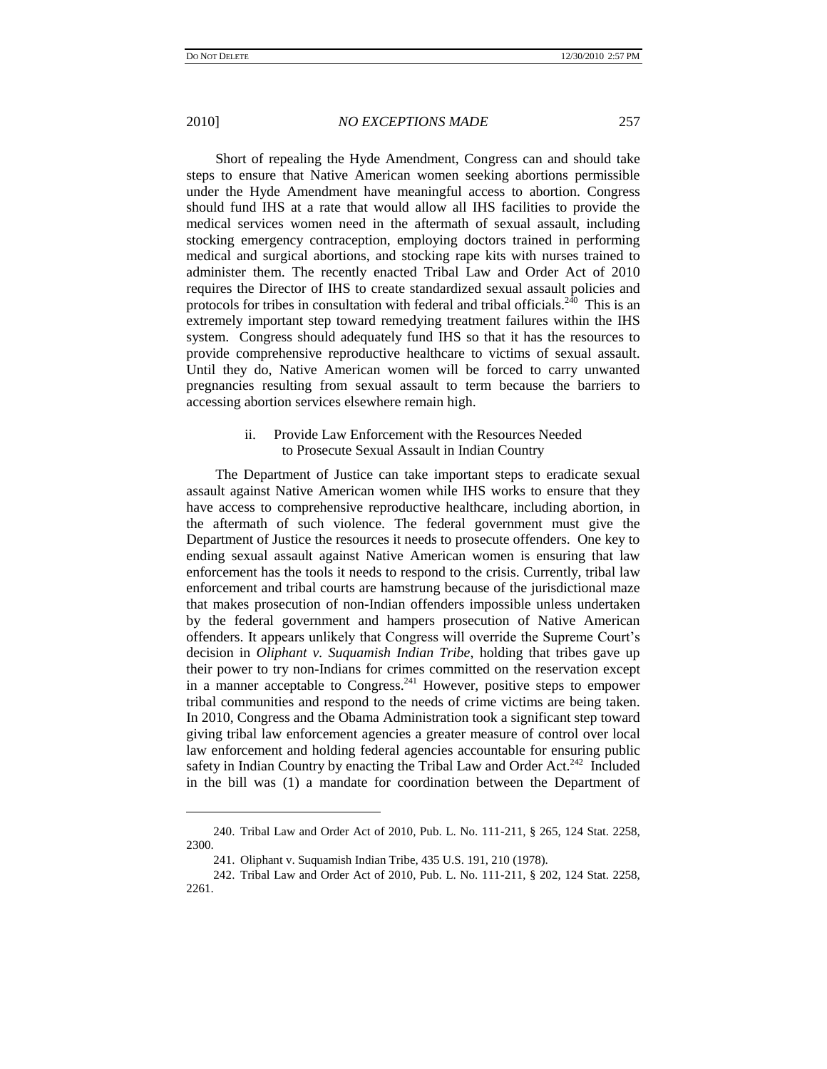$\overline{a}$ 

#### 2010] *NO EXCEPTIONS MADE* 257

Short of repealing the Hyde Amendment, Congress can and should take steps to ensure that Native American women seeking abortions permissible under the Hyde Amendment have meaningful access to abortion. Congress should fund IHS at a rate that would allow all IHS facilities to provide the medical services women need in the aftermath of sexual assault, including stocking emergency contraception, employing doctors trained in performing medical and surgical abortions, and stocking rape kits with nurses trained to administer them. The recently enacted Tribal Law and Order Act of 2010 requires the Director of IHS to create standardized sexual assault policies and protocols for tribes in consultation with federal and tribal officials.<sup>240</sup> This is an extremely important step toward remedying treatment failures within the IHS system. Congress should adequately fund IHS so that it has the resources to provide comprehensive reproductive healthcare to victims of sexual assault. Until they do, Native American women will be forced to carry unwanted pregnancies resulting from sexual assault to term because the barriers to accessing abortion services elsewhere remain high.

# ii. Provide Law Enforcement with the Resources Needed to Prosecute Sexual Assault in Indian Country

The Department of Justice can take important steps to eradicate sexual assault against Native American women while IHS works to ensure that they have access to comprehensive reproductive healthcare, including abortion, in the aftermath of such violence. The federal government must give the Department of Justice the resources it needs to prosecute offenders. One key to ending sexual assault against Native American women is ensuring that law enforcement has the tools it needs to respond to the crisis. Currently, tribal law enforcement and tribal courts are hamstrung because of the jurisdictional maze that makes prosecution of non-Indian offenders impossible unless undertaken by the federal government and hampers prosecution of Native American offenders. It appears unlikely that Congress will override the Supreme Court"s decision in *Oliphant v. Suquamish Indian Tribe*, holding that tribes gave up their power to try non-Indians for crimes committed on the reservation except in a manner acceptable to Congress.<sup>241</sup> However, positive steps to empower tribal communities and respond to the needs of crime victims are being taken. In 2010, Congress and the Obama Administration took a significant step toward giving tribal law enforcement agencies a greater measure of control over local law enforcement and holding federal agencies accountable for ensuring public safety in Indian Country by enacting the Tribal Law and Order Act.<sup>242</sup> Included in the bill was (1) a mandate for coordination between the Department of

<sup>240.</sup> Tribal Law and Order Act of 2010, Pub. L. No. 111-211, § 265, 124 Stat. 2258, 2300.

<sup>241.</sup> Oliphant v. Suquamish Indian Tribe, 435 U.S. 191, 210 (1978).

<sup>242.</sup> Tribal Law and Order Act of 2010, Pub. L. No. 111-211, § 202, 124 Stat. 2258, 2261.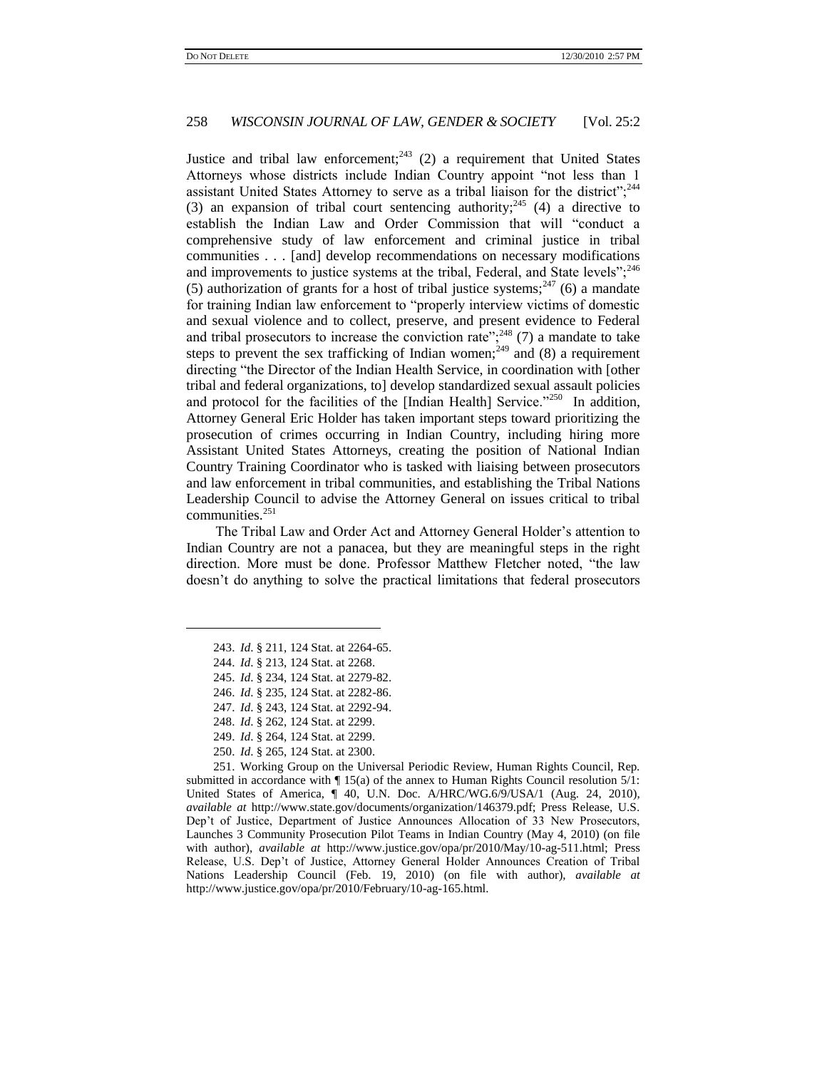Justice and tribal law enforcement;<sup>243</sup> (2) a requirement that United States Attorneys whose districts include Indian Country appoint "not less than 1 assistant United States Attorney to serve as a tribal liaison for the district";<sup>244</sup> (3) an expansion of tribal court sentencing authority;  $245$  (4) a directive to establish the Indian Law and Order Commission that will "conduct a comprehensive study of law enforcement and criminal justice in tribal communities . . . [and] develop recommendations on necessary modifications and improvements to justice systems at the tribal, Federal, and State levels"; $^{246}$ (5) authorization of grants for a host of tribal justice systems;<sup>247</sup> (6) a mandate for training Indian law enforcement to "properly interview victims of domestic and sexual violence and to collect, preserve, and present evidence to Federal and tribal prosecutors to increase the conviction rate"; $^{248}$  (7) a mandate to take steps to prevent the sex trafficking of Indian women;<sup>249</sup> and (8) a requirement directing "the Director of the Indian Health Service, in coordination with [other tribal and federal organizations, to] develop standardized sexual assault policies and protocol for the facilities of the [Indian Health] Service."<sup>250</sup> In addition, Attorney General Eric Holder has taken important steps toward prioritizing the prosecution of crimes occurring in Indian Country, including hiring more Assistant United States Attorneys, creating the position of National Indian Country Training Coordinator who is tasked with liaising between prosecutors and law enforcement in tribal communities, and establishing the Tribal Nations Leadership Council to advise the Attorney General on issues critical to tribal communities.<sup>251</sup>

The Tribal Law and Order Act and Attorney General Holder"s attention to Indian Country are not a panacea, but they are meaningful steps in the right direction. More must be done. Professor Matthew Fletcher noted, "the law doesn"t do anything to solve the practical limitations that federal prosecutors

 $\overline{a}$ 

- 249. *Id*. § 264, 124 Stat. at 2299.
- 250. *Id*. § 265, 124 Stat. at 2300.

251. Working Group on the Universal Periodic Review, Human Rights Council, Rep. submitted in accordance with  $\P$  15(a) of the annex to Human Rights Council resolution  $5/1$ : United States of America, ¶ 40, U.N. Doc. A/HRC/WG.6/9/USA/1 (Aug. 24, 2010), *available at* http://www.state.gov/documents/organization/146379.pdf; Press Release, U.S. Dep"t of Justice, Department of Justice Announces Allocation of 33 New Prosecutors, Launches 3 Community Prosecution Pilot Teams in Indian Country (May 4, 2010) (on file with author), *available at* http://www.justice.gov/opa/pr/2010/May/10-ag-511.html; Press Release, U.S. Dep"t of Justice, Attorney General Holder Announces Creation of Tribal Nations Leadership Council (Feb. 19, 2010) (on file with author), *available at*  http://www.justice.gov/opa/pr/2010/February/10-ag-165.html.

<sup>243.</sup> *Id*. § 211, 124 Stat. at 2264-65.

<sup>244.</sup> *Id*. § 213, 124 Stat. at 2268.

<sup>245.</sup> *Id*. § 234, 124 Stat. at 2279-82.

<sup>246.</sup> *Id*. § 235, 124 Stat. at 2282-86.

<sup>247.</sup> *Id*. § 243, 124 Stat. at 2292-94.

<sup>248.</sup> *Id*. § 262, 124 Stat. at 2299.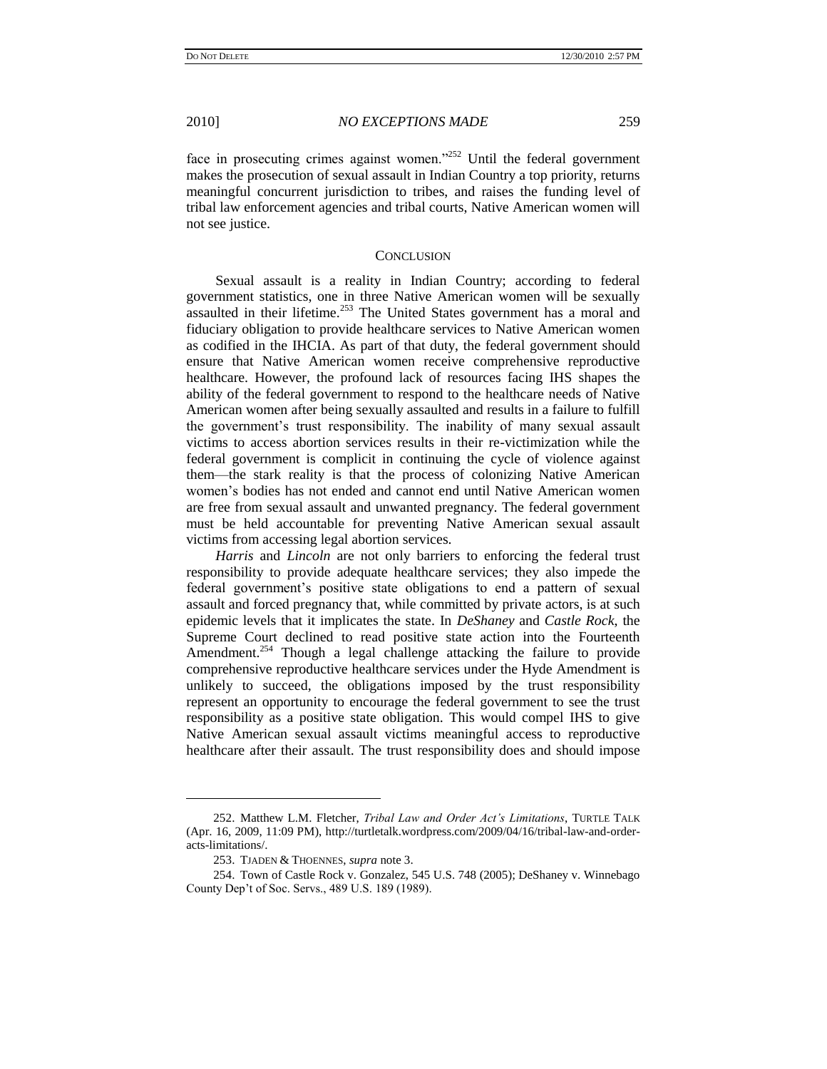face in prosecuting crimes against women."<sup>252</sup> Until the federal government makes the prosecution of sexual assault in Indian Country a top priority, returns meaningful concurrent jurisdiction to tribes, and raises the funding level of tribal law enforcement agencies and tribal courts, Native American women will not see justice.

#### **CONCLUSION**

Sexual assault is a reality in Indian Country; according to federal government statistics, one in three Native American women will be sexually assaulted in their lifetime.<sup>253</sup> The United States government has a moral and fiduciary obligation to provide healthcare services to Native American women as codified in the IHCIA. As part of that duty, the federal government should ensure that Native American women receive comprehensive reproductive healthcare. However, the profound lack of resources facing IHS shapes the ability of the federal government to respond to the healthcare needs of Native American women after being sexually assaulted and results in a failure to fulfill the government"s trust responsibility. The inability of many sexual assault victims to access abortion services results in their re-victimization while the federal government is complicit in continuing the cycle of violence against them—the stark reality is that the process of colonizing Native American women"s bodies has not ended and cannot end until Native American women are free from sexual assault and unwanted pregnancy. The federal government must be held accountable for preventing Native American sexual assault victims from accessing legal abortion services.

*Harris* and *Lincoln* are not only barriers to enforcing the federal trust responsibility to provide adequate healthcare services; they also impede the federal government's positive state obligations to end a pattern of sexual assault and forced pregnancy that, while committed by private actors, is at such epidemic levels that it implicates the state. In *DeShaney* and *Castle Rock*, the Supreme Court declined to read positive state action into the Fourteenth Amendment.<sup>254</sup> Though a legal challenge attacking the failure to provide comprehensive reproductive healthcare services under the Hyde Amendment is unlikely to succeed, the obligations imposed by the trust responsibility represent an opportunity to encourage the federal government to see the trust responsibility as a positive state obligation. This would compel IHS to give Native American sexual assault victims meaningful access to reproductive healthcare after their assault. The trust responsibility does and should impose

<sup>252.</sup> Matthew L.M. Fletcher, *Tribal Law and Order Act's Limitations*, TURTLE TALK (Apr. 16, 2009, 11:09 PM), http://turtletalk.wordpress.com/2009/04/16/tribal-law-and-orderacts-limitations/.

<sup>253.</sup> TJADEN & THOENNES, *supra* not[e 3.](#page-2-1)

<sup>254.</sup> Town of Castle Rock v. Gonzalez, 545 U.S. 748 (2005); DeShaney v. Winnebago County Dep"t of Soc. Servs., 489 U.S. 189 (1989).